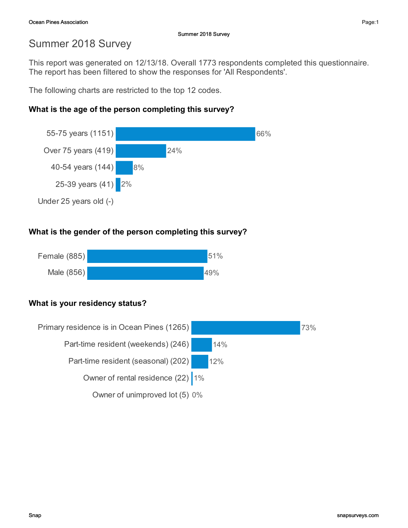This report was generated on 12/13/18. Overall 1773 respondents completed this questionnaire. The report has been filtered to show the responses for 'All Respondents'.

The following charts are restricted to the top 12 codes.

## What is the age of the person completing this survey?



## What is the gender of the person completing this survey?



## What is your residency status?

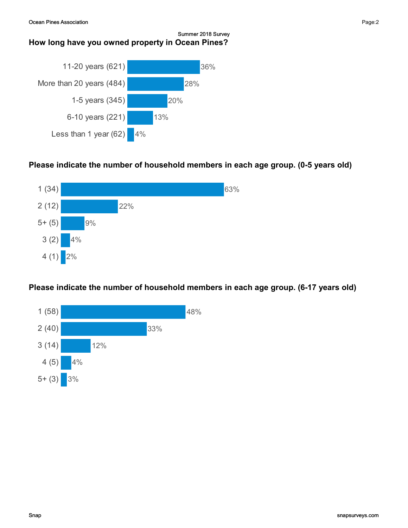

## Please indicate the number of household members in each age group. (0-5 years old)



## Please indicate the number of household members in each age group. (6-17 years old)

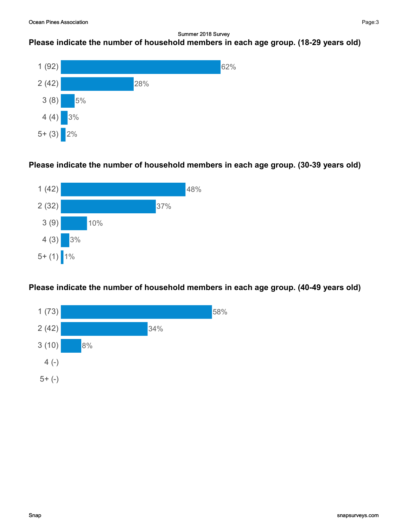## Please indicate the number of household members in each age group. (18-29 years old)



### Please indicate the number of household members in each age group. (30-39 years old)



Please indicate the number of household members in each age group. (40-49 years old)

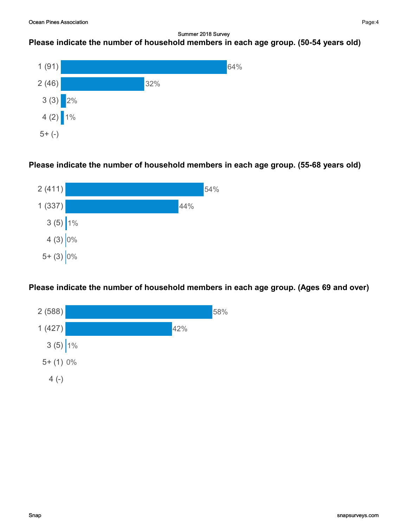# Please indicate the number of household members in each age group. (50-54 years old)



### Please indicate the number of household members in each age group. (55-68 years old)



Please indicate the number of household members in each age group. (Ages 69 and over)

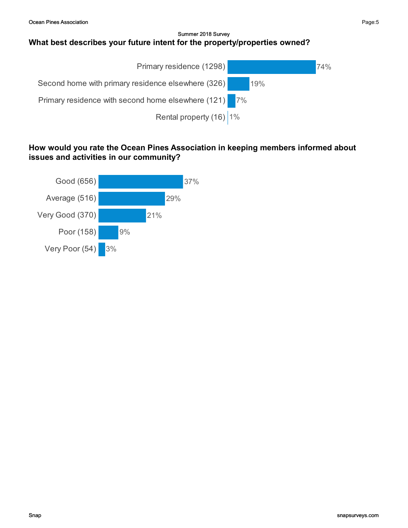#### Summer 2018 Survey What best describes your future intent for the property/properties owned?



### How would you rate the Ocean Pines Association in keeping members informed about issues and activities in our community?

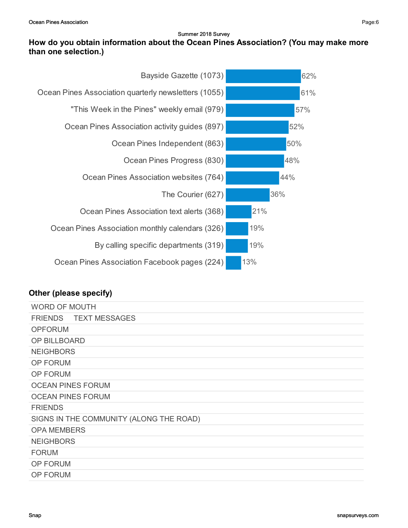### How do you obtain information about the Ocean Pines Association? (You may make more than one selection.)



| <b>WORD OF MOUTH</b>                    |
|-----------------------------------------|
| FRIENDS TEXT MESSAGES                   |
| <b>OPFORUM</b>                          |
| OP BILLBOARD                            |
| <b>NEIGHBORS</b>                        |
| OP FORUM                                |
| OP FORUM                                |
| <b>OCEAN PINES FORUM</b>                |
| <b>OCEAN PINES FORUM</b>                |
| <b>FRIENDS</b>                          |
| SIGNS IN THE COMMUNITY (ALONG THE ROAD) |
| <b>OPA MEMBERS</b>                      |
| <b>NEIGHBORS</b>                        |
| <b>FORUM</b>                            |
| <b>OP FORUM</b>                         |
| <b>OP FORUM</b>                         |
|                                         |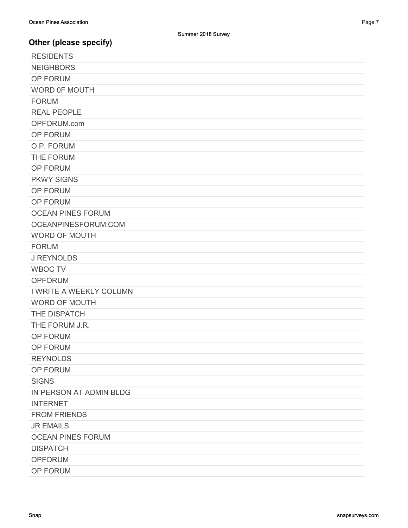| <b>RESIDENTS</b>         |
|--------------------------|
| <b>NEIGHBORS</b>         |
| OP FORUM                 |
| WORD OF MOUTH            |
| <b>FORUM</b>             |
| <b>REAL PEOPLE</b>       |
| OPFORUM.com              |
| OP FORUM                 |
| O.P. FORUM               |
| THE FORUM                |
| OP FORUM                 |
| <b>PKWY SIGNS</b>        |
| <b>OP FORUM</b>          |
| OP FORUM                 |
| <b>OCEAN PINES FORUM</b> |
| OCEANPINESFORUM.COM      |
| <b>WORD OF MOUTH</b>     |
| <b>FORUM</b>             |
| <b>J REYNOLDS</b>        |
| <b>WBOC TV</b>           |
| <b>OPFORUM</b>           |
| I WRITE A WEEKLY COLUMN  |
| <b>WORD OF MOUTH</b>     |
| THE DISPATCH             |
| THE FORUM J.R.           |
| OP FORUM                 |
| OP FORUM                 |
| <b>REYNOLDS</b>          |
| OP FORUM                 |
| <b>SIGNS</b>             |
| IN PERSON AT ADMIN BLDG  |
| <b>INTERNET</b>          |
| <b>FROM FRIENDS</b>      |
| <b>JR EMAILS</b>         |
| <b>OCEAN PINES FORUM</b> |
| <b>DISPATCH</b>          |
| <b>OPFORUM</b>           |
| OP FORUM                 |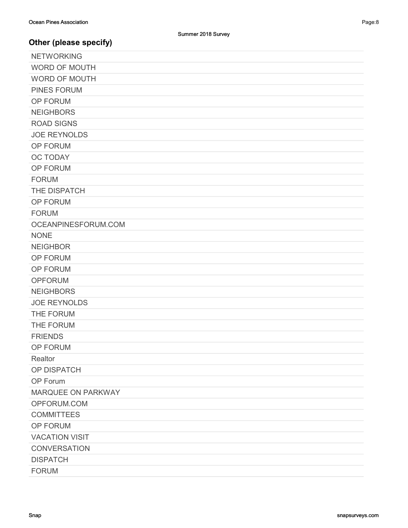| <b>NETWORKING</b>     |
|-----------------------|
| <b>WORD OF MOUTH</b>  |
| <b>WORD OF MOUTH</b>  |
| <b>PINES FORUM</b>    |
| OP FORUM              |
| <b>NEIGHBORS</b>      |
| <b>ROAD SIGNS</b>     |
| <b>JOE REYNOLDS</b>   |
| OP FORUM              |
| <b>OC TODAY</b>       |
| OP FORUM              |
| <b>FORUM</b>          |
| THE DISPATCH          |
| OP FORUM              |
| <b>FORUM</b>          |
| OCEANPINESFORUM.COM   |
| <b>NONE</b>           |
| <b>NEIGHBOR</b>       |
| OP FORUM              |
| OP FORUM              |
| <b>OPFORUM</b>        |
| <b>NEIGHBORS</b>      |
| <b>JOE REYNOLDS</b>   |
| THE FORUM             |
| THE FORUM             |
| <b>FRIENDS</b>        |
| OP FORUM              |
| Realtor               |
| OP DISPATCH           |
| OP Forum              |
| MARQUEE ON PARKWAY    |
| OPFORUM.COM           |
| <b>COMMITTEES</b>     |
| OP FORUM              |
| <b>VACATION VISIT</b> |
| <b>CONVERSATION</b>   |
| <b>DISPATCH</b>       |
| <b>FORUM</b>          |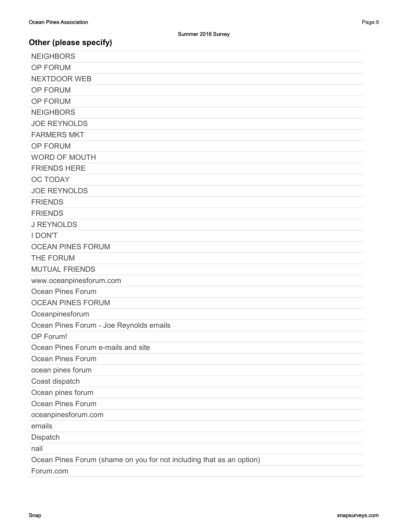| <b>NEIGHBORS</b>                                                     |
|----------------------------------------------------------------------|
| OP FORUM                                                             |
| <b>NEXTDOOR WEB</b>                                                  |
| OP FORUM                                                             |
| OP FORUM                                                             |
| <b>NEIGHBORS</b>                                                     |
| <b>JOE REYNOLDS</b>                                                  |
| <b>FARMERS MKT</b>                                                   |
| OP FORUM                                                             |
| <b>WORD OF MOUTH</b>                                                 |
| <b>FRIENDS HERE</b>                                                  |
| <b>OC TODAY</b>                                                      |
| <b>JOE REYNOLDS</b>                                                  |
| <b>FRIENDS</b>                                                       |
| <b>FRIENDS</b>                                                       |
| <b>J REYNOLDS</b>                                                    |
| <b>I DON'T</b>                                                       |
| <b>OCEAN PINES FORUM</b>                                             |
| THE FORUM                                                            |
| <b>MUTUAL FRIENDS</b>                                                |
| www.oceanpinesforum.com                                              |
| Ocean Pines Forum                                                    |
| <b>OCEAN PINES FORUM</b>                                             |
| Oceanpinesforum                                                      |
| Ocean Pines Forum - Joe Reynolds emails                              |
| OP Forum!                                                            |
| Ocean Pines Forum e-mails and site                                   |
| Ocean Pines Forum                                                    |
| ocean pines forum                                                    |
| Coast dispatch                                                       |
| Ocean pines forum                                                    |
| Ocean Pines Forum                                                    |
| oceanpinesforum.com                                                  |
| emails                                                               |
| Dispatch                                                             |
| nail                                                                 |
| Ocean Pines Forum (shame on you for not including that as an option) |
| Forum.com                                                            |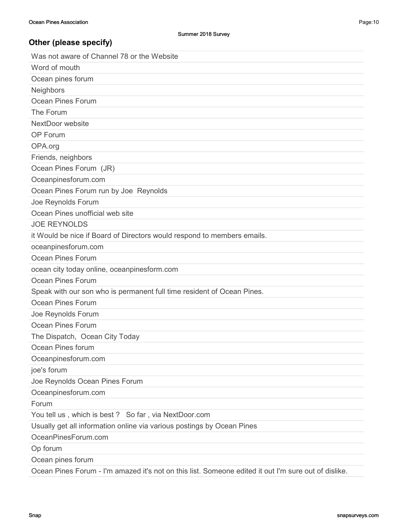| Was not aware of Channel 78 or the Website                                                           |
|------------------------------------------------------------------------------------------------------|
| Word of mouth                                                                                        |
| Ocean pines forum                                                                                    |
| Neighbors                                                                                            |
| Ocean Pines Forum                                                                                    |
| The Forum                                                                                            |
| NextDoor website                                                                                     |
| OP Forum                                                                                             |
| OPA.org                                                                                              |
| Friends, neighbors                                                                                   |
| Ocean Pines Forum (JR)                                                                               |
| Oceanpinesforum.com                                                                                  |
| Ocean Pines Forum run by Joe Reynolds                                                                |
| Joe Reynolds Forum                                                                                   |
| Ocean Pines unofficial web site                                                                      |
| <b>JOE REYNOLDS</b>                                                                                  |
| it Would be nice if Board of Directors would respond to members emails.                              |
| oceanpinesforum.com                                                                                  |
| Ocean Pines Forum                                                                                    |
| ocean city today online, oceanpinesform.com                                                          |
| Ocean Pines Forum                                                                                    |
| Speak with our son who is permanent full time resident of Ocean Pines.                               |
| Ocean Pines Forum                                                                                    |
| Joe Reynolds Forum                                                                                   |
| Ocean Pines Forum                                                                                    |
| The Dispatch, Ocean City Today                                                                       |
| Ocean Pines forum                                                                                    |
| Oceanpinesforum.com                                                                                  |
| joe's forum                                                                                          |
| Joe Reynolds Ocean Pines Forum                                                                       |
| Oceanpinesforum.com                                                                                  |
| Forum                                                                                                |
| You tell us, which is best? So far, via NextDoor.com                                                 |
| Usually get all information online via various postings by Ocean Pines                               |
| OceanPinesForum.com                                                                                  |
| Op forum                                                                                             |
| Ocean pines forum                                                                                    |
| Ocean Pines Forum - I'm amazed it's not on this list. Someone edited it out I'm sure out of dislike. |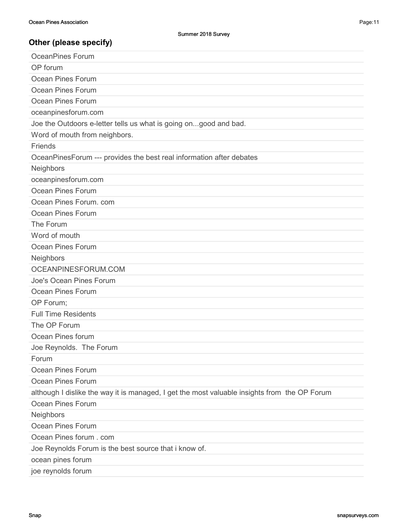| <b>OceanPines Forum</b>                                                                      |
|----------------------------------------------------------------------------------------------|
| OP forum                                                                                     |
| Ocean Pines Forum                                                                            |
| Ocean Pines Forum                                                                            |
| Ocean Pines Forum                                                                            |
| oceanpinesforum.com                                                                          |
| Joe the Outdoors e-letter tells us what is going ongood and bad.                             |
| Word of mouth from neighbors.                                                                |
| Friends                                                                                      |
| OceanPinesForum --- provides the best real information after debates                         |
| Neighbors                                                                                    |
| oceanpinesforum.com                                                                          |
| Ocean Pines Forum                                                                            |
| Ocean Pines Forum. com                                                                       |
| Ocean Pines Forum                                                                            |
| The Forum                                                                                    |
| Word of mouth                                                                                |
| Ocean Pines Forum                                                                            |
| Neighbors                                                                                    |
| OCEANPINESFORUM.COM                                                                          |
| Joe's Ocean Pines Forum                                                                      |
| <b>Ocean Pines Forum</b>                                                                     |
| OP Forum;                                                                                    |
| <b>Full Time Residents</b>                                                                   |
| The OP Forum                                                                                 |
| Ocean Pines forum                                                                            |
| Joe Reynolds. The Forum                                                                      |
| Forum                                                                                        |
| <b>Ocean Pines Forum</b>                                                                     |
| <b>Ocean Pines Forum</b>                                                                     |
| although I dislike the way it is managed, I get the most valuable insights from the OP Forum |
| Ocean Pines Forum                                                                            |
| Neighbors                                                                                    |
| Ocean Pines Forum                                                                            |
| Ocean Pines forum . com                                                                      |
| Joe Reynolds Forum is the best source that i know of.                                        |
| ocean pines forum                                                                            |
| joe reynolds forum                                                                           |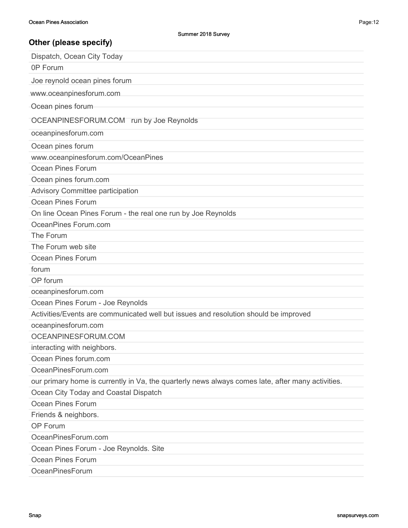| Dispatch, Ocean City Today                                                                        |
|---------------------------------------------------------------------------------------------------|
| 0P Forum                                                                                          |
| Joe reynold ocean pines forum                                                                     |
| www.oceanpinesforum.com                                                                           |
| Ocean pines forum                                                                                 |
|                                                                                                   |
| OCEANPINESFORUM.COM run by Joe Reynolds                                                           |
| oceanpinesforum.com                                                                               |
| Ocean pines forum                                                                                 |
| www.oceanpinesforum.com/OceanPines                                                                |
| Ocean Pines Forum                                                                                 |
| Ocean pines forum.com                                                                             |
| <b>Advisory Committee participation</b>                                                           |
| Ocean Pines Forum                                                                                 |
| On line Ocean Pines Forum - the real one run by Joe Reynolds                                      |
| OceanPines Forum.com                                                                              |
| The Forum                                                                                         |
| The Forum web site                                                                                |
| Ocean Pines Forum                                                                                 |
| forum                                                                                             |
| OP forum                                                                                          |
| oceanpinesforum.com                                                                               |
| Ocean Pines Forum - Joe Reynolds                                                                  |
| Activities/Events are communicated well but issues and resolution should be improved              |
| oceanpinesforum.com                                                                               |
| OCEANPINESFORUM.COM                                                                               |
| interacting with neighbors.                                                                       |
| Ocean Pines forum.com                                                                             |
| OceanPinesForum.com                                                                               |
| our primary home is currently in Va, the quarterly news always comes late, after many activities. |
| Ocean City Today and Coastal Dispatch                                                             |
| <b>Ocean Pines Forum</b>                                                                          |
| Friends & neighbors.                                                                              |
| OP Forum                                                                                          |
| OceanPinesForum.com                                                                               |
| Ocean Pines Forum - Joe Reynolds. Site                                                            |
| <b>Ocean Pines Forum</b>                                                                          |
| OceanPinesForum                                                                                   |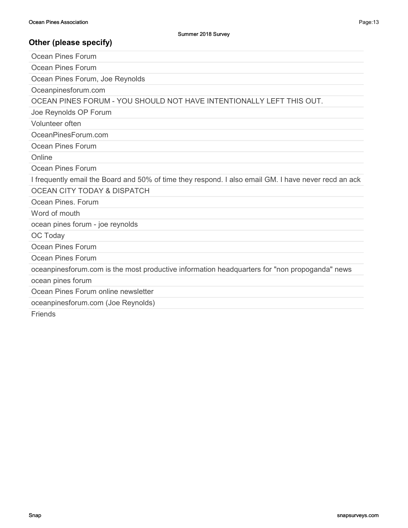| Ocean Pines Forum                                                                                    |
|------------------------------------------------------------------------------------------------------|
| Ocean Pines Forum                                                                                    |
| Ocean Pines Forum, Joe Reynolds                                                                      |
| Oceanpinesforum.com                                                                                  |
| OCEAN PINES FORUM - YOU SHOULD NOT HAVE INTENTIONALLY LEFT THIS OUT.                                 |
| Joe Reynolds OP Forum                                                                                |
| Volunteer often                                                                                      |
| OceanPinesForum.com                                                                                  |
| Ocean Pines Forum                                                                                    |
| Online                                                                                               |
| Ocean Pines Forum                                                                                    |
| I frequently email the Board and 50% of time they respond. I also email GM. I have never recd an ack |
| <b>OCEAN CITY TODAY &amp; DISPATCH</b>                                                               |
| Ocean Pines, Forum                                                                                   |
| Word of mouth                                                                                        |
| ocean pines forum - joe reynolds                                                                     |
| OC Today                                                                                             |
| Ocean Pines Forum                                                                                    |
| Ocean Pines Forum                                                                                    |
| oceanpinesforum.com is the most productive information headquarters for "non propoganda" news        |
| ocean pines forum                                                                                    |
| Ocean Pines Forum online newsletter                                                                  |
| oceanpinesforum.com (Joe Reynolds)                                                                   |
| <b>Friends</b>                                                                                       |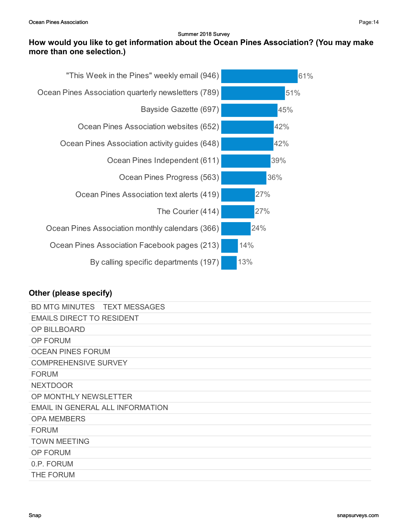## How would you like to get information about the Ocean Pines Association? (You may make more than one selection.)



| BD MTG MINUTES TEXT MESSAGES     |  |
|----------------------------------|--|
| <b>EMAILS DIRECT TO RESIDENT</b> |  |
| <b>OP BILLBOARD</b>              |  |
| OP FORUM                         |  |
| <b>OCEAN PINES FORUM</b>         |  |
| <b>COMPREHENSIVE SURVEY</b>      |  |
| <b>FORUM</b>                     |  |
| <b>NEXTDOOR</b>                  |  |
| OP MONTHLY NEWSLETTER            |  |
| EMAIL IN GENERAL ALL INFORMATION |  |
| <b>OPA MEMBERS</b>               |  |
| <b>FORUM</b>                     |  |
| <b>TOWN MEETING</b>              |  |
| <b>OP FORUM</b>                  |  |
| 0.P. FORUM                       |  |
| THE FORUM                        |  |
|                                  |  |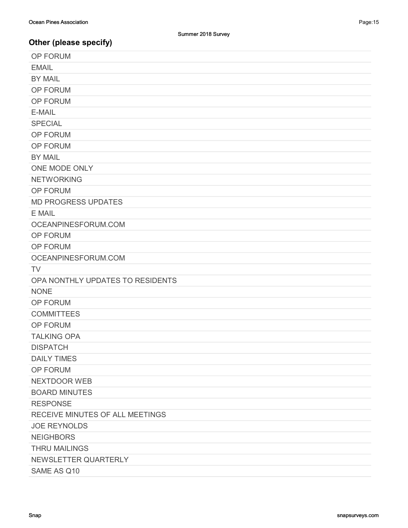| <b>OP FORUM</b>                  |
|----------------------------------|
| <b>EMAIL</b>                     |
| <b>BY MAIL</b>                   |
| OP FORUM                         |
| OP FORUM                         |
| E-MAIL                           |
| <b>SPECIAL</b>                   |
| OP FORUM                         |
| <b>OP FORUM</b>                  |
| <b>BY MAIL</b>                   |
| ONE MODE ONLY                    |
| <b>NETWORKING</b>                |
| OP FORUM                         |
| <b>MD PROGRESS UPDATES</b>       |
| E MAIL                           |
| OCEANPINESFORUM.COM              |
| OP FORUM                         |
| OP FORUM                         |
| OCEANPINESFORUM.COM              |
|                                  |
| <b>TV</b>                        |
| OPA NONTHLY UPDATES TO RESIDENTS |
| <b>NONE</b>                      |
| OP FORUM                         |
| <b>COMMITTEES</b>                |
| OP FORUM                         |
| <b>TALKING OPA</b>               |
| <b>DISPATCH</b>                  |
| <b>DAILY TIMES</b>               |
| OP FORUM                         |
| NEXTDOOR WEB                     |
| <b>BOARD MINUTES</b>             |
| <b>RESPONSE</b>                  |
| RECEIVE MINUTES OF ALL MEETINGS  |
| <b>JOE REYNOLDS</b>              |
| <b>NEIGHBORS</b>                 |
| <b>THRU MAILINGS</b>             |
| NEWSLETTER QUARTERLY             |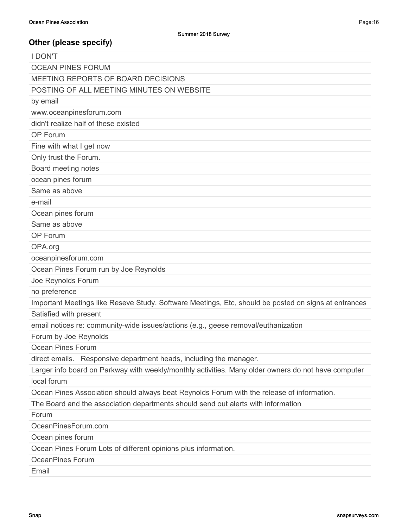| <b>I DON'T</b>                                                                                       |
|------------------------------------------------------------------------------------------------------|
| <b>OCEAN PINES FORUM</b>                                                                             |
| MEETING REPORTS OF BOARD DECISIONS                                                                   |
| POSTING OF ALL MEETING MINUTES ON WEBSITE                                                            |
| by email                                                                                             |
| www.oceanpinesforum.com                                                                              |
| didn't realize half of these existed                                                                 |
| OP Forum                                                                                             |
| Fine with what I get now                                                                             |
| Only trust the Forum.                                                                                |
| Board meeting notes                                                                                  |
| ocean pines forum                                                                                    |
| Same as above                                                                                        |
| e-mail                                                                                               |
| Ocean pines forum                                                                                    |
| Same as above                                                                                        |
| OP Forum                                                                                             |
| OPA.org                                                                                              |
| oceanpinesforum.com                                                                                  |
| Ocean Pines Forum run by Joe Reynolds                                                                |
| Joe Reynolds Forum                                                                                   |
| no preference                                                                                        |
| Important Meetings like Reseve Study, Software Meetings, Etc, should be posted on signs at entrances |
| Satisfied with present                                                                               |
| email notices re: community-wide issues/actions (e.g., geese removal/euthanization                   |
| Forum by Joe Reynolds                                                                                |
| Ocean Pines Forum                                                                                    |
| direct emails. Responsive department heads, including the manager.                                   |
| Larger info board on Parkway with weekly/monthly activities. Many older owners do not have computer  |
| local forum                                                                                          |
| Ocean Pines Association should always beat Reynolds Forum with the release of information.           |
| The Board and the association departments should send out alerts with information                    |
| Forum                                                                                                |
| OceanPinesForum.com                                                                                  |
| Ocean pines forum                                                                                    |
| Ocean Pines Forum Lots of different opinions plus information.                                       |
| <b>OceanPines Forum</b>                                                                              |
| Email                                                                                                |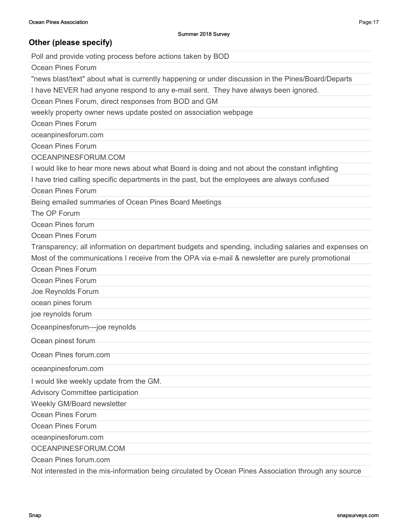Poll and provide voting process before actions taken by BOD

Ocean Pines Forum

"news blast/text" about what is currently happening or under discussion in the Pines/Board/Departs

I have NEVER had anyone respond to any e-mail sent. They have always been ignored.

Ocean Pines Forum, direct responses from BOD and GM

weekly property owner news update posted on association webpage

Ocean Pines Forum

oceanpinesforum.com

Ocean Pines Forum

OCEANPINESFORUM.COM

I would like to hear more news about what Board is doing and not about the constant infighting

I have tried calling specific departments in the past, but the employees are always confused

Ocean Pines Forum

Being emailed summaries of Ocean Pines Board Meetings

The OP Forum

Ocean Pines forum

Ocean Pines Forum

Transparency; all information on department budgets and spending, including salaries and expenses on Most of the communications I receive from the OPA via e-mail & newsletter are purely promotional

Ocean Pines Forum

Ocean Pines Forum

Joe Reynolds Forum

ocean pines forum

joe reynolds forum

Oceanpinesforum---joe reynolds

Ocean pinest forum

Ocean Pines forum.com

oceanpinesforum.com

I would like weekly update from the GM.

Advisory Committee participation

Weekly GM/Board newsletter

Ocean Pines Forum

Ocean Pines Forum

oceanpinesforum.com

OCEANPINESFORUM.COM

Ocean Pines forum.com

Not interested in the mis-information being circulated by Ocean Pines Association through any source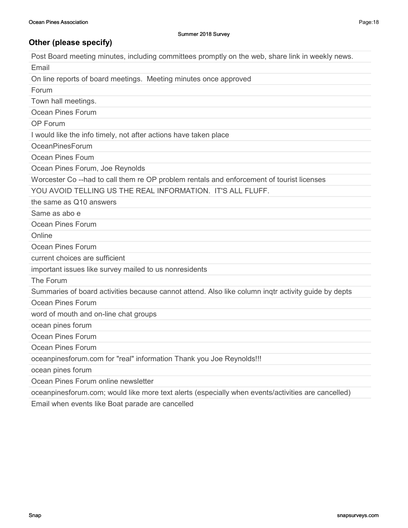Post Board meeting minutes, including committees promptly on the web, share link in weekly news.

Email

On line reports of board meetings. Meeting minutes once approved

Forum

Town hall meetings.

Ocean Pines Forum

OP Forum

I would like the info timely, not after actions have taken place

OceanPinesForum

Ocean Pines Foum

Ocean Pines Forum, Joe Reynolds

Worcester Co --had to call them re OP problem rentals and enforcement of tourist licenses

YOU AVOID TELLING US THE REAL INFORMATION. IT'S ALL FLUFF.

the same as Q10 answers

Same as abo e

Ocean Pines Forum

**Online** 

Ocean Pines Forum

current choices are sufficient

important issues like survey mailed to us nonresidents

The Forum

Summaries of board activities because cannot attend. Also like column inqtr activity guide by depts

Ocean Pines Forum

word of mouth and on-line chat groups

ocean pines forum

Ocean Pines Forum

Ocean Pines Forum

oceanpinesforum.com for "real" information Thank you Joe Reynolds!!!

ocean pines forum

Ocean Pines Forum online newsletter

oceanpinesforum.com; would like more text alerts (especially when events/activities are cancelled)

Email when events like Boat parade are cancelled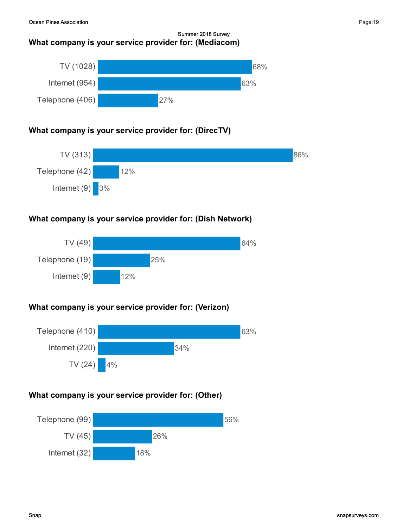### Summer 2018 Survey What company is your service provider for: (Mediacom)



## What company is your service provider for: (DirecTV)



## What company is your service provider for: (Dish Network)



## What company is your service provider for: (Verizon)



## What company is your service provider for: (Other)

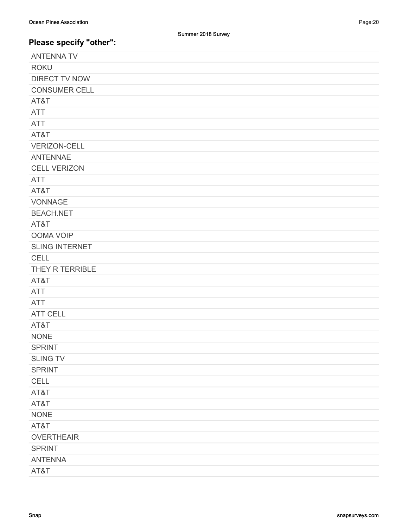| <b>ANTENNA TV</b>     |
|-----------------------|
| <b>ROKU</b>           |
| <b>DIRECT TV NOW</b>  |
| <b>CONSUMER CELL</b>  |
| AT&T                  |
| <b>ATT</b>            |
| <b>ATT</b>            |
| AT&T                  |
| <b>VERIZON-CELL</b>   |
| <b>ANTENNAE</b>       |
| <b>CELL VERIZON</b>   |
| <b>ATT</b>            |
| AT&T                  |
| <b>VONNAGE</b>        |
| <b>BEACH.NET</b>      |
| AT&T                  |
| <b>OOMA VOIP</b>      |
| <b>SLING INTERNET</b> |
| <b>CELL</b>           |
| THEY R TERRIBLE       |
| AT&T                  |
| <b>ATT</b>            |
| <b>ATT</b>            |
| <b>ATT CELL</b>       |
| AT&T                  |
| <b>NONE</b>           |
| <b>SPRINT</b>         |
| <b>SLING TV</b>       |
| <b>SPRINT</b>         |
| CELL                  |
| AT&T                  |
| AT&T                  |
| <b>NONE</b>           |
| AT&T                  |
| <b>OVERTHEAIR</b>     |
| <b>SPRINT</b>         |
| <b>ANTENNA</b>        |
| AT&T                  |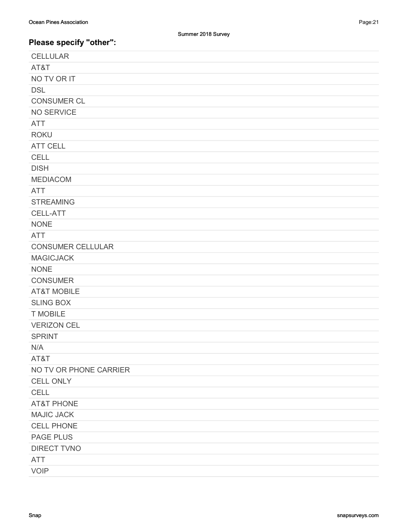| <b>CELLULAR</b>          |
|--------------------------|
| AT&T                     |
| NO TV OR IT              |
| <b>DSL</b>               |
| <b>CONSUMER CL</b>       |
| NO SERVICE               |
| <b>ATT</b>               |
| <b>ROKU</b>              |
| <b>ATT CELL</b>          |
| <b>CELL</b>              |
| <b>DISH</b>              |
| <b>MEDIACOM</b>          |
| <b>ATT</b>               |
| <b>STREAMING</b>         |
| CELL-ATT                 |
| <b>NONE</b>              |
| <b>ATT</b>               |
| <b>CONSUMER CELLULAR</b> |
| <b>MAGICJACK</b>         |
| <b>NONE</b>              |
| <b>CONSUMER</b>          |
| <b>AT&amp;T MOBILE</b>   |
| <b>SLING BOX</b>         |
| <b>T MOBILE</b>          |
| <b>VERIZON CEL</b>       |
| <b>SPRINT</b>            |
| N/A                      |
| AT&T                     |
| NO TV OR PHONE CARRIER   |
| <b>CELL ONLY</b>         |
| CELL                     |
| <b>AT&amp;T PHONE</b>    |
| <b>MAJIC JACK</b>        |
| <b>CELL PHONE</b>        |
| <b>PAGE PLUS</b>         |
| <b>DIRECT TVNO</b>       |
| <b>ATT</b>               |
| <b>VOIP</b>              |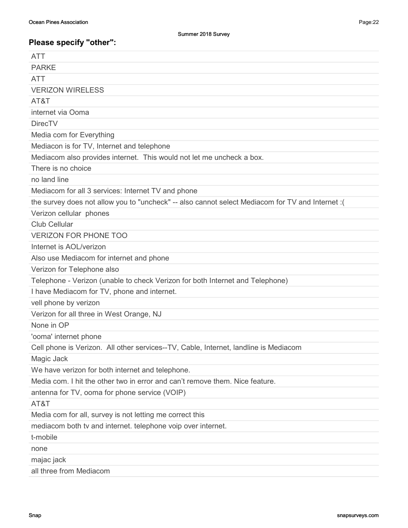| <b>ATT</b>                                                                                        |
|---------------------------------------------------------------------------------------------------|
| <b>PARKE</b>                                                                                      |
| <b>ATT</b>                                                                                        |
| <b>VERIZON WIRELESS</b>                                                                           |
| AT&T                                                                                              |
| internet via Ooma                                                                                 |
| <b>DirecTV</b>                                                                                    |
| Media com for Everything                                                                          |
| Mediacon is for TV, Internet and telephone                                                        |
| Mediacom also provides internet. This would not let me uncheck a box.                             |
| There is no choice                                                                                |
| no land line                                                                                      |
| Mediacom for all 3 services: Internet TV and phone                                                |
| the survey does not allow you to "uncheck" -- also cannot select Mediacom for TV and Internet : ( |
| Verizon cellular phones                                                                           |
| <b>Club Cellular</b>                                                                              |
| <b>VERIZON FOR PHONE TOO</b>                                                                      |
| Internet is AOL/verizon                                                                           |
| Also use Mediacom for internet and phone                                                          |
| Verizon for Telephone also                                                                        |
| Telephone - Verizon (unable to check Verizon for both Internet and Telephone)                     |
| I have Mediacom for TV, phone and internet.                                                       |
| vell phone by verizon                                                                             |
| Verizon for all three in West Orange, NJ                                                          |
| None in OP                                                                                        |
| 'ooma' internet phone                                                                             |
| Cell phone is Verizon. All other services--TV, Cable, Internet, landline is Mediacom              |
| Magic Jack                                                                                        |
| We have verizon for both internet and telephone.                                                  |
| Media com. I hit the other two in error and can't remove them. Nice feature.                      |
| antenna for TV, ooma for phone service (VOIP)                                                     |
| AT&T                                                                                              |
| Media com for all, survey is not letting me correct this                                          |
| mediacom both tv and internet. telephone voip over internet.                                      |
| t-mobile                                                                                          |
| none                                                                                              |
| majac jack                                                                                        |
| all three from Mediacom                                                                           |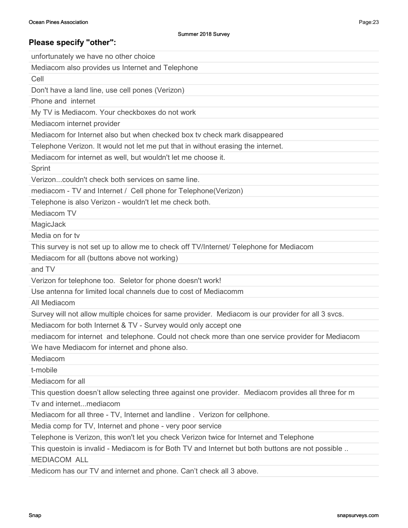unfortunately we have no other choice Mediacom also provides us Internet and Telephone Cell Don't have a land line, use cell pones (Verizon) Phone and internet My TV is Mediacom. Your checkboxes do not work Mediacom internet provider Mediacom for Internet also but when checked box tv check mark disappeared Telephone Verizon. It would not let me put that in without erasing the internet. Mediacom for internet as well, but wouldn't let me choose it. Sprint Verizon...couldn't check both services on same line. mediacom - TV and Internet / Cell phone for Telephone(Verizon) Telephone is also Verizon - wouldn't let me check both. Mediacom TV **MagicJack** Media on for tv This survey is not set up to allow me to check off TV/Internet/ Telephone for Mediacom Mediacom for all (buttons above not working) and TV Verizon for telephone too. Seletor for phone doesn't work! Use antenna for limited local channels due to cost of Mediacomm All Mediacom Survey will not allow multiple choices for same provider. Mediacom is our provider for all 3 svcs. Mediacom for both Internet & TV - Survey would only accept one mediacom for internet and telephone. Could not check more than one service provider for Mediacom We have Mediacom for internet and phone also. Mediacom t-mobile Mediacom for all This question doesn't allow selecting three against one provider. Mediacom provides all three for m Tv and internet...mediacom Mediacom for all three - TV, Internet and landline . Verizon for cellphone. Media comp for TV, Internet and phone - very poor service Telephone is Verizon, this won't let you check Verizon twice for Internet and Telephone This questoin is invalid - Mediacom is for Both TV and Internet but both buttons are not possible ..

MEDIACOM ALL

Medicom has our TV and internet and phone. Can't check all 3 above.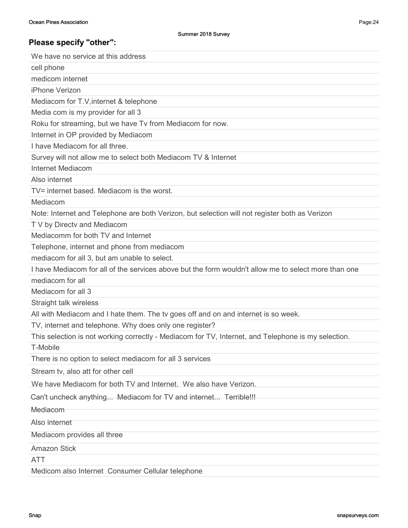| We have no service at this address                                                                   |
|------------------------------------------------------------------------------------------------------|
| cell phone                                                                                           |
| medicom internet                                                                                     |
| iPhone Verizon                                                                                       |
| Mediacom for T.V, internet & telephone                                                               |
| Media com is my provider for all 3                                                                   |
| Roku for streaming, but we have Tv from Mediacom for now.                                            |
| Internet in OP provided by Mediacom                                                                  |
| I have Mediacom for all three.                                                                       |
| Survey will not allow me to select both Mediacom TV & Internet                                       |
| Internet Mediacom                                                                                    |
| Also internet                                                                                        |
| TV= internet based. Mediacom is the worst.                                                           |
| Mediacom                                                                                             |
| Note: Internet and Telephone are both Verizon, but selection will not register both as Verizon       |
| T V by Directv and Mediacom                                                                          |
| Mediacomm for both TV and Internet                                                                   |
| Telephone, internet and phone from mediacom                                                          |
| mediacom for all 3, but am unable to select.                                                         |
| I have Mediacom for all of the services above but the form wouldn't allow me to select more than one |
| mediacom for all                                                                                     |
| Mediacom for all 3                                                                                   |
| Straight talk wireless                                                                               |
| All with Mediacom and I hate them. The tv goes off and on and internet is so week.                   |
| TV, internet and telephone. Why does only one register?                                              |
| This selection is not working correctly - Mediacom for TV, Internet, and Telephone is my selection.  |
| T-Mobile                                                                                             |
| There is no option to select mediacom for all 3 services                                             |
| Stream tv, also att for other cell                                                                   |
| We have Mediacom for both TV and Internet. We also have Verizon.                                     |
| Can't uncheck anything Mediacom for TV and internet Terrible!!!                                      |
| Mediacom                                                                                             |
| Also internet                                                                                        |
| Mediacom provides all three                                                                          |
| <b>Amazon Stick</b>                                                                                  |
| <b>ATT</b>                                                                                           |
|                                                                                                      |

Medicom also Internet Consumer Cellular telephone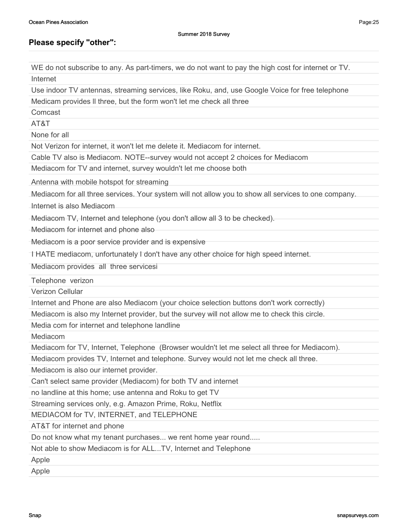WE do not subscribe to any. As part-timers, we do not want to pay the high cost for internet or TV. Internet Use indoor TV antennas, streaming services, like Roku, and, use Google Voice for free telephone Medicam provides ll three, but the form won't let me check all three Comcast AT&T None for all Not Verizon for internet, it won't let me delete it. Mediacom for internet. Cable TV also is Mediacom. NOTE--survey would not accept 2 choices for Mediacom Mediacom for TV and internet, survey wouldn't let me choose both Antenna with mobile hotspot for streaming Mediacom for all three services. Your system will not allow you to show all services to one company. Internet is also Mediacom

Mediacom TV, Internet and telephone (you don't allow all 3 to be checked).

Mediacom for internet and phone also

Mediacom is a poor service provider and is expensive

I HATE mediacom, unfortunately I don't have any other choice for high speed internet.

Mediacom provides all three servicesi

Telephone verizon

Verizon Cellular

Internet and Phone are also Mediacom (your choice selection buttons don't work correctly)

Mediacom is also my Internet provider, but the survey will not allow me to check this circle.

Media com for internet and telephone landline

Mediacom

Mediacom for TV, Internet, Telephone (Browser wouldn't let me select all three for Mediacom).

Mediacom provides TV, Internet and telephone. Survey would not let me check all three.

Mediacom is also our internet provider.

Can't select same provider (Mediacom) for both TV and internet

no landline at this home; use antenna and Roku to get TV

Streaming services only, e.g. Amazon Prime, Roku, Netflix

MEDIACOM for TV, INTERNET, and TELEPHONE

AT&T for internet and phone

Do not know what my tenant purchases... we rent home year round.....

Not able to show Mediacom is for ALL...TV, Internet and Telephone

Apple

Apple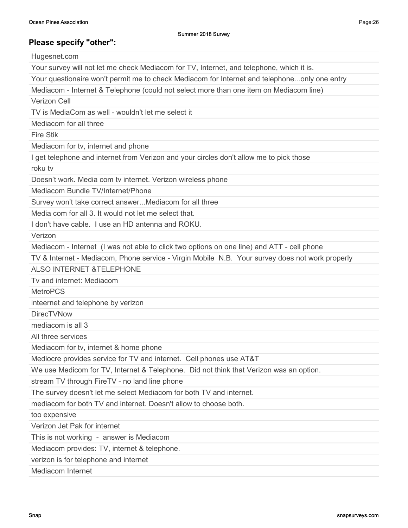Hugesnet.com Your survey will not let me check Mediacom for TV, Internet, and telephone, which it is. Your questionaire won't permit me to check Mediacom for Internet and telephone...only one entry Mediacom - Internet & Telephone (could not select more than one item on Mediacom line) Verizon Cell TV is MediaCom as well - wouldn't let me select it Mediacom for all three Fire Stik Mediacom for tv, internet and phone I get telephone and internet from Verizon and your circles don't allow me to pick those roku tv Doesn't work. Media com tv internet. Verizon wireless phone Mediacom Bundle TV/Internet/Phone Survey won't take correct answer...Mediacom for all three Media com for all 3. It would not let me select that. I don't have cable. I use an HD antenna and ROKU. Verizon Mediacom - Internet (I was not able to click two options on one line) and ATT - cell phone TV & Internet - Mediacom, Phone service - Virgin Mobile N.B. Your survey does not work properly ALSO INTERNET &TELEPHONE Tv and internet: Mediacom MetroPCS inteernet and telephone by verizon DirecTVNow mediacom is all 3 All three services Mediacom for tv, internet & home phone Mediocre provides service for TV and internet. Cell phones use AT&T We use Medicom for TV, Internet & Telephone. Did not think that Verizon was an option. stream TV through FireTV - no land line phone The survey doesn't let me select Mediacom for both TV and internet. mediacom for both TV and internet. Doesn't allow to choose both. too expensive Verizon Jet Pak for internet This is not working - answer is Mediacom Mediacom provides: TV, internet & telephone. verizon is for telephone and internet Mediacom Internet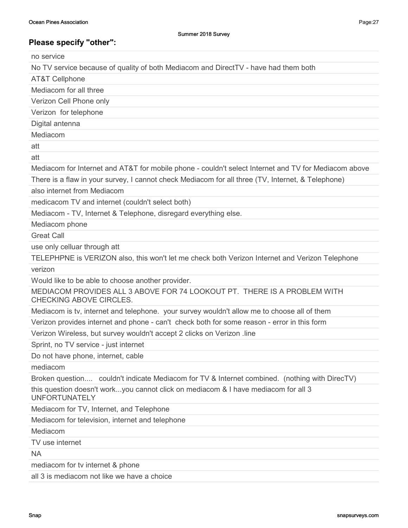no service

No TV service because of quality of both Mediacom and DirectTV - have had them both

AT&T Cellphone

Mediacom for all three

Verizon Cell Phone only

Verizon for telephone

Digital antenna

Mediacom

att

att

Mediacom for Internet and AT&T for mobile phone - couldn't select Internet and TV for Mediacom above

There is a flaw in your survey, I cannot check Mediacom for all three (TV, Internet, & Telephone)

also internet from Mediacom

medicacom TV and internet (couldn't select both)

Mediacom - TV, Internet & Telephone, disregard everything else.

Mediacom phone

Great Call

use only celluar through att

TELEPHPNE is VERIZON also, this won't let me check both Verizon Internet and Verizon Telephone verizon

Would like to be able to choose another provider.

MEDIACOM PROVIDES ALL 3 ABOVE FOR 74 LOOKOUT PT. THERE IS A PROBLEM WITH CHECKING ABOVE CIRCLES.

Mediacom is tv, internet and telephone. your survey wouldn't allow me to choose all of them

Verizon provides internet and phone - can't check both for some reason - error in this form

Verizon Wireless, but survey wouldn't accept 2 clicks on Verizon .line

Sprint, no TV service - just internet

Do not have phone, internet, cable

mediacom

Broken question.... couldn't indicate Mediacom for TV & Internet combined. (nothing with DirecTV)

this question doesn't work...you cannot click on mediacom & I have mediacom for all 3 UNFORTUNATELY

Mediacom for TV, Internet, and Telephone

Mediacom for television, internet and telephone

Mediacom

TV use internet

NA

mediacom for tv internet & phone

all 3 is mediacom not like we have a choice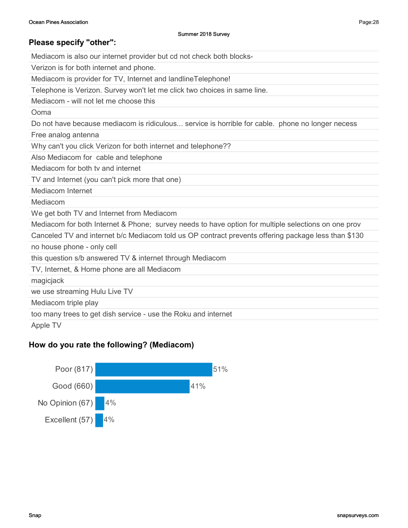Mediacom is also our internet provider but cd not check both blocks-

Verizon is for both internet and phone.

Mediacom is provider for TV, Internet and landlineTelephone!

Telephone is Verizon. Survey won't let me click two choices in same line.

Mediacom - will not let me choose this

Ooma

Do not have because mediacom is ridiculous... service is horrible for cable. phone no longer necess

Free analog antenna

Why can't you click Verizon for both internet and telephone??

Also Mediacom for cable and telephone

Mediacom for both tv and internet

TV and Internet (you can't pick more that one)

Mediacom Internet

Mediacom

We get both TV and Internet from Mediacom

Mediacom for both Internet & Phone; survey needs to have option for multiple selections on one prov

Canceled TV and internet b/c Mediacom told us OP contract prevents offering package less than \$130

no house phone - only cell

this question s/b answered TV & internet through Mediacom

TV, Internet, & Home phone are all Mediacom

magicjack

we use streaming Hulu Live TV

Mediacom triple play

too many trees to get dish service - use the Roku and internet

Apple TV

### How do you rate the following? (Mediacom)

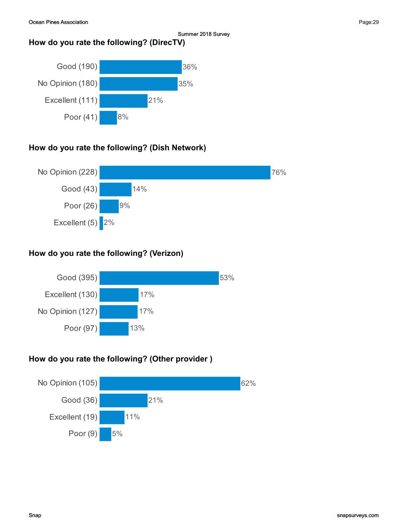## How do you rate the following? (DirecTV)



## How do you rate the following? (Dish Network)



## How do you rate the following? (Verizon)



## How do you rate the following? (Other provider )

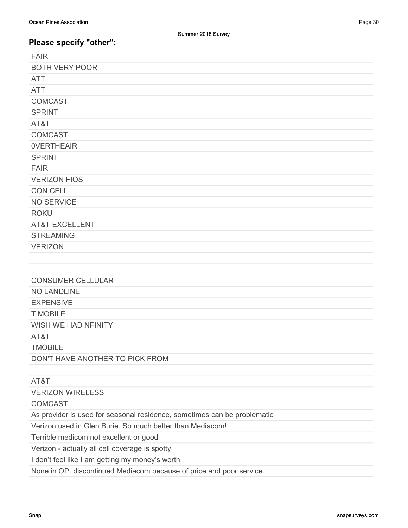| <b>FAIR</b>               |
|---------------------------|
| <b>BOTH VERY POOR</b>     |
| <b>ATT</b>                |
| <b>ATT</b>                |
| <b>COMCAST</b>            |
| <b>SPRINT</b>             |
| AT&T                      |
| <b>COMCAST</b>            |
| <b>OVERTHEAIR</b>         |
| <b>SPRINT</b>             |
| <b>FAIR</b>               |
| <b>VERIZON FIOS</b>       |
| CON CELL                  |
| <b>NO SERVICE</b>         |
| <b>ROKU</b>               |
| <b>AT&amp;T EXCELLENT</b> |
| <b>STREAMING</b>          |
| <b>VERIZON</b>            |
|                           |
|                           |
| <b>CONSUMER CELLULAR</b>  |

NO LANDLINE

EXPENSIVE

T MOBILE

WISH WE HAD NFINITY

AT&T

TMOBILE

DON'T HAVE ANOTHER TO PICK FROM

### AT&T VERIZON WIRELESS

**COMCAST** 

As provider is used for seasonal residence, sometimes can be problematic

Verizon used in Glen Burie. So much better than Mediacom!

Terrible medicom not excellent or good

Verizon - actually all cell coverage is spotty

I don't feel like I am getting my money's worth.

None in OP. discontinued Mediacom because of price and poor service.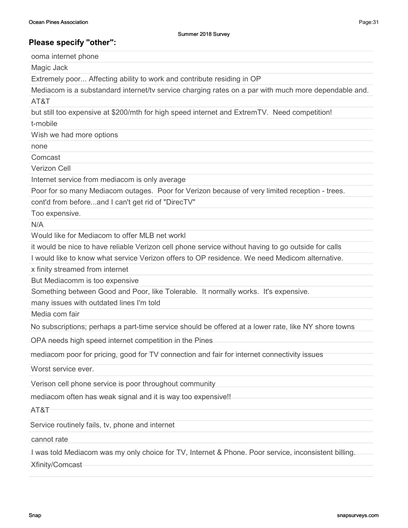ooma internet phone

Magic Jack

Extremely poor... Affecting ability to work and contribute residing in OP

Mediacom is a substandard internet/tv service charging rates on a par with much more dependable and.

AT&T

but still too expensive at \$200/mth for high speed internet and ExtremTV. Need competition!

t-mobile

Wish we had more options

none

Comcast

Verizon Cell

Internet service from mediacom is only average

Poor for so many Mediacom outages. Poor for Verizon because of very limited reception - trees.

cont'd from before...and I can't get rid of "DirecTV"

Too expensive.

N/A

Would like for Mediacom to offer MLB net workl

it would be nice to have reliable Verizon cell phone service without having to go outside for calls

I would like to know what service Verizon offers to OP residence. We need Medicom alternative.

x finity streamed from internet

But Mediacomm is too expensive

Something between Good and Poor, like Tolerable. It normally works. It's expensive.

many issues with outdated lines I'm told

Media com fair

No subscriptions; perhaps a part-time service should be offered at a lower rate, like NY shore towns

OPA needs high speed internet competition in the Pines

mediacom poor for pricing, good for TV connection and fair for internet connectivity issues

Worst service ever.

Verison cell phone service is poor throughout community

mediacom often has weak signal and it is way too expensive!!

AT&T

Service routinely fails, tv, phone and internet

cannot rate

I was told Mediacom was my only choice for TV, Internet & Phone. Poor service, inconsistent billing.

Xfinity/Comcast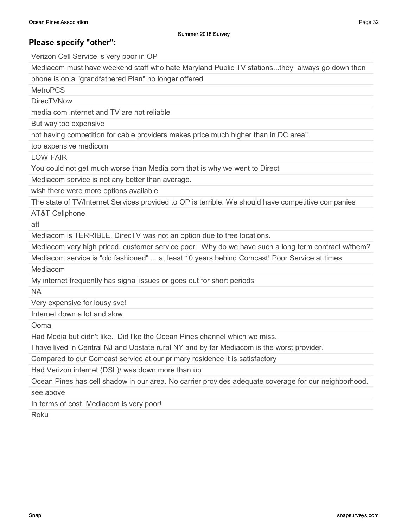Verizon Cell Service is very poor in OP

Mediacom must have weekend staff who hate Maryland Public TV stations...they always go down then

phone is on a "grandfathered Plan" no longer offered

**MetroPCS** 

**DirecTVNow** 

media com internet and TV are not reliable

But way too expensive

not having competition for cable providers makes price much higher than in DC area!!

too expensive medicom

LOW FAIR

You could not get much worse than Media com that is why we went to Direct

Mediacom service is not any better than average.

wish there were more options available

The state of TV/Internet Services provided to OP is terrible. We should have competitive companies

AT&T Cellphone

att

Mediacom is TERRIBLE. DirecTV was not an option due to tree locations.

Mediacom very high priced, customer service poor. Why do we have such a long term contract w/them?

Mediacom service is "old fashioned" ... at least 10 years behind Comcast! Poor Service at times.

Mediacom

My internet frequently has signal issues or goes out for short periods

NA

Very expensive for lousy svc!

Internet down a lot and slow

Ooma

Had Media but didn't like. Did like the Ocean Pines channel which we miss.

I have lived in Central NJ and Upstate rural NY and by far Mediacom is the worst provider.

Compared to our Comcast service at our primary residence it is satisfactory

Had Verizon internet (DSL)/ was down more than up

Ocean Pines has cell shadow in our area. No carrier provides adequate coverage for our neighborhood.

see above

In terms of cost, Mediacom is very poor!

Roku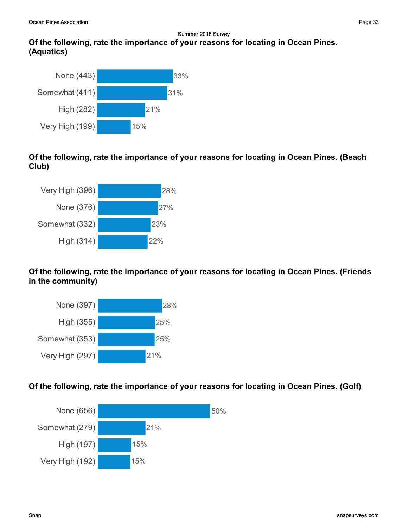# Of the following, rate the importance of your reasons for locating in Ocean Pines. (Aquatics)



### Of the following, rate the importance of your reasons for locating in Ocean Pines. (Beach Club)



## Of the following, rate the importance of your reasons for locating in Ocean Pines. (Friends in the community)



## Of the following, rate the importance of your reasons for locating in Ocean Pines. (Golf)

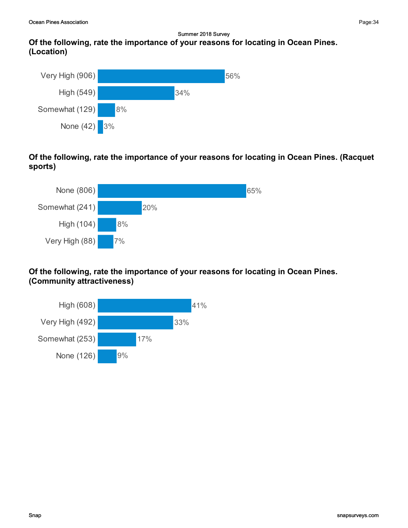

Of the following, rate the importance of your reasons for locating in Ocean Pines. (Racquet sports)



### Of the following, rate the importance of your reasons for locating in Ocean Pines. (Community attractiveness)

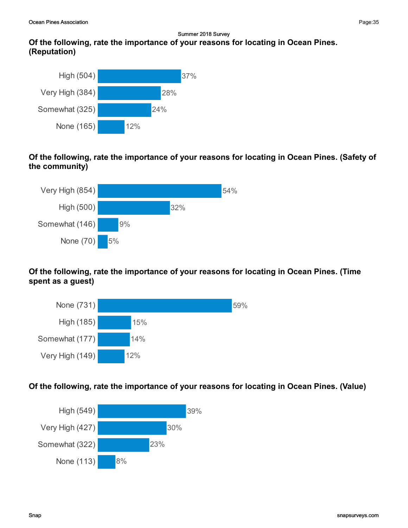# Of the following, rate the importance of your reasons for locating in Ocean Pines. (Reputation)



### Of the following, rate the importance of your reasons for locating in Ocean Pines. (Safety of the community)



## Of the following, rate the importance of your reasons for locating in Ocean Pines. (Time spent as a guest)



## Of the following, rate the importance of your reasons for locating in Ocean Pines. (Value)

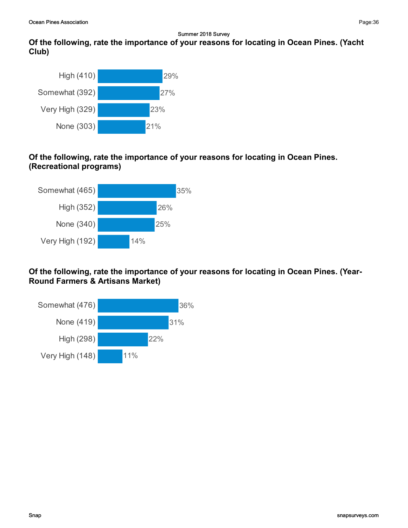## Of the following, rate the importance of your reasons for locating in Ocean Pines. (Yacht Club)



### Of the following, rate the importance of your reasons for locating in Ocean Pines. (Recreational programs)



Of the following, rate the importance of your reasons for locating in Ocean Pines. (Year-Round Farmers & Artisans Market)

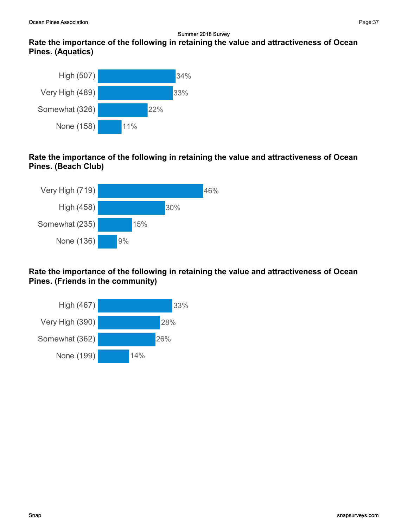## Rate the importance of the following in retaining the value and attractiveness of Ocean Pines. (Aquatics)



## Rate the importance of the following in retaining the value and attractiveness of Ocean Pines. (Beach Club)



## Rate the importance of the following in retaining the value and attractiveness of Ocean Pines. (Friends in the community)

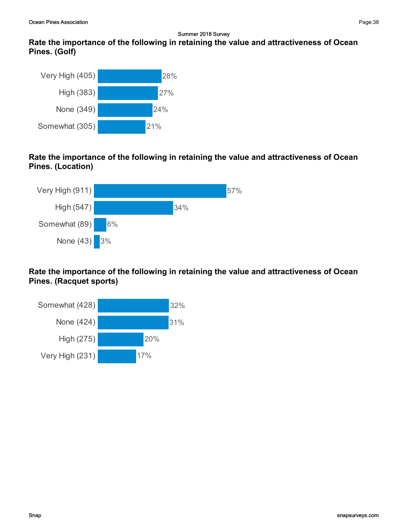## Rate the importance of the following in retaining the value and attractiveness of Ocean Pines. (Golf)



Rate the importance of the following in retaining the value and attractiveness of Ocean Pines. (Location)



Rate the importance of the following in retaining the value and attractiveness of Ocean Pines. (Racquet sports)

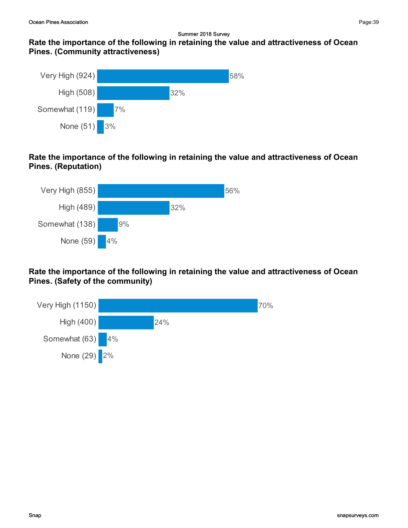## Rate the importance of the following in retaining the value and attractiveness of Ocean Pines. (Community attractiveness)



## Rate the importance of the following in retaining the value and attractiveness of Ocean Pines. (Reputation)



Rate the importance of the following in retaining the value and attractiveness of Ocean Pines. (Safety of the community)

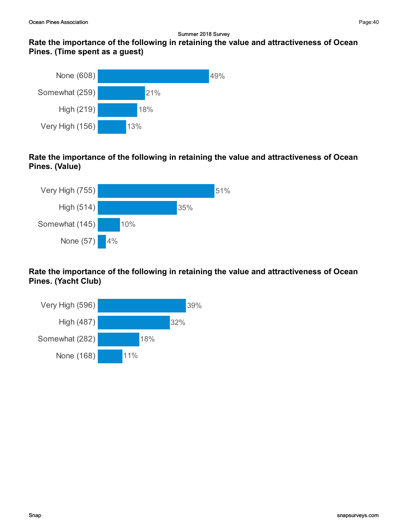## Rate the importance of the following in retaining the value and attractiveness of Ocean Pines. (Time spent as a guest)



Rate the importance of the following in retaining the value and attractiveness of Ocean Pines. (Value)



Rate the importance of the following in retaining the value and attractiveness of Ocean Pines. (Yacht Club)

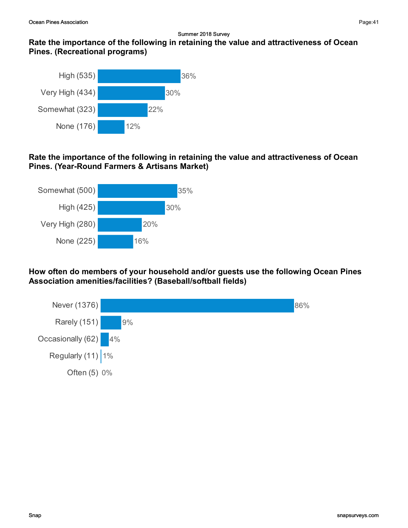## Rate the importance of the following in retaining the value and attractiveness of Ocean Pines. (Recreational programs)



### Rate the importance of the following in retaining the value and attractiveness of Ocean Pines. (Year-Round Farmers & Artisans Market)



How often do members of your household and/or guests use the following Ocean Pines Association amenities/facilities? (Baseball/softball fields)



Page:41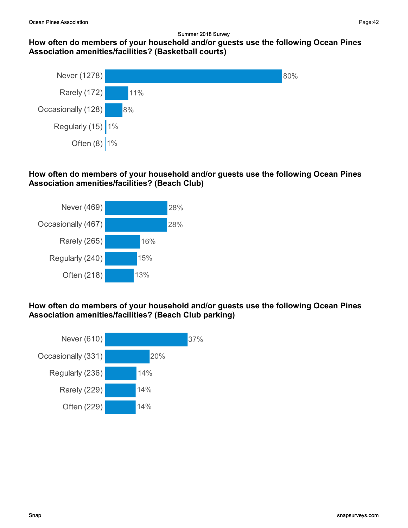## How often do members of your household and/or guests use the following Ocean Pines Association amenities/facilities? (Basketball courts)



## How often do members of your household and/or guests use the following Ocean Pines Association amenities/facilities? (Beach Club)



How often do members of your household and/or guests use the following Ocean Pines Association amenities/facilities? (Beach Club parking)

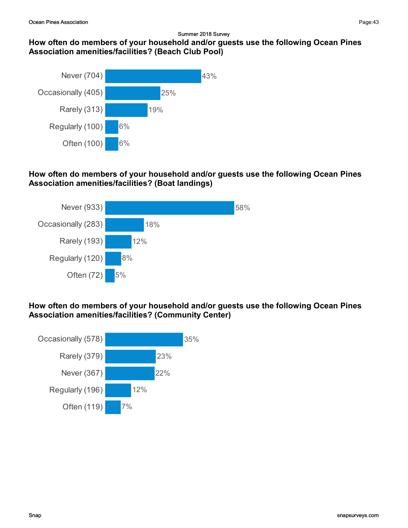## How often do members of your household and/or guests use the following Ocean Pines Association amenities/facilities? (Beach Club Pool)



### How often do members of your household and/or guests use the following Ocean Pines Association amenities/facilities? (Boat landings)



### How often do members of your household and/or guests use the following Ocean Pines Association amenities/facilities? (Community Center)

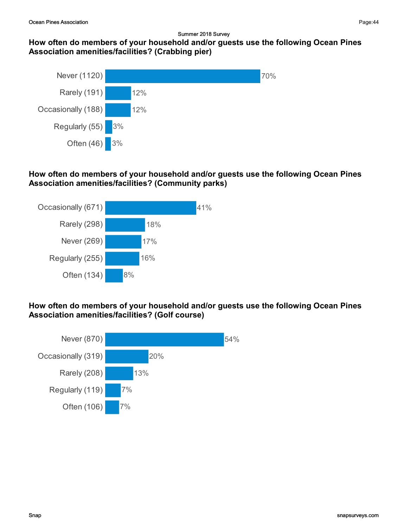## How often do members of your household and/or guests use the following Ocean Pines Association amenities/facilities? (Crabbing pier)



### How often do members of your household and/or guests use the following Ocean Pines Association amenities/facilities? (Community parks)



#### How often do members of your household and/or guests use the following Ocean Pines Association amenities/facilities? (Golf course)

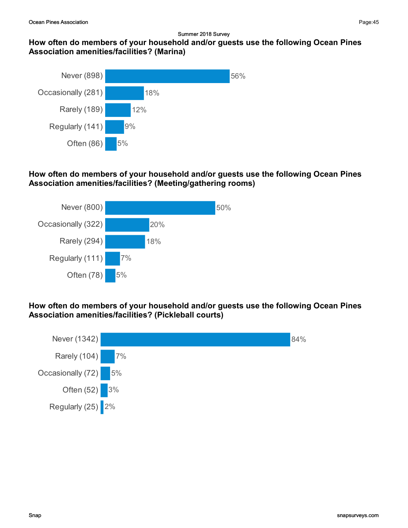## How often do members of your household and/or guests use the following Ocean Pines Association amenities/facilities? (Marina)



#### How often do members of your household and/or guests use the following Ocean Pines Association amenities/facilities? (Meeting/gathering rooms)



How often do members of your household and/or guests use the following Ocean Pines Association amenities/facilities? (Pickleball courts)

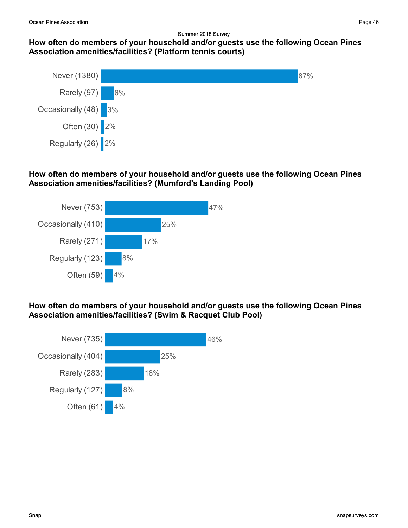## How often do members of your household and/or guests use the following Ocean Pines Association amenities/facilities? (Platform tennis courts)



#### How often do members of your household and/or guests use the following Ocean Pines Association amenities/facilities? (Mumford's Landing Pool)



#### How often do members of your household and/or guests use the following Ocean Pines Association amenities/facilities? (Swim & Racquet Club Pool)

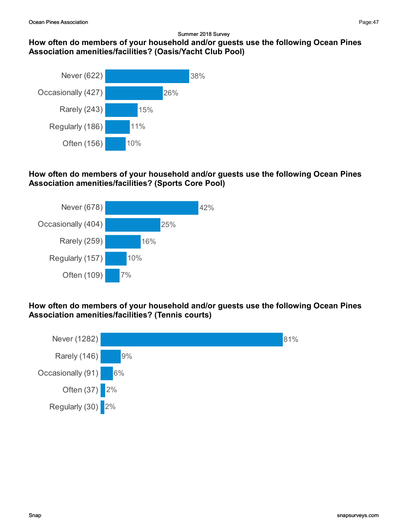## Association amenities/facilities? (Oasis/Yacht Club Pool) Never (622) Occasionally (427) 26% 26% 38%



## How often do members of your household and/or guests use the following Ocean Pines Association amenities/facilities? (Sports Core Pool)



How often do members of your household and/or guests use the following Ocean Pines Association amenities/facilities? (Tennis courts)



Page:47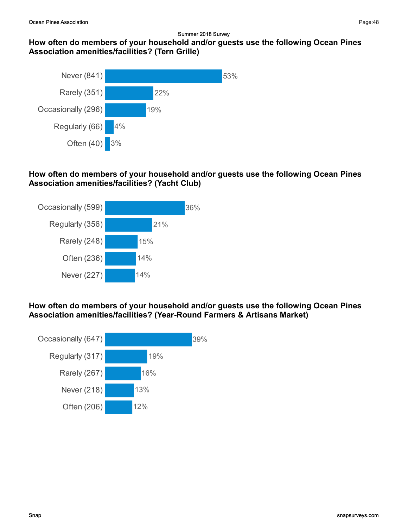## How often do members of your household and/or guests use the following Ocean Pines Association amenities/facilities? (Tern Grille)



## How often do members of your household and/or guests use the following Ocean Pines Association amenities/facilities? (Yacht Club)



How often do members of your household and/or guests use the following Ocean Pines Association amenities/facilities? (Year-Round Farmers & Artisans Market)

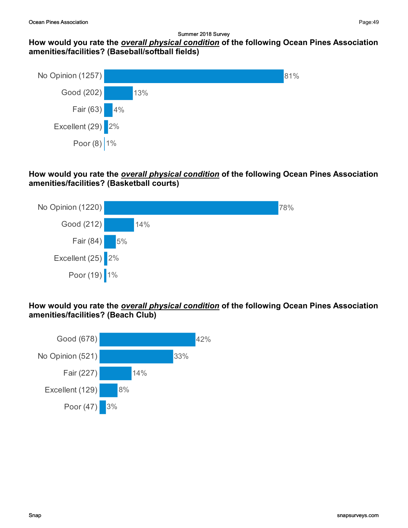### How would you rate the overall physical condition of the following Ocean Pines Association amenities/facilities? (Baseball/softball fields)



### How would you rate the **overall physical condition** of the following Ocean Pines Association amenities/facilities? (Basketball courts)



### How would you rate the **overall physical condition** of the following Ocean Pines Association amenities/facilities? (Beach Club)

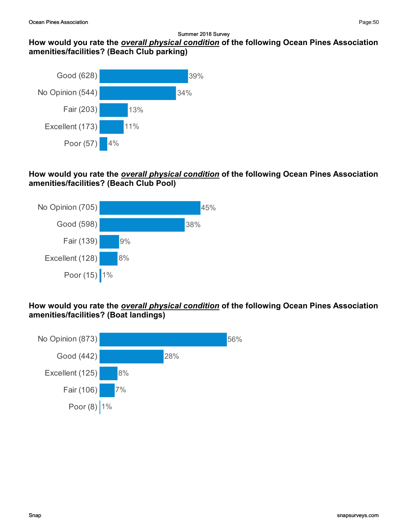#### How would you rate the overall physical condition of the following Ocean Pines Association amenities/facilities? (Beach Club parking)



#### How would you rate the *overall physical condition* of the following Ocean Pines Association amenities/facilities? (Beach Club Pool)



#### How would you rate the **overall physical condition** of the following Ocean Pines Association amenities/facilities? (Boat landings)

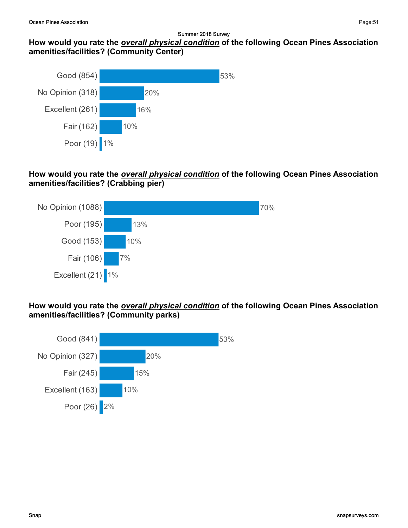### How would you rate the overall physical condition of the following Ocean Pines Association amenities/facilities? (Community Center)



### How would you rate the **overall physical condition** of the following Ocean Pines Association amenities/facilities? (Crabbing pier)



### How would you rate the **overall physical condition** of the following Ocean Pines Association amenities/facilities? (Community parks)

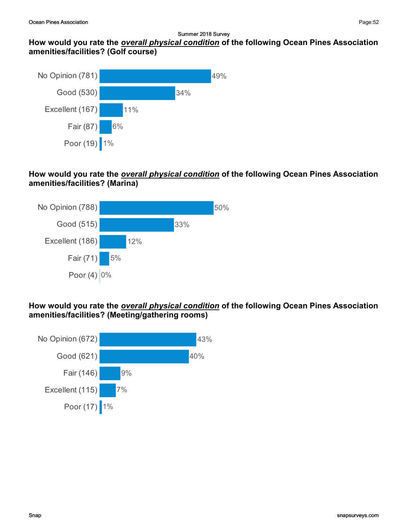## How would you rate the overall physical condition of the following Ocean Pines Association amenities/facilities? (Golf course)



### How would you rate the **overall physical condition** of the following Ocean Pines Association amenities/facilities? (Marina)



### How would you rate the **overall physical condition** of the following Ocean Pines Association amenities/facilities? (Meeting/gathering rooms)

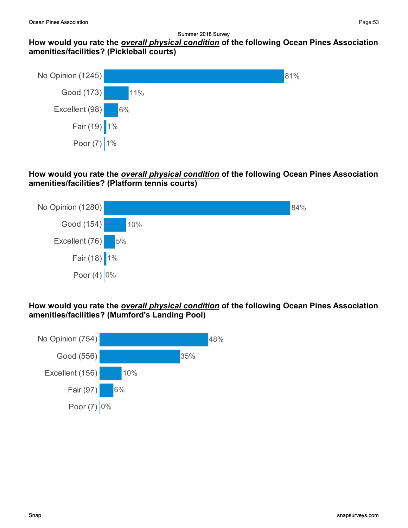#### How would you rate the overall physical condition of the following Ocean Pines Association amenities/facilities? (Pickleball courts)



#### How would you rate the **overall physical condition** of the following Ocean Pines Association amenities/facilities? (Platform tennis courts)



#### How would you rate the overall physical condition of the following Ocean Pines Association amenities/facilities? (Mumford's Landing Pool)

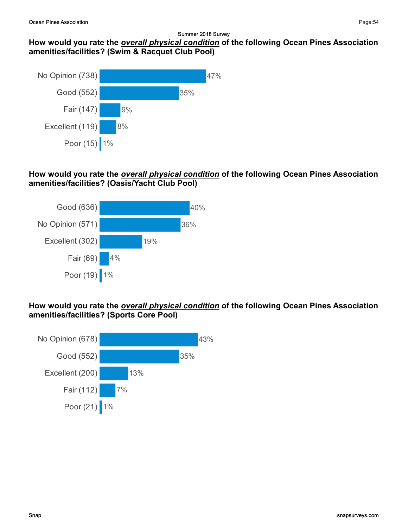## How would you rate the overall physical condition of the following Ocean Pines Association amenities/facilities? (Swim & Racquet Club Pool)



### How would you rate the **overall physical condition** of the following Ocean Pines Association amenities/facilities? (Oasis/Yacht Club Pool)



### How would you rate the **overall physical condition** of the following Ocean Pines Association amenities/facilities? (Sports Core Pool)

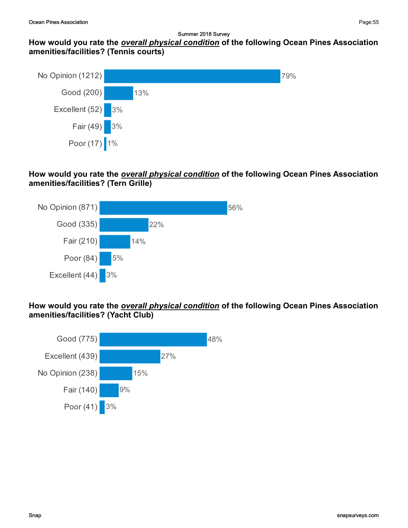#### How would you rate the overall physical condition of the following Ocean Pines Association amenities/facilities? (Tennis courts)



#### How would you rate the **overall physical condition** of the following Ocean Pines Association amenities/facilities? (Tern Grille)



#### How would you rate the overall physical condition of the following Ocean Pines Association amenities/facilities? (Yacht Club)

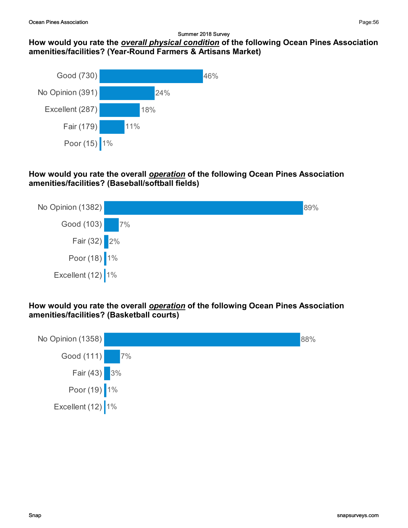#### Summer 2018 Survey How would you rate the overall physical condition of the following Ocean Pines Association amenities/facilities? (Year-Round Farmers & Artisans Market)



### How would you rate the overall *operation* of the following Ocean Pines Association amenities/facilities? (Baseball/softball fields)



How would you rate the overall *operation* of the following Ocean Pines Association amenities/facilities? (Basketball courts)

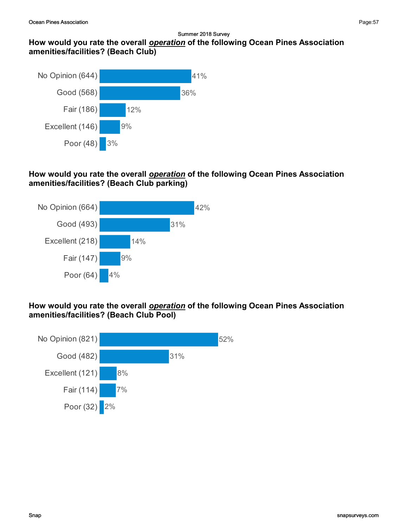## How would you rate the overall operation of the following Ocean Pines Association amenities/facilities? (Beach Club)



### How would you rate the overall *operation* of the following Ocean Pines Association amenities/facilities? (Beach Club parking)



#### How would you rate the overall *operation* of the following Ocean Pines Association amenities/facilities? (Beach Club Pool)

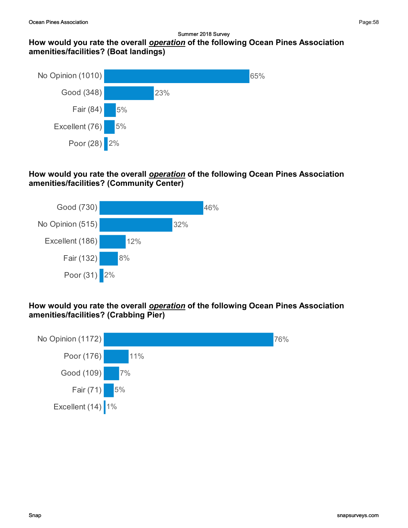## How would you rate the overall operation of the following Ocean Pines Association amenities/facilities? (Boat landings)



### How would you rate the overall **operation** of the following Ocean Pines Association amenities/facilities? (Community Center)



#### How would you rate the overall *operation* of the following Ocean Pines Association amenities/facilities? (Crabbing Pier)

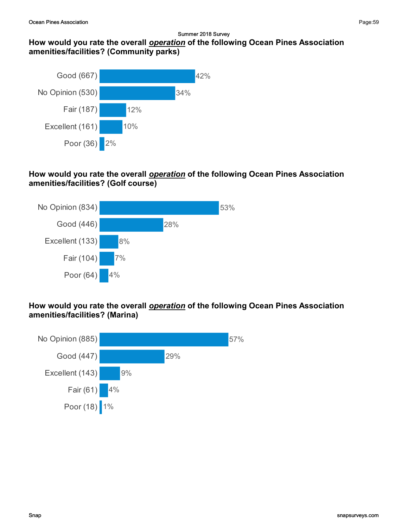## How would you rate the overall operation of the following Ocean Pines Association amenities/facilities? (Community parks)



#### How would you rate the overall *operation* of the following Ocean Pines Association amenities/facilities? (Golf course)



#### How would you rate the overall *operation* of the following Ocean Pines Association amenities/facilities? (Marina)

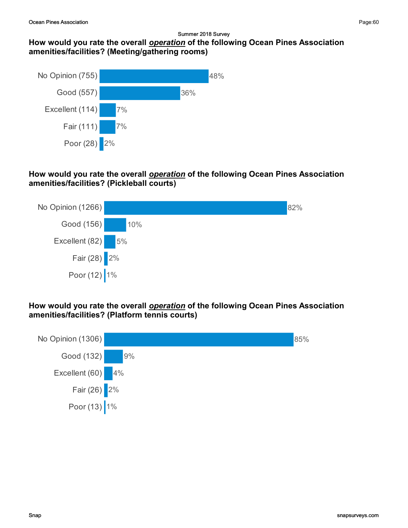## How would you rate the overall operation of the following Ocean Pines Association amenities/facilities? (Meeting/gathering rooms)



#### How would you rate the overall *operation* of the following Ocean Pines Association amenities/facilities? (Pickleball courts)



How would you rate the overall *operation* of the following Ocean Pines Association amenities/facilities? (Platform tennis courts)

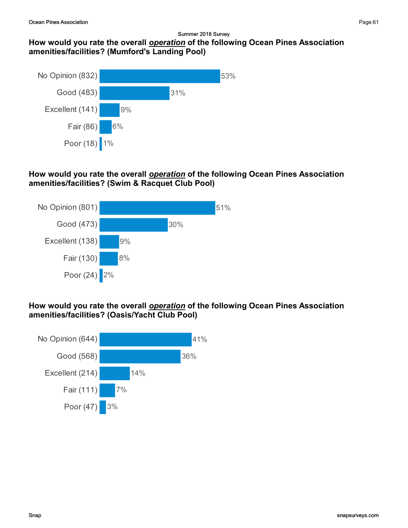## How would you rate the overall operation of the following Ocean Pines Association amenities/facilities? (Mumford's Landing Pool)



#### How would you rate the overall *operation* of the following Ocean Pines Association amenities/facilities? (Swim & Racquet Club Pool)



#### How would you rate the overall **operation** of the following Ocean Pines Association amenities/facilities? (Oasis/Yacht Club Pool)

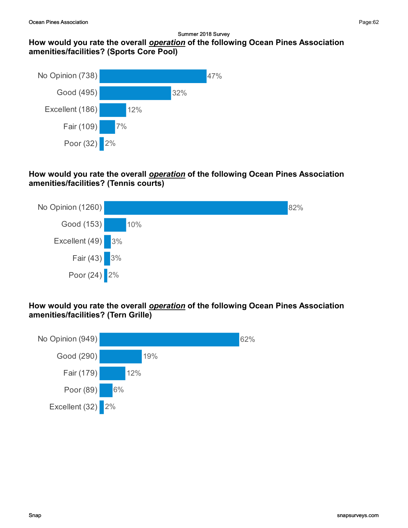## How would you rate the overall operation of the following Ocean Pines Association amenities/facilities? (Sports Core Pool)



### How would you rate the overall *operation* of the following Ocean Pines Association amenities/facilities? (Tennis courts)



### How would you rate the overall *operation* of the following Ocean Pines Association amenities/facilities? (Tern Grille)



Page:62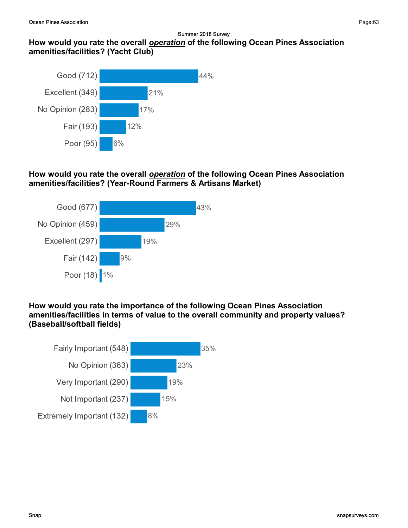## How would you rate the overall operation of the following Ocean Pines Association amenities/facilities? (Yacht Club)



### How would you rate the overall **operation** of the following Ocean Pines Association amenities/facilities? (Year-Round Farmers & Artisans Market)



#### How would you rate the importance of the following Ocean Pines Association amenities/facilities in terms of value to the overall community and property values? (Baseball/softball fields)

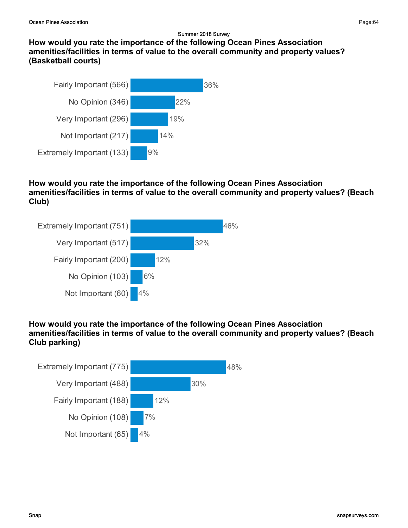How would you rate the importance of the following Ocean Pines Association amenities/facilities in terms of value to the overall community and property values? (Basketball courts)



### How would you rate the importance of the following Ocean Pines Association amenities/facilities in terms of value to the overall community and property values? (Beach Club)



## How would you rate the importance of the following Ocean Pines Association amenities/facilities in terms of value to the overall community and property values? (Beach Club parking)



Page:64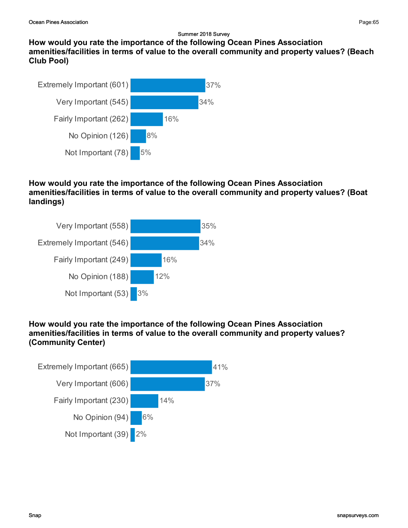How would you rate the importance of the following Ocean Pines Association amenities/facilities in terms of value to the overall community and property values? (Beach Club Pool)



### How would you rate the importance of the following Ocean Pines Association amenities/facilities in terms of value to the overall community and property values? (Boat landings)



## How would you rate the importance of the following Ocean Pines Association amenities/facilities in terms of value to the overall community and property values? (Community Center)

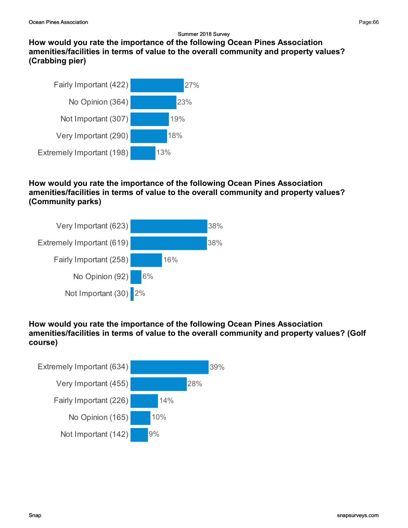How would you rate the importance of the following Ocean Pines Association amenities/facilities in terms of value to the overall community and property values? (Crabbing pier)



### How would you rate the importance of the following Ocean Pines Association amenities/facilities in terms of value to the overall community and property values? (Community parks)



### How would you rate the importance of the following Ocean Pines Association amenities/facilities in terms of value to the overall community and property values? (Golf course)

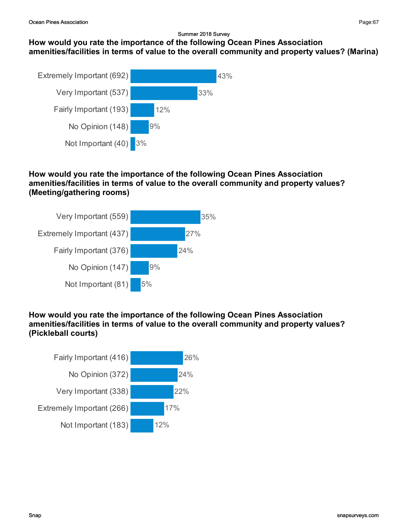## How would you rate the importance of the following Ocean Pines Association amenities/facilities in terms of value to the overall community and property values? (Marina)



#### How would you rate the importance of the following Ocean Pines Association amenities/facilities in terms of value to the overall community and property values? (Meeting/gathering rooms)



### How would you rate the importance of the following Ocean Pines Association amenities/facilities in terms of value to the overall community and property values? (Pickleball courts)



Page:67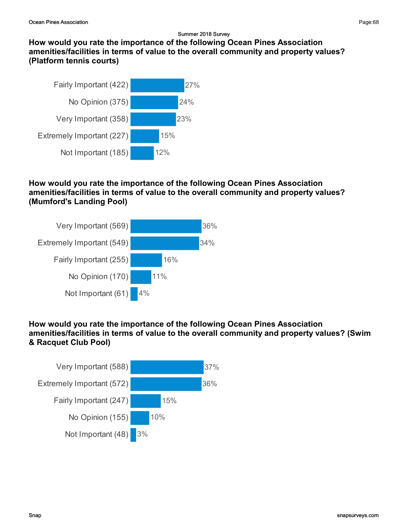How would you rate the importance of the following Ocean Pines Association amenities/facilities in terms of value to the overall community and property values? (Platform tennis courts)



### How would you rate the importance of the following Ocean Pines Association amenities/facilities in terms of value to the overall community and property values? (Mumford's Landing Pool)



### How would you rate the importance of the following Ocean Pines Association amenities/facilities in terms of value to the overall community and property values? (Swim & Racquet Club Pool)

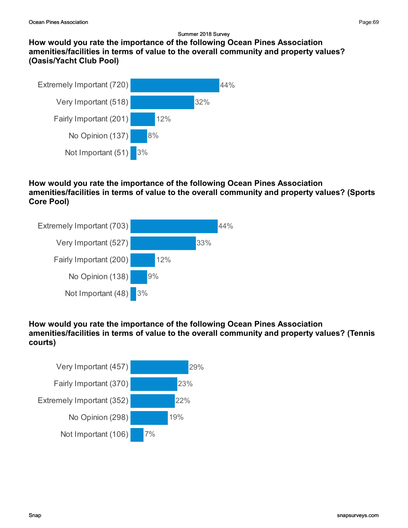

### How would you rate the importance of the following Ocean Pines Association amenities/facilities in terms of value to the overall community and property values? (Sports Core Pool)



## How would you rate the importance of the following Ocean Pines Association amenities/facilities in terms of value to the overall community and property values? (Tennis courts)



Page:69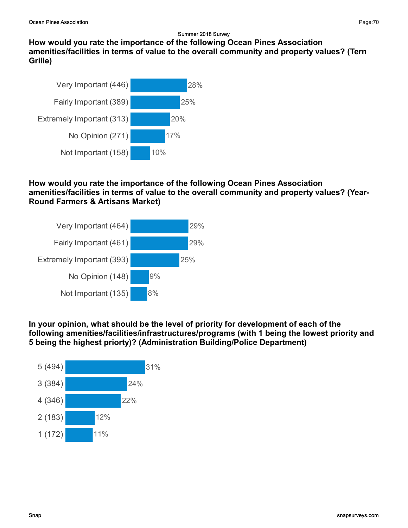How would you rate the importance of the following Ocean Pines Association amenities/facilities in terms of value to the overall community and property values? (Tern Grille)



### How would you rate the importance of the following Ocean Pines Association amenities/facilities in terms of value to the overall community and property values? (Year-Round Farmers & Artisans Market)



### In your opinion, what should be the level of priority for development of each of the following amenities/facilities/infrastructures/programs (with 1 being the lowest priority and 5 being the highest priorty)? (Administration Building/Police Department)

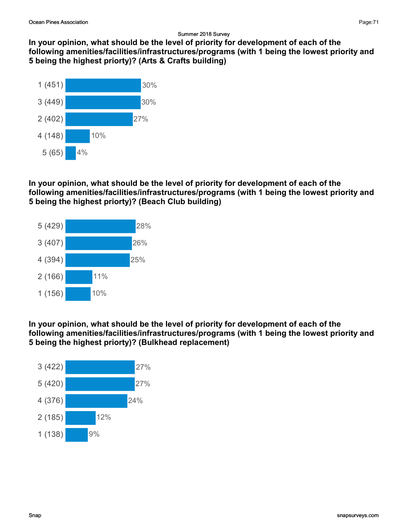In your opinion, what should be the level of priority for development of each of the following amenities/facilities/infrastructures/programs (with 1 being the lowest priority and 5 being the highest priorty)? (Arts & Crafts building)



In your opinion, what should be the level of priority for development of each of the following amenities/facilities/infrastructures/programs (with 1 being the lowest priority and 5 being the highest priorty)? (Beach Club building)



In your opinion, what should be the level of priority for development of each of the following amenities/facilities/infrastructures/programs (with 1 being the lowest priority and 5 being the highest priorty)? (Bulkhead replacement)

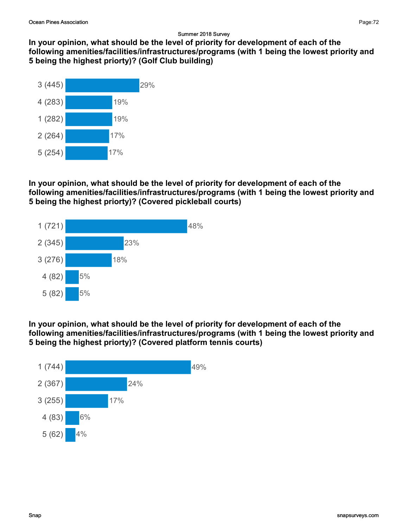In your opinion, what should be the level of priority for development of each of the following amenities/facilities/infrastructures/programs (with 1 being the lowest priority and 5 being the highest priorty)? (Golf Club building)



#### In your opinion, what should be the level of priority for development of each of the following amenities/facilities/infrastructures/programs (with 1 being the lowest priority and 5 being the highest priorty)? (Covered pickleball courts)



#### In your opinion, what should be the level of priority for development of each of the following amenities/facilities/infrastructures/programs (with 1 being the lowest priority and 5 being the highest priorty)? (Covered platform tennis courts)

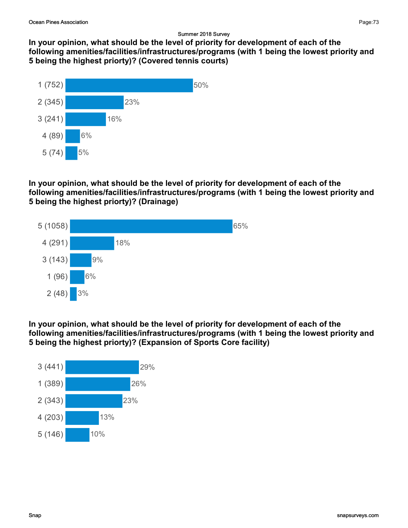In your opinion, what should be the level of priority for development of each of the following amenities/facilities/infrastructures/programs (with 1 being the lowest priority and 5 being the highest priorty)? (Covered tennis courts)



### In your opinion, what should be the level of priority for development of each of the following amenities/facilities/infrastructures/programs (with 1 being the lowest priority and 5 being the highest priorty)? (Drainage)



In your opinion, what should be the level of priority for development of each of the following amenities/facilities/infrastructures/programs (with 1 being the lowest priority and 5 being the highest priorty)? (Expansion of Sports Core facility)

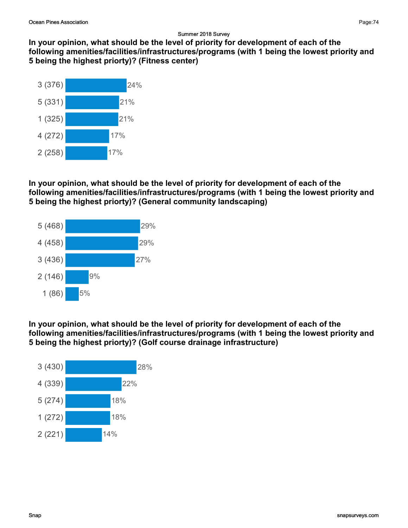In your opinion, what should be the level of priority for development of each of the following amenities/facilities/infrastructures/programs (with 1 being the lowest priority and 5 being the highest priorty)? (Fitness center)



In your opinion, what should be the level of priority for development of each of the following amenities/facilities/infrastructures/programs (with 1 being the lowest priority and 5 being the highest priorty)? (General community landscaping)



In your opinion, what should be the level of priority for development of each of the following amenities/facilities/infrastructures/programs (with 1 being the lowest priority and 5 being the highest priorty)? (Golf course drainage infrastructure)

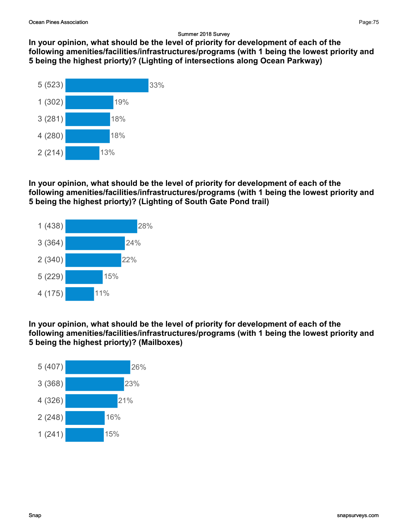In your opinion, what should be the level of priority for development of each of the following amenities/facilities/infrastructures/programs (with 1 being the lowest priority and 5 being the highest priorty)? (Lighting of intersections along Ocean Parkway)



### In your opinion, what should be the level of priority for development of each of the following amenities/facilities/infrastructures/programs (with 1 being the lowest priority and 5 being the highest priorty)? (Lighting of South Gate Pond trail)



In your opinion, what should be the level of priority for development of each of the following amenities/facilities/infrastructures/programs (with 1 being the lowest priority and 5 being the highest priorty)? (Mailboxes)

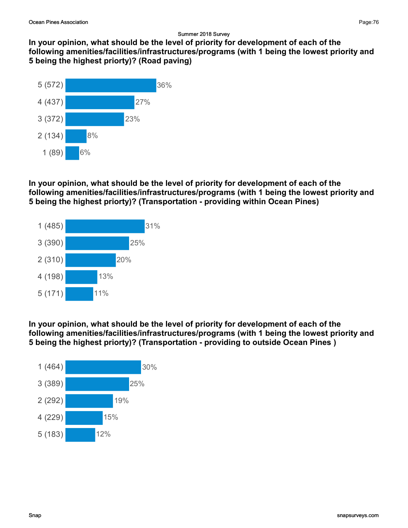In your opinion, what should be the level of priority for development of each of the following amenities/facilities/infrastructures/programs (with 1 being the lowest priority and 5 being the highest priorty)? (Road paving)



## In your opinion, what should be the level of priority for development of each of the following amenities/facilities/infrastructures/programs (with 1 being the lowest priority and 5 being the highest priorty)? (Transportation - providing within Ocean Pines)



In your opinion, what should be the level of priority for development of each of the following amenities/facilities/infrastructures/programs (with 1 being the lowest priority and 5 being the highest priorty)? (Transportation - providing to outside Ocean Pines )

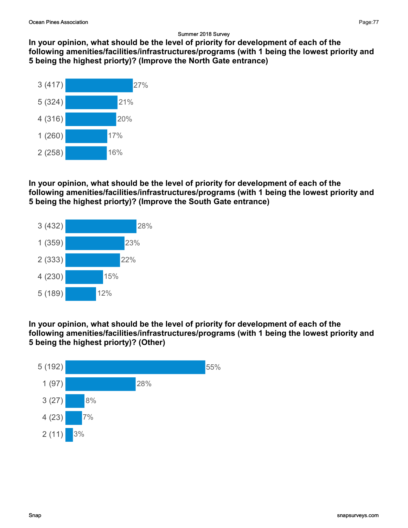In your opinion, what should be the level of priority for development of each of the following amenities/facilities/infrastructures/programs (with 1 being the lowest priority and 5 being the highest priorty)? (Improve the North Gate entrance)



In your opinion, what should be the level of priority for development of each of the following amenities/facilities/infrastructures/programs (with 1 being the lowest priority and 5 being the highest priorty)? (Improve the South Gate entrance)



In your opinion, what should be the level of priority for development of each of the following amenities/facilities/infrastructures/programs (with 1 being the lowest priority and 5 being the highest priorty)? (Other)

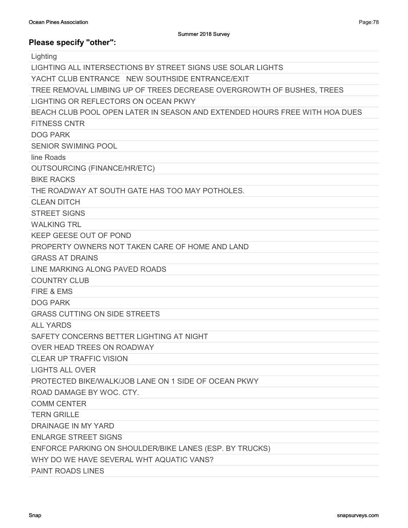| Lighting                                                                   |
|----------------------------------------------------------------------------|
| LIGHTING ALL INTERSECTIONS BY STREET SIGNS USE SOLAR LIGHTS                |
| YACHT CLUB ENTRANCE NEW SOUTHSIDE ENTRANCE/EXIT                            |
| TREE REMOVAL LIMBING UP OF TREES DECREASE OVERGROWTH OF BUSHES, TREES      |
| LIGHTING OR REFLECTORS ON OCEAN PKWY                                       |
| BEACH CLUB POOL OPEN LATER IN SEASON AND EXTENDED HOURS FREE WITH HOA DUES |
| <b>FITNESS CNTR</b>                                                        |
| <b>DOG PARK</b>                                                            |
| <b>SENIOR SWIMING POOL</b>                                                 |
| line Roads                                                                 |
| <b>OUTSOURCING (FINANCE/HR/ETC)</b>                                        |
| <b>BIKE RACKS</b>                                                          |
| THE ROADWAY AT SOUTH GATE HAS TOO MAY POTHOLES.                            |
| <b>CLEAN DITCH</b>                                                         |
| <b>STREET SIGNS</b>                                                        |
| <b>WALKING TRL</b>                                                         |
| KEEP GEESE OUT OF POND                                                     |
| PROPERTY OWNERS NOT TAKEN CARE OF HOME AND LAND                            |
| <b>GRASS AT DRAINS</b>                                                     |
| LINE MARKING ALONG PAVED ROADS                                             |
| <b>COUNTRY CLUB</b>                                                        |
| FIRE & EMS                                                                 |
| <b>DOG PARK</b>                                                            |
| <b>GRASS CUTTING ON SIDE STREETS</b>                                       |
| <b>ALL YARDS</b>                                                           |
| SAFETY CONCERNS BETTER LIGHTING AT NIGHT                                   |
| <b>OVER HEAD TREES ON ROADWAY</b>                                          |
| CLEAR UP TRAFFIC VISION                                                    |
| <b>LIGHTS ALL OVER</b>                                                     |
| PROTECTED BIKE/WALK/JOB LANE ON 1 SIDE OF OCEAN PKWY                       |
| ROAD DAMAGE BY WOC. CTY.                                                   |
| <b>COMM CENTER</b>                                                         |
| <b>TERN GRILLE</b>                                                         |
| <b>DRAINAGE IN MY YARD</b>                                                 |
| <b>ENLARGE STREET SIGNS</b>                                                |
| ENFORCE PARKING ON SHOULDER/BIKE LANES (ESP. BY TRUCKS)                    |
| WHY DO WE HAVE SEVERAL WHT AQUATIC VANS?                                   |
| <b>PAINT ROADS LINES</b>                                                   |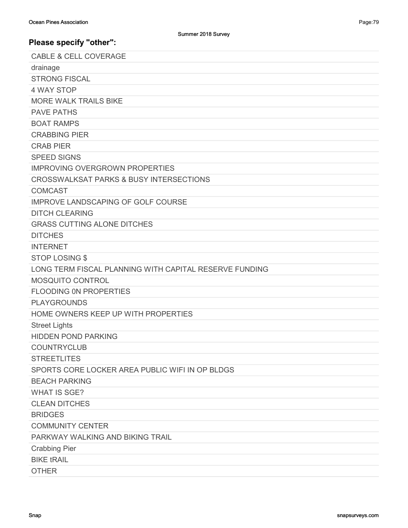| <b>CABLE &amp; CELL COVERAGE</b>                       |
|--------------------------------------------------------|
| drainage                                               |
| <b>STRONG FISCAL</b>                                   |
| <b>4 WAY STOP</b>                                      |
| <b>MORE WALK TRAILS BIKE</b>                           |
| <b>PAVE PATHS</b>                                      |
| <b>BOAT RAMPS</b>                                      |
| <b>CRABBING PIER</b>                                   |
| <b>CRAB PIER</b>                                       |
| <b>SPEED SIGNS</b>                                     |
| <b>IMPROVING OVERGROWN PROPERTIES</b>                  |
| <b>CROSSWALKSAT PARKS &amp; BUSY INTERSECTIONS</b>     |
| <b>COMCAST</b>                                         |
| <b>IMPROVE LANDSCAPING OF GOLF COURSE</b>              |
| <b>DITCH CLEARING</b>                                  |
| <b>GRASS CUTTING ALONE DITCHES</b>                     |
| <b>DITCHES</b>                                         |
| <b>INTERNET</b>                                        |
| <b>STOP LOSING \$</b>                                  |
| LONG TERM FISCAL PLANNING WITH CAPITAL RESERVE FUNDING |
| MOSQUITO CONTROL                                       |
| <b>FLOODING ON PROPERTIES</b>                          |
| <b>PLAYGROUNDS</b>                                     |
| HOME OWNERS KEEP UP WITH PROPERTIES                    |
| <b>Street Lights</b>                                   |
| <b>HIDDEN POND PARKING</b>                             |
| <b>COUNTRYCLUB</b>                                     |
| <b>STREETLITES</b>                                     |
| SPORTS CORE LOCKER AREA PUBLIC WIFI IN OP BLDGS        |
| <b>BEACH PARKING</b>                                   |
| <b>WHAT IS SGE?</b>                                    |
| <b>CLEAN DITCHES</b>                                   |
| <b>BRIDGES</b>                                         |
| <b>COMMUNITY CENTER</b>                                |
| PARKWAY WALKING AND BIKING TRAIL                       |
| <b>Crabbing Pier</b>                                   |
| <b>BIKE tRAIL</b>                                      |
| <b>OTHER</b>                                           |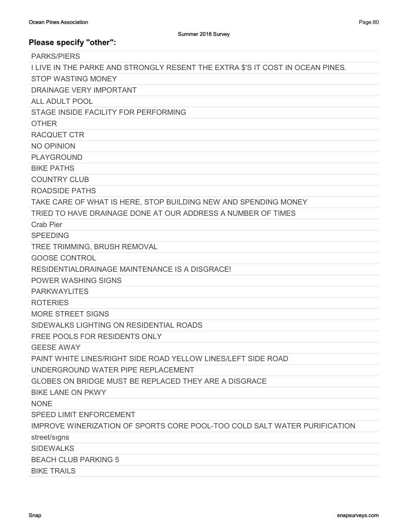PARKS/PIERS I LIVE IN THE PARKE AND STRONGLY RESENT THE EXTRA \$'S IT COST IN OCEAN PINES. STOP WASTING MONEY DRAINAGE VERY IMPORTANT ALL ADULT POOL STAGE INSIDE FACILITY FOR PERFORMING **OTHER** RACQUET CTR NO OPINION PLAYGROUND BIKE PATHS COUNTRY CLUB ROADSIDE PATHS TAKE CARE OF WHAT IS HERE, STOP BUILDING NEW AND SPENDING MONEY TRIED TO HAVE DRAINAGE DONE AT OUR ADDRESS A NUMBER OF TIMES Crab Pier SPEEDING TREE TRIMMING, BRUSH REMOVAL GOOSE CONTROL RESIDENTIALDRAINAGE MAINTENANCE IS A DISGRACE! POWER WASHING SIGNS PARKWAYLITES ROTERIES MORE STREET SIGNS SIDEWALKS LIGHTING ON RESIDENTIAL ROADS FREE POOLS FOR RESIDENTS ONLY GEESE AWAY PAINT WHITE LINES/RIGHT SIDE ROAD YELLOW LINES/LEFT SIDE ROAD UNDERGROUND WATER PIPE REPLACEMENT GLOBES ON BRIDGE MUST BE REPLACED THEY ARE A DISGRACE BIKE LANE ON PKWY NONE SPEED LIMIT ENFORCEMENT IMPROVE WINERIZATION OF SPORTS CORE POOL-TOO COLD SALT WATER PURIFICATION street/sıgns SIDEWALKS BEACH CLUB PARKING 5 BIKE TRAILS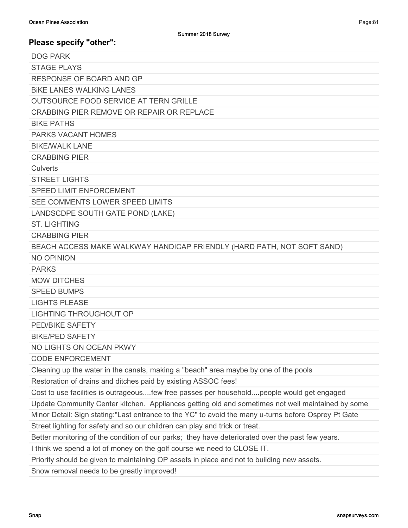| <b>DOG PARK</b>                                                                                       |
|-------------------------------------------------------------------------------------------------------|
| <b>STAGE PLAYS</b>                                                                                    |
| <b>RESPONSE OF BOARD AND GP</b>                                                                       |
| <b>BIKE LANES WALKING LANES</b>                                                                       |
| OUTSOURCE FOOD SERVICE AT TERN GRILLE                                                                 |
| CRABBING PIER REMOVE OR REPAIR OR REPLACE                                                             |
| <b>BIKE PATHS</b>                                                                                     |
| <b>PARKS VACANT HOMES</b>                                                                             |
| <b>BIKE/WALK LANE</b>                                                                                 |
| <b>CRABBING PIER</b>                                                                                  |
| Culverts                                                                                              |
| <b>STREET LIGHTS</b>                                                                                  |
| <b>SPEED LIMIT ENFORCEMENT</b>                                                                        |
| SEE COMMENTS LOWER SPEED LIMITS                                                                       |
| LANDSCDPE SOUTH GATE POND (LAKE)                                                                      |
| <b>ST. LIGHTING</b>                                                                                   |
| <b>CRABBING PIER</b>                                                                                  |
| BEACH ACCESS MAKE WALKWAY HANDICAP FRIENDLY (HARD PATH, NOT SOFT SAND)                                |
| NO OPINION                                                                                            |
| <b>PARKS</b>                                                                                          |
| <b>MOW DITCHES</b>                                                                                    |
| <b>SPEED BUMPS</b>                                                                                    |
| <b>LIGHTS PLEASE</b>                                                                                  |
| <b>LIGHTING THROUGHOUT OP</b>                                                                         |
| PED/BIKE SAFETY                                                                                       |
| <b>BIKE/PED SAFETY</b>                                                                                |
| NO LIGHTS ON OCEAN PKWY                                                                               |
| <b>CODE ENFORCEMENT</b>                                                                               |
| Cleaning up the water in the canals, making a "beach" area maybe by one of the pools                  |
| Restoration of drains and ditches paid by existing ASSOC fees!                                        |
| Cost to use facilities is outrageousfew free passes per householdpeople would get engaged             |
| Update Cpmmunity Center kitchen. Appliances getting old and sometimes not well maintained by some     |
| Minor Detail: Sign stating: "Last entrance to the YC" to avoid the many u-turns before Osprey Pt Gate |
| Street lighting for safety and so our children can play and trick or treat.                           |
| Better monitoring of the condition of our parks; they have deteriorated over the past few years.      |
| I think we spend a lot of money on the golf course we need to CLOSE IT.                               |
| Priority should be given to maintaining OP assets in place and not to building new assets.            |

Snow removal needs to be greatly improved!

Page:81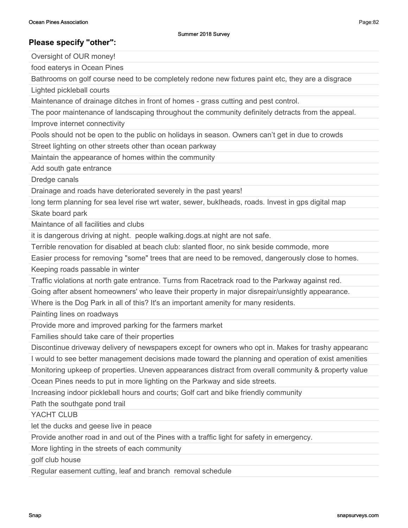Oversight of OUR money!

food eaterys in Ocean Pines

Bathrooms on golf course need to be completely redone new fixtures paint etc, they are a disgrace

Lighted pickleball courts

Maintenance of drainage ditches in front of homes - grass cutting and pest control.

The poor maintenance of landscaping throughout the community definitely detracts from the appeal.

Improve internet connectivity

Pools should not be open to the public on holidays in season. Owners can't get in due to crowds

Street lighting on other streets other than ocean parkway

Maintain the appearance of homes within the community

Add south gate entrance

Dredge canals

Drainage and roads have deteriorated severely in the past years!

long term planning for sea level rise wrt water, sewer, buklheads, roads. Invest in gps digital map

Skate board park

Maintance of all facilities and clubs

it is dangerous driving at night. people walking.dogs.at night are not safe.

Terrible renovation for disabled at beach club: slanted floor, no sink beside commode, more

Easier process for removing "some" trees that are need to be removed, dangerously close to homes.

Keeping roads passable in winter

Traffic violations at north gate entrance. Turns from Racetrack road to the Parkway against red.

Going after absent homeowners' who leave their property in major disrepair/unsightly appearance.

Where is the Dog Park in all of this? It's an important amenity for many residents.

Painting lines on roadways

Provide more and improved parking for the farmers market

Families should take care of their properties

Discontinue driveway delivery of newspapers except for owners who opt in. Makes for trashy appearanc

I would to see better management decisions made toward the planning and operation of exist amenities

Monitoring upkeep of properties. Uneven appearances distract from overall community & property value

Ocean Pines needs to put in more lighting on the Parkway and side streets.

Increasing indoor pickleball hours and courts; Golf cart and bike friendly community

Path the southgate pond trail

YACHT CLUB

let the ducks and geese live in peace

Provide another road in and out of the Pines with a traffic light for safety in emergency.

More lighting in the streets of each community

golf club house

Regular easement cutting, leaf and branch removal schedule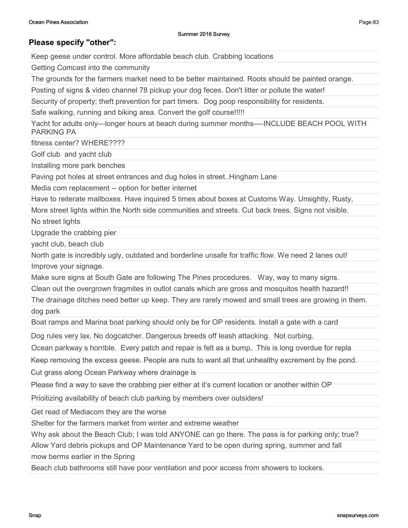Page:83

## Please specify "other":

Keep geese under control. More affordable beach club. Crabbing locations

Getting Comcast into the community

The grounds for the farmers market need to be better maintained. Roots should be painted orange.

Posting of signs & video channel 78 pickup your dog feces. Don't litter or pollute the water!

Security of property; theft prevention for part timers. Dog poop responsibility for residents.

Safe walking, running and biking area. Convert the golf course!!!!!

Yacht for adults only—longer hours at beach during summer months—-INCLUDE BEACH POOL WITH PARKING PA

fitness center? WHFRF????

Golf club and yacht club

Installing more park benches

Paving pot holes at street entrances and dug holes in street..Hingham Lane

Media com replacement -- option for better internet

Have to reiterate mailboxes. Have inquired 5 times about boxes at Customs Way. Unsightly, Rusty,

More street lights within the North side communities and streets. Cut back trees. Signs not visible.

No street lights

Upgrade the crabbing pier

yacht club, beach club

North gate is incredibly ugly, outdated and borderline unsafe for traffic flow. We need 2 lanes out! Improve your signage.

Make sure signs at South Gate are following The Pines procedures. Way, way to many signs.

Clean out the overgrown fragmites in outlot canals which are gross and mosquitos health hazard!!

The drainage ditches need better up keep. They are rarely mowed and small trees are growing in them. dog park

Boat ramps and Marina boat parking should only be for OP residents. Install a gate with a card

Dog rules very lax. No dogcatcher. Dangerous breeds off leash attacking. Not curbing.

Ocean parkway s horrible. Every patch and repair is felt as a bump. This is long overdue for repla

Keep removing the excess geese. People are nuts to want all that unhealthy excrement by the pond.

Cut grass along Ocean Parkway where drainage is

Please find a way to save the crabbing pier either at it's current location or another within OP

Prioitizing availability of beach club parking by members over outsiders!

Get read of Mediacom they are the worse

Shelter for the farmers market from winter and extreme weather

Why ask about the Beach Club; I was told ANYONE can go there. The pass is for parking only; true?

Allow Yard debris pickups and OP Maintenance Yard to be open during spring, summer and fall

mow berms earlier in the Spring

Beach club bathrooms still have poor ventilation and poor access from showers to lockers.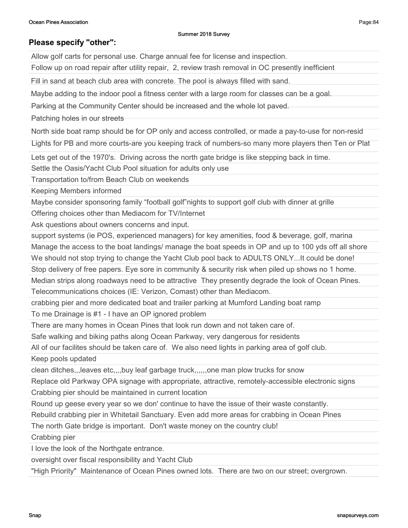## Please specify "other":

Allow golf carts for personal use. Charge annual fee for license and inspection.

Follow up on road repair after utility repair, 2, review trash removal in OC presently inefficient

Fill in sand at beach club area with concrete. The pool is always filled with sand.

Maybe adding to the indoor pool a fitness center with a large room for classes can be a goal.

Parking at the Community Center should be increased and the whole lot paved.

Patching holes in our streets

North side boat ramp should be for OP only and access controlled, or made a pay-to-use for non-resid

Lights for PB and more courts-are you keeping track of numbers-so many more players then Ten or Plat

Lets get out of the 1970's. Driving across the north gate bridge is like stepping back in time.

Settle the Oasis/Yacht Club Pool situation for adults only use

Transportation to/from Beach Club on weekends

Keeping Members informed

Maybe consider sponsoring family "football golf"nights to support golf club with dinner at grille

Offering choices other than Mediacom for TV/Internet

Ask questions about owners concerns and input.

support systems (ie POS, experienced managers) for key amenities, food & beverage, golf, marina

Manage the access to the boat landings/ manage the boat speeds in OP and up to 100 yds off all shore

We should not stop trying to change the Yacht Club pool back to ADULTS ONLY...It could be done!

Stop delivery of free papers. Eye sore in community & security risk when piled up shows no 1 home.

Median strips along roadways need to be attractive They presently degrade the look of Ocean Pines.

Telecommunications choices (IE: Verizon, Comast) other than Mediacom.

crabbing pier and more dedicated boat and trailer parking at Mumford Landing boat ramp

To me Drainage is #1 - I have an OP ignored problem

There are many homes in Ocean Pines that look run down and not taken care of.

Safe walking and biking paths along Ocean Parkway, very dangerous for residents

All of our facilites should be taken care of. We also need lights in parking area of golf club.

Keep pools updated

clean ditches,,,leaves etc,,,,buy leaf garbage truck,,,,,,one man plow trucks for snow

Replace old Parkway OPA signage with appropriate, attractive, remotely-accessible electronic signs

Crabbing pier should be maintained in current location

Round up geese every year so we don' continue to have the issue of their waste constantly.

Rebuild crabbing pier in Whitetail Sanctuary. Even add more areas for crabbing in Ocean Pines

The north Gate bridge is important. Don't waste money on the country club!

Crabbing pier

I love the look of the Northgate entrance.

oversight over fiscal responsibility and Yacht Club

"High Priority" Maintenance of Ocean Pines owned lots. There are two on our street; overgrown.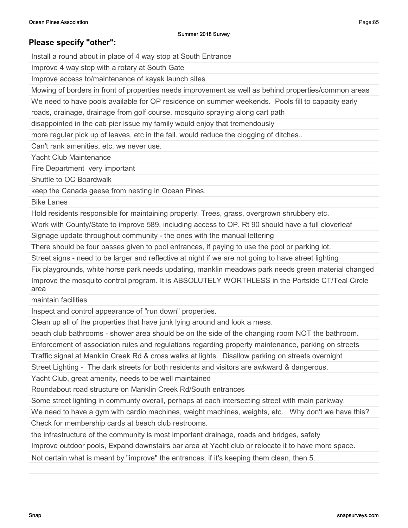Install a round about in place of 4 way stop at South Entrance

Improve 4 way stop with a rotary at South Gate

Improve access to/maintenance of kayak launch sites

Mowing of borders in front of properties needs improvement as well as behind properties/common areas

We need to have pools available for OP residence on summer weekends. Pools fill to capacity early

roads, drainage, drainage from golf course, mosquito spraying along cart path

disappointed in the cab pier issue my family would enjoy that tremendously

more regular pick up of leaves, etc in the fall. would reduce the clogging of ditches..

Can't rank amenities, etc. we never use.

Yacht Club Maintenance

Fire Department very important

Shuttle to OC Boardwalk

keep the Canada geese from nesting in Ocean Pines.

Bike Lanes

Hold residents responsible for maintaining property. Trees, grass, overgrown shrubbery etc.

Work with County/State to improve 589, including access to OP. Rt 90 should have a full cloverleaf

Signage update throughout community - the ones with the manual lettering

There should be four passes given to pool entrances, if paying to use the pool or parking lot.

Street signs - need to be larger and reflective at night if we are not going to have street lighting

Fix playgrounds, white horse park needs updating, manklin meadows park needs green material changed Improve the mosquito control program. It is ABSOLUTELY WORTHLESS in the Portside CT/Teal Circle area

maintain facilities

Inspect and control appearance of "run down" properties.

Clean up all of the properties that have junk lying around and look a mess.

beach club bathrooms - shower area should be on the side of the changing room NOT the bathroom.

Enforcement of association rules and regulations regarding property maintenance, parking on streets

Traffic signal at Manklin Creek Rd & cross walks at lights. Disallow parking on streets overnight

Street Lighting - The dark streets for both residents and visitors are awkward & dangerous.

Yacht Club, great amenity, needs to be well maintained

Roundabout road structure on Manklin Creek Rd/South entrances

Some street lighting in communty overall, perhaps at each intersecting street with main parkway.

We need to have a gym with cardio machines, weight machines, weights, etc. Why don't we have this? Check for membership cards at beach club restrooms.

the infrastructure of the community is most important drainage, roads and bridges, safety

Improve outdoor pools, Expand downstairs bar area at Yacht club or relocate it to have more space.

Not certain what is meant by "improve" the entrances; if it's keeping them clean, then 5.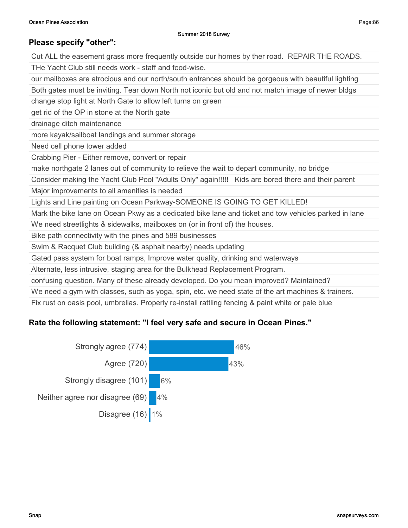# Please specify "other": Cut ALL the easement grass more frequently outside our homes by ther road. REPAIR THE ROADS. THe Yacht Club still needs work - staff and food-wise. our mailboxes are atrocious and our north/south entrances should be gorgeous with beautiful lighting Both gates must be inviting. Tear down North not iconic but old and not match image of newer bldgs change stop light at North Gate to allow left turns on green get rid of the OP in stone at the North gate drainage ditch maintenance more kayak/sailboat landings and summer storage Need cell phone tower added Crabbing Pier - Either remove, convert or repair make northgate 2 lanes out of community to relieve the wait to depart community, no bridge Consider making the Yacht Club Pool "Adults Only" again!!!!! Kids are bored there and their parent Major improvements to all amenities is needed Lights and Line painting on Ocean Parkway-SOMEONE IS GOING TO GET KILLED! Mark the bike lane on Ocean Pkwy as a dedicated bike lane and ticket and tow vehicles parked in lane We need streetlights & sidewalks, mailboxes on (or in front of) the houses. Bike path connectivity with the pines and 589 businesses Swim & Racquet Club building (& asphalt nearby) needs updating Gated pass system for boat ramps, Improve water quality, drinking and waterways Alternate, less intrusive, staging area for the Bulkhead Replacement Program.

confusing question. Many of these already developed. Do you mean improved? Maintained?

We need a gym with classes, such as yoga, spin, etc. we need state of the art machines & trainers.

Fix rust on oasis pool, umbrellas. Properly re-install rattling fencing & paint white or pale blue

## Rate the following statement: "I feel very safe and secure in Ocean Pines."

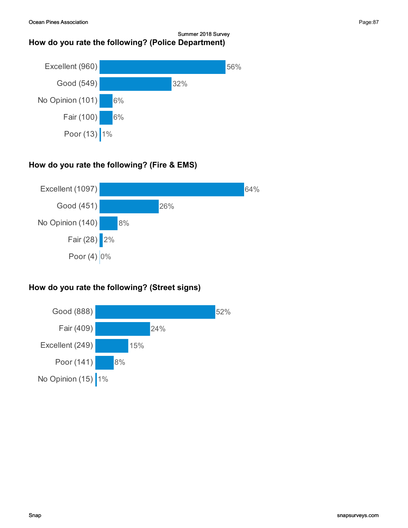#### Summer 2018 Survey How do you rate the following? (Police Department)



# How do you rate the following? (Fire & EMS)



# How do you rate the following? (Street signs)

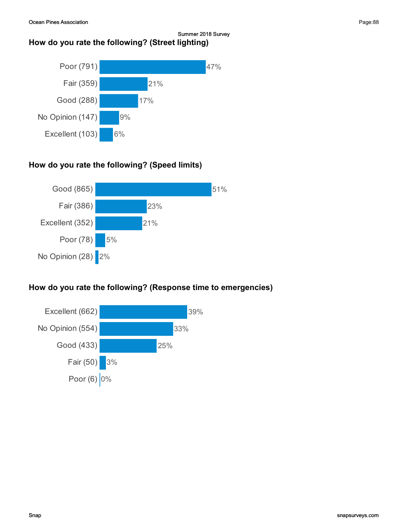### Summer 2018 Survey How do you rate the following? (Street lighting)



# How do you rate the following? (Speed limits)



# How do you rate the following? (Response time to emergencies)

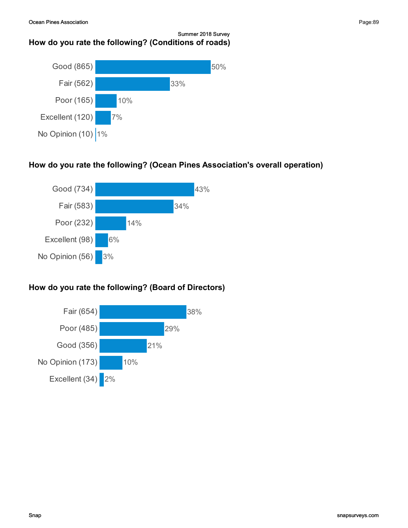#### Summer 2018 Survey How do you rate the following? (Conditions of roads)



## How do you rate the following? (Ocean Pines Association's overall operation)



## How do you rate the following? (Board of Directors)

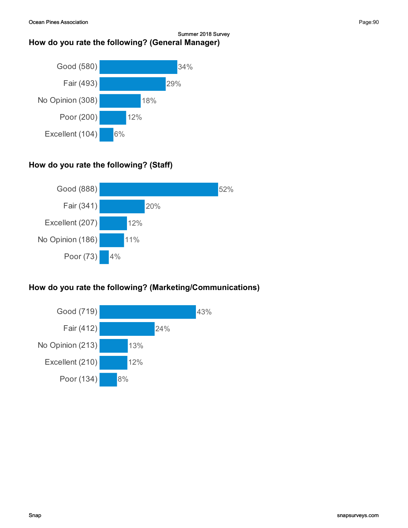#### Summer 2018 Survey How do you rate the following? (General Manager)



# How do you rate the following? (Staff)



# How do you rate the following? (Marketing/Communications)

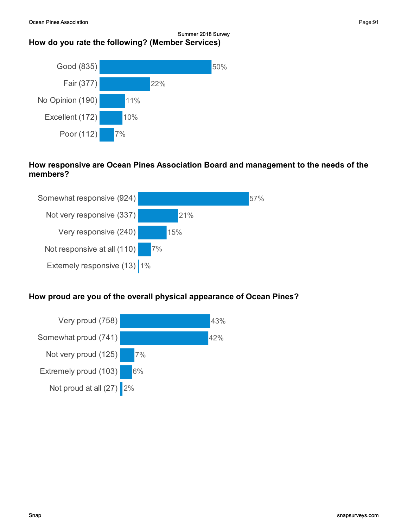#### Summer 2018 Survey How do you rate the following? (Member Services)



## How responsive are Ocean Pines Association Board and management to the needs of the members?



## How proud are you of the overall physical appearance of Ocean Pines?

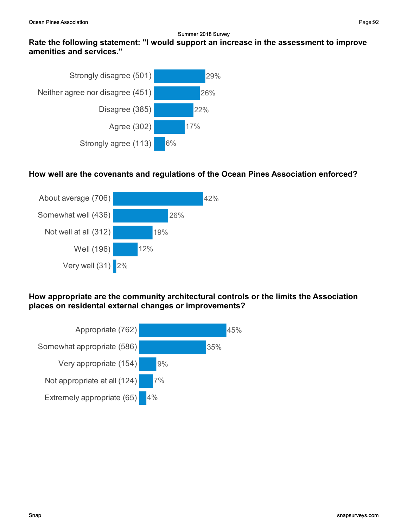## Rate the following statement: "I would support an increase in the assessment to improve amenities and services."



## How well are the covenants and regulations of the Ocean Pines Association enforced?



How appropriate are the community architectural controls or the limits the Association places on residental external changes or improvements?

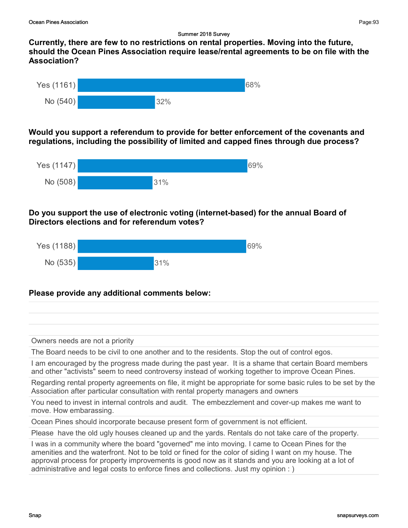Currently, there are few to no restrictions on rental properties. Moving into the future, should the Ocean Pines Association require lease/rental agreements to be on file with the Association?



Would you support a referendum to provide for better enforcement of the covenants and regulations, including the possibility of limited and capped fines throu**g**h due process?



### Do you support the use of electronic voting (internet-based) for the annual Board of Directors elections and for referendum votes?



## Please provide any additional comments below:

Owners needs are not a priority

The Board needs to be civil to one another and to the residents. Stop the out of control egos.

I am encouraged by the progress made during the past year. It is a shame that certain Board members and other "activists" seem to need controversy instead of working together to improve Ocean Pines.

Regarding rental property agreements on file, it might be appropriate for some basic rules to be set by the Association after particular consultation with rental property managers and owners

You need to invest in internal controls and audit. The embezzlement and cover-up makes me want to move. How embarassing.

Ocean Pines should incorporate because present form of government is not efficient.

Please have the old ugly houses cleaned up and the yards. Rentals do not take care of the property.

I was in a community where the board "governed" me into moving. I came to Ocean Pines for the amenities and the waterfront. Not to be told or fined for the color of siding I want on my house. The approval process for property improvements is good now as it stands and you are looking at a lot of administrative and legal costs to enforce fines and collections. Just my opinion : )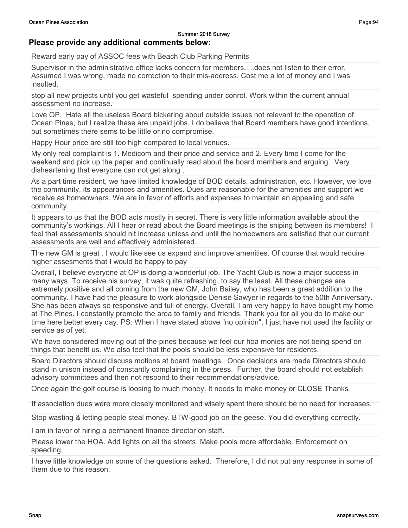# Please provide any additional comments below:

Reward early pay of ASSOC fees with Beach Club Parking Permits

Supervisor in the administrative office lacks concern for members.....does not listen to their error. Assumed I was wrong, made no correction to their mis-address. Cost me a lot of money and I was insulted.

stop all new projects until you get wasteful spending under conrol. Work within the current annual assessment no increase.

Love OP. Hate all the useless Board bickering about outside issues not relevant to the operation of Ocean Pines, but I realize these are unpaid jobs. I do believe that Board members have good intentions, but sometimes there sems to be little or no compromise.

Happy Hour price are still too high compared to local venues.

My only real complaint is 1. Medicom and their price and service and 2. Every time I come for the weekend and pick up the paper and continually read about the board members and arguing. Very disheartening that everyone can not get along .

As a part time resident, we have limited knowledge of BOD details, administration, etc. However, we love the community, its appearances and amenities. Dues are reasonable for the amenities and support we receive as homeowners. We are in favor of efforts and expenses to maintain an appealing and safe community.

It appears to us that the BOD acts mostly in secret. There is very little information available about the community's workings. All I hear or read about the Board meetings is the sniping between its members! I feel that assessments should nit increase unless and until the homeowners are satisfied that our current assessments are well and effectively administered.

The new GM is great . I would like see us expand and improve amenities. Of course that would require higher assesments that I would be happy to pay

Overall, I believe everyone at OP is doing a wonderful job. The Yacht Club is now a major success in many ways. To receive his survey, it was quite refreshing, to say the least. All these changes are extremely positive and all coming from the new GM, John Bailey, who has been a great addition to the community. I have had the pleasure to work alongside Denise Sawyer in regards to the 50th Anniversary. She has been always so responsive and full of energy. Overall, I am very happy to have bought my home at The Pines. I constantly promote the area to family and friends. Thank you for all you do to make our time here better every day. PS: When I have stated above "no opinion", I just have not used the facility or service as of yet.

We have considered moving out of the pines because we feel our hoa monies are not being spend on things that benefit us. We also feel that the pools should be less expensive for residents.

Board Directors should discuss motions at board meetings. Once decisions are made Directors should stand in unison instead of constantly complaining in the press. Further, the board should not establish advisory committees and then not respond to their recommendations/advice.

Once again the golf course is loosing to much money. It needs to make money or CLOSE Thanks

If association dues were more closely monitored and wisely spent there should be no need for increases.

Stop wasting & letting people steal money. BTW-good job on the geese. You did everything correctly.

I am in favor of hiring a permanent finance director on staff.

Please lower the HOA. Add lights on all the streets. Make pools more affordable. Enforcement on speeding.

I have little knowledge on some of the questions asked. Therefore, I did not put any response in some of them due to this reason.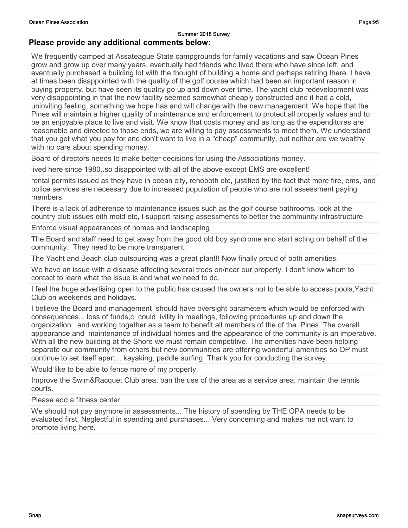#### Please provide any additional comments below:

We frequently camped at Assateague State campgrounds for family vacations and saw Ocean Pines grow and grow up over many years, eventually had friends who lived there who have since left, and eventually purchased a building lot with the thought of building a home and perhaps retiring there. I have at times been disappointed with the quality of the golf course which had been an important reason in buying property, but have seen its quality go up and down over time. The yacht club redevelopment was very disappointing in that the new facility seemed somewhat cheaply constructed and it had a cold, uninviting feeling, something we hope has and will change with the new management. We hope that the Pines will maintain a higher quality of maintenance and enforcement to protect all property values and to be an enjoyable place to live and visit. We know that costs money and as long as the expenditures are reasonable and directed to those ends, we are willing to pay assessments to meet them. We understand that you get what you pay for and don't want to live in a "cheap" community, but neither are we wealthy with no care about spending money.

Board of directors needs to make better decisions for using the Associations money.

lived here since 1980..so disappointed with all of the above except EMS are excellent!

rental permits issued as they have in ocean city, rehoboth etc, justified by the fact that more fire, ems, and police services are necessary due to increased population of people who are not assessment paying members.

There is a lack of adherence to maintenance issues such as the golf course bathrooms, look at the country club issues eith mold etc, I support raising assessments to better the community infrastructure

Enforce visual appearances of homes and landscaping

The Board and staff need to get away from the good old boy syndrome and start acting on behalf of the community. They need to be more transparent.

The Yacht and Beach club outsourcing was a great plan!!! Now finally proud of both amenities.

We have an issue with a disease affecting several trees on/near our property. I don't know whom to contact to learn what the issue is and what we need to do,

I feel the huge advertising open to the public has caused the owners not to be able to access pools,Yacht Club on weekends and holidays.

I believe the Board and management should have oversight parameters which would be enforced with consequences... loss of funds,c could ivility in meetings, following procedures up and down the organization and working together as a team to benefit all members of the of the Pines. The overall appearance and maintenance of individual homes and the appearance of the community is an imperative. With all the new building at the Shore we must remain competitive. The amenities have been helping separate our community from others but new communities are offering wonderful amenities so OP must continue to set itself apart... kayaking, paddle surfing. Thank you for conducting the survey.

Would like to be able to fence more of my property.

Improve the Swim&Racquet Club area; ban the use of the area as a service area; maintain the tennis courts.

Please add a fitness center

We should not pay anymore in assessments... The history of spending by THE OPA needs to be evaluated first. Neglectful in spending and purchases... Very concerning and makes me not want to promote living here.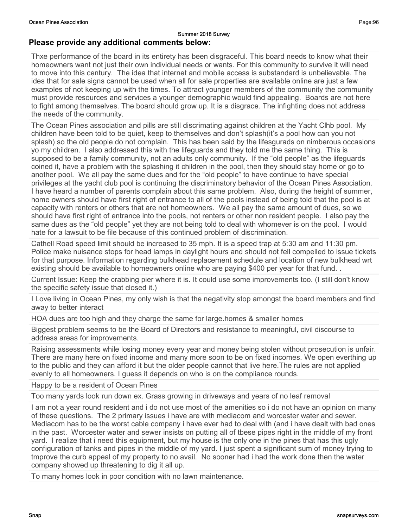Thxe performance of the board in its entirety has been disgraceful. This board needs to know what their homeowners want not just their own individual needs or wants. For this community to survive it will need to move into this century. The idea that internet and mobile access is substandard is unbelievable. The ides that for sale signs cannot be used when all for sale properties are available online are just a few examples of not keeping up with the times. To attract younger members of the community the community must provide resources and services a younger demographic would find appealing. Boards are not here to fight among themselves. The board should grow up. It is a disgrace. The infighting does not address the needs of the community.

The Ocean Pines association and pills are still discrimating against children at the Yacht Clhb pool. My children have been told to be quiet, keep to themselves and don't splash(it's a pool how can you not splash) so the old people do not complain. This has been said by the lifesgurads on nimberous occasions yo my children. I also addressed this with the lifeguards and they told me the same thing. This is supposed to be a family community, not an adults only community. If the "old people" as the lifeguards coined it, have a problem with the splashing it children in the pool, then they should stay home or go to another pool. We all pay the same dues and for the "old people" to have continue to have special privileges at the yacht club pool is continuing the discriminatory behavior of the Ocean Pines Association. I have heard a number of parents complain about this same problem. Also, during the height of summer, home owners should have first right of entrance to all of the pools instead of being told that the pool is at capacity with renters or others that are not homeowners. We all pay the same amount of dues, so we should have first right of entrance into the pools, not renters or other non resident people. I also pay the same dues as the "old people" yet they are not being told to deal with whomever is on the pool. I would hate for a lawsuit to be file because of this continued problem of discrimination.

Cathell Road speed limit should be increased to 35 mph. It is a speed trap at 5:30 am and 11:30 pm. Police make nuisance stops for head lamps in daylight hours and should not fell compelled to issue tickets for that purpose. Information regarding bulkhead replacement schedule and location of new bulkhead wrt existing should be available to homeowners online who are paying \$400 per year for that fund..

Current Issue: Keep the crabbing pier where it is. It could use some improvements too. (I still don't know the specific safety issue that closed it.)

I Love living in Ocean Pines, my only wish is that the negativity stop amongst the board members and find away to better interact

HOA dues are too high and they charge the same for large.homes & smaller homes

Biggest problem seems to be the Board of Directors and resistance to meaningful, civil discourse to address areas for improvements.

Raising assessments while losing money every year and money being stolen without prosecution is unfair. There are many here on fixed income and many more soon to be on fixed incomes. We open everthing up to the public and they can afford it but the older people cannot that live here.The rules are not applied evenly to all homeowners. I guess it depends on who is on the compliance rounds.

Happy to be a resident of Ocean Pines

Too many yards look run down ex. Grass growing in driveways and years of no leaf removal

I am not a year round resident and i do not use most of the amenities so i do not have an opinion on many of these questions. The 2 primary issues i have are with mediacom and worcester water and sewer. Mediacom has to be the worst cable company i have ever had to deal with (and i have dealt with bad ones in the past. Worcester water and sewer insists on putting all of tbese pipes right in the middle of my front yard. I realize that i need this equipment, but my house is the only one in the pines that has this ugly configuration of tanks and pipes in the middle of my yard. I just spent a significant sum of money trying to tmprove the curb appeal of my property to no avail. No sooner had i had the work done then the water company showed up threatening to dig it all up.

To many homes look in poor condition with no lawn maintenance.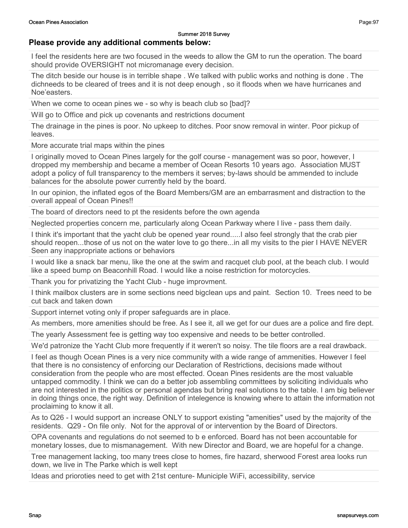### Please provide any additional comments below:

I feel the residents here are two focused in the weeds to allow the GM to run the operation. The board should provide OVERSIGHT not micromanage every decision.

The ditch beside our house is in terrible shape . We talked with public works and nothing is done . The dichneeds to be cleared of trees and it is not deep enough , so it floods when we have hurricanes and Noe'easters.

When we come to ocean pines we - so why is beach club so [bad]?

Will go to Office and pick up covenants and restrictions document

The drainage in the pines is poor. No upkeep to ditches. Poor snow removal in winter. Poor pickup of leaves.

More accurate trial maps within the pines

I originally moved to Ocean Pines largely for the golf course - management was so poor, however, I dropped my membership and became a member of Ocean Resorts 10 years ago. Association MUST adopt a policy of full transparency to the members it serves; by-laws should be ammended to include balances for the absolute power currently held by the board.

In our opinion, the inflated egos of the Board Members/GM are an embarrasment and distraction to the overall appeal of Ocean Pines!!

The board of directors need to pt the residents before the own agenda

Neglected properties concern me, particularly along Ocean Parkway where I live - pass them daily.

I think it's important that the yacht club be opened year round.....I also feel strongly that the crab pier should reopen...those of us not on the water love to go there...in all my visits to the pier I HAVE NEVER Seen any inappropriate actions or behaviors

I would like a snack bar menu, like the one at the swim and racquet club pool, at the beach club. I would like a speed bump on Beaconhill Road. I would like a noise restriction for motorcycles.

Thank you for privatizing the Yacht Club - huge improvment.

I think mailbox clusters are in some sections need bigclean ups and paint. Section 10. Trees need to be cut back and taken down

Support internet voting only if proper safeguards are in place.

As members, more amenities should be free. As I see it, all we get for our dues are a police and fire dept.

The yearly Assessment fee is getting way too expensive and needs to be better controlled.

We'd patronize the Yacht Club more frequently if it weren't so noisy. The tile floors are a real drawback.

I feel as though Ocean Pines is a very nice community with a wide range of ammenities. However I feel that there is no consistency of enforcing our Declaration of Restrictions, decisions made without consideration from the people who are most effected. Ocean Pines residents are the most valuable untapped commodity. I think we can do a better job assembling committees by soliciting individuals who are not interested in the politics or personal agendas but bring real solutions to the table. I am big believer in doing things once, the right way. Definition of intelegence is knowing where to attain the information not proclaiming to know it all.

As to Q26 - I would support an increase ONLY to support existing "amenities" used by the majority of the residents. Q29 - On file only. Not for the approval of or intervention by the Board of Directors.

OPA covenants and regulations do not seemed to b e enforced. Board has not been accountable for monetary losses, due to mismanagement. With new Director and Board, we are hopeful for a change.

Tree management lacking, too many trees close to homes, fire hazard, sherwood Forest area looks run down, we live in The Parke which is well kept

Ideas and prioroties need to get with 21st centure- Municiple WiFi, accessibility, service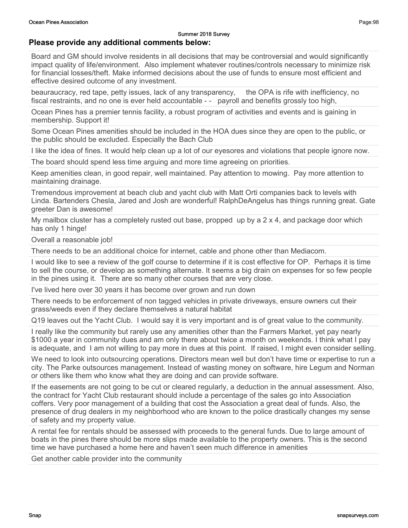#### Please provide any additional comments below:

Board and GM should involve residents in all decisions that may be controversial and would significantly impact quality of life/environment. Also implement whatever routines/controls necessary to minimize risk for financial losses/theft. Make informed decisions about the use of funds to ensure most efficient and effective desired outcome of any investment.

beauraucracy, red tape, petty issues, lack of any transparency, the OPA is rife with inefficiency, no fiscal restraints, and no one is ever held accountable - - payroll and benefits grossly too high,

Ocean Pines has a premier tennis facility, a robust program of activities and events and is gaining in membership. Support it!

Some Ocean Pines amenities should be included in the HOA dues since they are open to the public, or the public should be excluded. Especially the Bach Club

I like the idea of fines. It would help clean up a lot of our eyesores and violations that people ignore now.

The board should spend less time arguing and more time agreeing on priorities.

Keep amenities clean, in good repair, well maintained. Pay attention to mowing. Pay more attention to maintaining drainage.

Tremendous improvement at beach club and yacht club with Matt Orti companies back to levels with Linda. Bartenders Chesla, Jared and Josh are wonderful! RalphDeAngelus has things running great. Gate greeter Dan is awesome!

My mailbox cluster has a completely rusted out base, propped up by a 2 x 4, and package door which has only 1 hinge!

Overall a reasonable job!

There needs to be an additional choice for internet, cable and phone other than Mediacom.

I would like to see a review of the golf course to determine if it is cost effective for OP. Perhaps it is time to sell the course, or develop as something alternate. It seems a big drain on expenses for so few people in the pines using it. There are so many other courses that are very close.

I've lived here over 30 years it has become over grown and run down

There needs to be enforcement of non tagged vehicles in private driveways, ensure owners cut their grass/weeds even if they declare themselves a natural habitat

Q19 leaves out the Yacht Club. I would say it is very important and is of great value to the community.

I really like the community but rarely use any amenities other than the Farmers Market, yet pay nearly \$1000 a year in community dues and am only there about twice a month on weekends. I think what I pay is adequate, and I am not willing to pay more in dues at this point. If raised, I might even consider selling.

We need to look into outsourcing operations. Directors mean well but don't have time or expertise to run a city. The Parke outsources management. Instead of wasting money on software, hire Legum and Norman or others like them who know what they are doing and can provide software.

If the easements are not going to be cut or cleared regularly, a deduction in the annual assessment. Also, the contract for Yacht Club restaurant should include a percentage of the sales go into Association coffers. Very poor management of a building that cost the Association a great deal of funds. Also, the presence of drug dealers in my neighborhood who are known to the police drastically changes my sense of safety and my property value.

A rental fee for rentals should be assessed with proceeds to the general funds. Due to large amount of boats in the pines there should be more slips made available to the property owners. This is the second time we have purchased a home here and haven't seen much difference in amenities

Get another cable provider into the community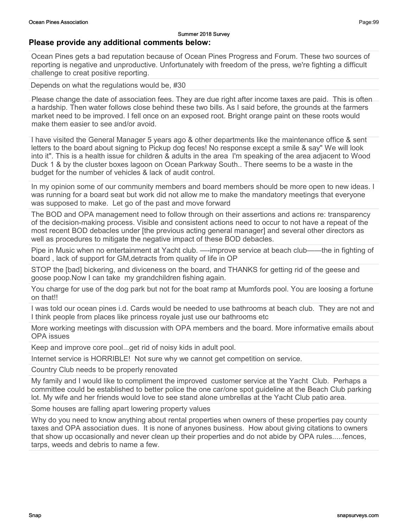#### Summer 2018 Survey Please provide any additional comments below:

Ocean Pines gets a bad reputation because of Ocean Pines Progress and Forum. These two sources of reporting is negative and unproductive. Unfortunately with freedom of the press, we're fighting a difficult

Depends on what the regulations would be, #30

challenge to creat positive reporting.

Please change the date of association fees. They are due right after income taxes are paid. This is often a hardship. Then water follows close behind these two bills. As I said before, the grounds at the farmers market need to be improved. I fell once on an exposed root. Bright orange paint on these roots would make them easier to see and/or avoid

I have visited the General Manager 5 years ago & other departments like the maintenance office & sent letters to the board about signing to Pickup dog feces! No response except a smile & say" We will look into it". This is a health issue for children & adults in the area I'm speaking of the area adjacent to Wood Duck 1 & by the cluster boxes lagoon on Ocean Parkway South.. There seems to be a waste in the budget for the number of vehicles & lack of audit control.

In my opinion some of our community members and board members should be more open to new ideas. I was running for a board seat but work did not allow me to make the mandatory meetings that everyone was supposed to make. Let go of the past and move forward

The BOD and OPA management need to follow through on their assertions and actions re: transparency of the decision-making process. Visible and consistent actions need to occur to not have a repeat of the most recent BOD debacles under [the previous acting general manager] and several other directors as well as procedures to mitigate the negative impact of these BOD debacles.

Pipe in Music when no entertainment at Yacht club. —-improve service at beach club——the in fighting of board , lack of support for GM,detracts from quality of life in OP

STOP the [bad] bickering, and diviceness on the board, and THANKS for getting rid of the geese and goose poop.Now I can take my grandchildren fishing again.

You charge for use of the dog park but not for the boat ramp at Mumfords pool. You are loosing a fortune on that!!

I was told our ocean pines i.d. Cards would be needed to use bathrooms at beach club. They are not and I think people from places like princess royale just use our bathrooms etc

More working meetings with discussion with OPA members and the board. More informative emails about OPA issues

Keep and improve core pool...get rid of noisy kids in adult pool.

Internet service is HORRIBLE! Not sure why we cannot get competition on service.

Country Club needs to be properly renovated

My family and I would like to compliment the improved customer service at the Yacht Club. Perhaps a committee could be established to better police the one car/one spot guideline at the Beach Club parking lot. My wife and her friends would love to see stand alone umbrellas at the Yacht Club patio area.

Some houses are falling apart lowering property values

Why do you need to know anything about rental properties when owners of these properties pay county taxes and OPA association dues. It is none of anyones business. How about giving citations to owners that show up occasionally and never clean up their properties and do not abide by OPA rules.....fences, tarps, weeds and debris to name a few.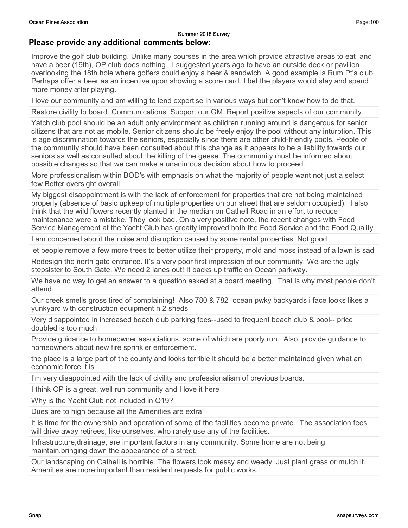#### Please provide any additional comments below:

Improve the golf club building. Unlike many courses in the area which provide attractive areas to eat and have a beer (19th), OP club does nothing I suggested years ago to have an outside deck or pavilion overlooking the 18th hole where golfers could enjoy a beer & sandwich. A good example is Rum Pt's club. Perhaps offer a beer as an incentive upon showing a score card. I bet the players would stay and spend more money after playing.

I love our community and am willing to lend expertise in various ways but don't know how to do that.

Restore civility to board. Communications. Support our GM. Report positive aspects of our community.

Yatch club pool should be an adult only environment as children running around is dangerous for senior citizens that are not as mobile. Senior citizens should be freely enjoy the pool without any inturption. This is age discrimination towards the seniors, especially since there are other child-friendly pools. People of the community should have been consulted about this change as it appears to be a liability towards our seniors as well as consulted about the killing of the geese. The community must be informed about possible changes so that we can make a unanimous decision about how to proceed.

More professionalism within BOD's with emphasis on what the majority of people want not just a select few.Better oversight overall

My biggest disappointment is with the lack of enforcement for properties that are not being maintained properly (absence of basic upkeep of multiple properties on our street that are seldom occupied). I also think that the wild flowers recently planted in the median on Cathell Road in an effort to reduce maintenance were a mistake. They look bad. On a very positive note, the recent changes with Food Service Management at the Yacht Club has greatly improved both the Food Service and the Food Quality.

I am concerned about the noise and disruption caused by some rental properties. Not good

let people remove a few more trees to better utilize their property, mold and moss instead of a lawn is sad

Redesign the north gate entrance. It's a very poor first impression of our community. We are the ugly stepsister to South Gate. We need 2 lanes out! It backs up traffic on Ocean parkway.

We have no way to get an answer to a question asked at a board meeting. That is why most people don't attend.

Our creek smells gross tired of complaining! Also 780 & 782 ocean pwky backyards i face looks likes a yunkyard with construction equipment n 2 sheds

Very disappointed in increased beach club parking fees--used to frequent beach club & pool-- price doubled is too much

Provide guidance to homeowner associations, some of which are poorly run. Also, provide guidance to homeowners about new fire sprinkler enforcement.

the place is a large part of the county and looks terrible it should be a better maintained given what an economic force it is

I'm very disappointed with the lack of civility and professionalism of previous boards.

I think OP is a great, well run community and I love it here

Why is the Yacht Club not included in Q19?

Dues are to high because all the Amenities are extra

It is time for the ownership and operation of some of the facilities become private. The association fees will drive away retirees, like ourselves, who rarely use any of the facilities.

Infrastructure,drainage, are important factors in any community. Some home are not being maintain,bringing down the appearance of a street.

Our landscaping on Cathell is horrible. The flowers look messy and weedy. Just plant grass or mulch it. Amenities are more important than resident requests for public works.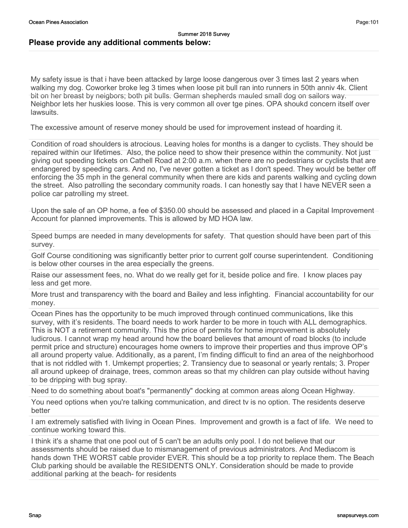My safety issue is that i have been attacked by large loose dangerous over 3 times last 2 years when walking my dog. Coworker broke leg 3 times when loose pit bull ran into runners in 50th anniv 4k. Client bit on her breast by neigbors; both pit bulls. German shepherds mauled small dog on sailors way. Neighbor lets her huskies loose. This is very common all over tge pines. OPA shoukd concern itself over lawsuits.

The excessive amount of reserve money should be used for improvement instead of hoarding it.

Condition of road shoulders is atrocious. Leaving holes for months is a danger to cyclists. They should be repaired within our lifetimes. Also, the police need to show their presence within the community. Not just giving out speeding tickets on Cathell Road at 2:00 a.m. when there are no pedestrians or cyclists that are endangered by speeding cars. And no, I've never gotten a ticket as I don't speed. They would be better off enforcing the 35 mph in the general community when there are kids and parents walking and cycling down the street. Also patrolling the secondary community roads. I can honestly say that I have NEVER seen a police car patrolling my street.

Upon the sale of an OP home, a fee of \$350.00 should be assessed and placed in a Capital Improvement Account for planned improvements. This is allowed by MD HOA law.

Speed bumps are needed in many developments for safety. That question should have been part of this survey.

Golf Course conditioning was significantly better prior to current golf course superintendent. Conditioning is below other courses in the area especially the greens.

Raise our assessment fees, no. What do we really get for it, beside police and fire. I know places pay less and get more.

More trust and transparency with the board and Bailey and less infighting. Financial accountability for our money.

Ocean Pines has the opportunity to be much improved through continued communications, like this survey, with it's residents. The board needs to work harder to be more in touch with ALL demographics. This is NOT a retirement community. This the price of permits for home improvement is absolutely ludicrous. I cannot wrap my head around how the board believes that amount of road blocks (to include permit price and structure) encourages home owners to improve their properties and thus improve OP's all around property value. Additionally, as a parent, I'm finding difficult to find an area of the neighborhood that is not riddled with 1. Umkempt properties; 2. Transiency due to seasonal or yearly rentals; 3. Proper all around upkeep of drainage, trees, common areas so that my children can play outside without having to be dripping with bug spray.

Need to do something about boat's "permanently" docking at common areas along Ocean Highway.

You need options when you're talking communication, and direct tv is no option. The residents deserve better

I am extremely satisfied with living in Ocean Pines. Improvement and growth is a fact of life. We need to continue working toward this.

I think it's a shame that one pool out of 5 can't be an adults only pool. I do not believe that our assessments should be raised due to mismanagement of previous administrators. And Mediacom is hands down THE WORST cable provider EVER. This should be a top priority to replace them. The Beach Club parking should be available the RESIDENTS ONLY. Consideration should be made to provide additional parking at the beach- for residents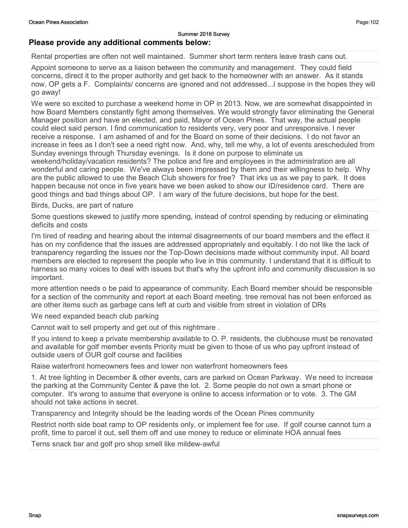# Please provide any additional comments below:

Rental properties are often not well maintained. Summer short term renters leave trash cans out.

Appoint someone to serve as a liaison between the community and management. They could field concerns, direct it to the proper authority and get back to the homeowner with an answer. As it stands now, OP gets a F. Complaints/ concerns are ignored and not addressed...I suppose in the hopes they will go away!

We were so excited to purchase a weekend home in OP in 2013. Now, we are somewhat disappointed in how Board Members constantly fight among themselves. We would strongly favor eliminating the General Manager position and have an elected, and paid, Mayor of Ocean Pines. That way, the actual people could elect said person. I find communication to residents very, very poor and unresponsive. I never receive a response. I am ashamed of and for the Board on some of their decisions. I do not favor an increase in fees as I don't see a need right now. And, why, tell me why, a lot of events arescheduled from Sunday evenings through Thursday evenings. Is it done on purpose to eliminate us weekend/holiday/vacation residents? The police and fire and employees in the administration are all wonderful and caring people. We've always been impressed by them and their willingness to help. Why are the public allowed to use the Beach Club showers for free? That irks us as we pay to park. It does happen because not once in five years have we been asked to show our ID/residence card. There are good things and bad things about OP. I am wary of the future decisions, but hope for the best.

Birds, Ducks, are part of nature

Some questions skewed to justify more spending, instead of control spending by reducing or eliminating deficits and costs

I'm tired of reading and hearing about the internal disagreements of our board members and the effect it has on my confidence that the issues are addressed appropriately and equitably. I do not like the lack of transparency regarding the issues nor the Top-Down decisions made without community input. All board members are elected to represent the people who live in this community. I understand that it is difficult to harness so many voices to deal with issues but that's why the upfront info and community discussion is so important.

more attention needs o be paid to appearance of community. Each Board member should be responsible for a section of the community and report at each Board meeting. tree removal has not been enforced as are other items such as garbage cans left at curb and visible from street in violation of DRs

We need expanded beach club parking

Cannot wait to sell property and get out of this nightmare .

If you intend to keep a private membership available to O. P. residents, the clubhouse must be renovated and available for golf member events Priority must be given to those of us who pay upfront instead of outside users of OUR golf course and facilities

Raise waterfront homeowners fees and lower non waterfront homeowners fees

1. At tree lighting in December & other events, cars are parked on Ocean Parkway. We need to increase the parking at the Community Center & pave the lot. 2. Some people do not own a smart phone or computer. It's wrong to assume that everyone is online to access information or to vote. 3. The GM should not take actions in secret.

Transparency and Integrity should be the leading words of the Ocean Pines community

Restrict north side boat ramp to OP residents only, or implement fee for use. If golf course cannot turn a profit, time to parcel it out, sell them off and use money to reduce or eliminate HOA annual fees

Terns snack bar and golf pro shop smell like mildew-awful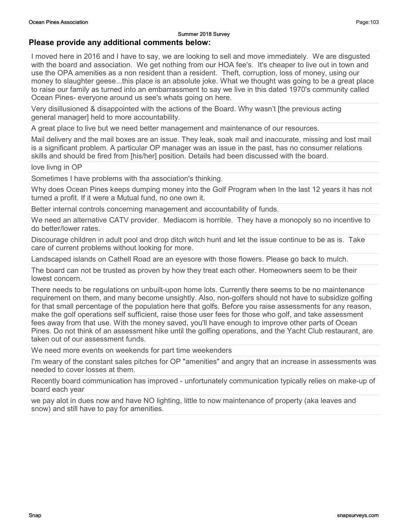### Please provide any additional comments below:

I moved here in 2016 and I have to say, we are looking to sell and move immediately. We are disgusted with the board and association. We get nothing from our HOA fee's. It's cheaper to live out in town and use the OPA amenities as a non resident than a resident. Theft, corruption, loss of money, using our money to slaughter geese...this place is an absolute joke. What we thought was going to be a great place to raise our family as turned into an embarrassment to say we live in this dated 1970's community called Ocean Pines- everyone around us see's whats going on here.

Very disillusioned & disappointed with the actions of the Board. Why wasn't [the previous acting general manager] held to more accountability.

A great place to live but we need better management and maintenance of our resources.

Mail delivery and the mail boxes are an issue. They leak, soak mail and inaccurate, missing and lost mail is a significant problem. A particular OP manager was an issue in the past, has no consumer relations skills and should be fired from [his/her] position. Details had been discussed with the board.

love livng in OP

Sometimes I have problems with tha association's thinking.

Why does Ocean Pines keeps dumping money into the Golf Program when In the last 12 years it has not turned a profit. If it were a Mutual fund, no one own it.

Better internal controls concerning management and accountability of funds.

We need an alternative CATV provider. Mediacom is horrible. They have a monopoly so no incentive to do better/lower rates.

Discourage children in adult pool and drop ditch witch hunt and let the issue continue to be as is. Take care of current problems without looking for more.

Landscaped islands on Cathell Road are an eyesore with those flowers. Please go back to mulch.

The board can not be trusted as proven by how they treat each other. Homeowners seem to be their lowest concern.

There needs to be regulations on unbuilt-upon home lots. Currently there seems to be no maintenance requirement on them, and many become unsightly. Also, non-golfers should not have to subsidize golfing for that small percentage of the population here that golfs. Before you raise assessments for any reason, make the golf operations self sufficient, raise those user fees for those who golf, and take assessment fees away from that use. With the money saved, you'll have enough to improve other parts of Ocean Pines. Do not think of an assessment hike until the golfing operations, and the Yacht Club restaurant, are taken out of our assessment funds.

We need more events on weekends for part time weekenders

I'm weary of the constant sales pitches for OP "amenities" and angry that an increase in assessments was needed to cover losses at them.

Recently board communication has improved - unfortunately communication typically relies on make-up of board each year

we pay alot in dues now and have NO lighting, little to now maintenance of property (aka leaves and snow) and still have to pay for amenities.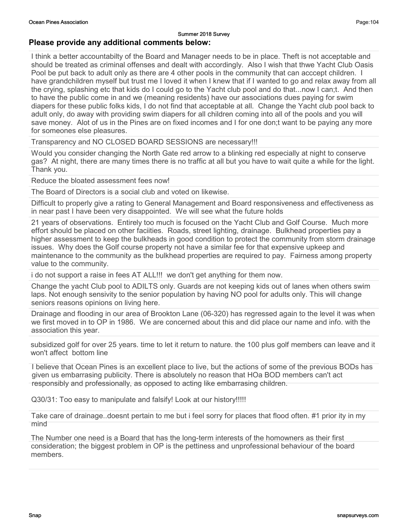#### Please provide any additional comments below:

I think a better accountabilty of the Board and Manager needs to be in place. Theft is not acceptable and should be treated as criminal offenses and dealt with accordingly. Also I wish that thwe Yacht Club Oasis Pool be put back to adult only as there are 4 other pools in the community that can acccept children. I have grandchildren myself but trust me I loved it when I knew that if I wanted to go and relax away from all the crying, splashing etc that kids do I could go to the Yacht club pool and do that...now I can;t. And then to have the public come in and we (meaning residents) have our associations dues paying for swim diapers for these public folks kids, I do not find that acceptable at all. Change the Yacht club pool back to adult only, do away with providing swim diapers for all children coming into all of the pools and you will save money. Alot of us in the Pines are on fixed incomes and I for one don;t want to be paying any more for someones else pleasures.

Transparency and NO CLOSED BOARD SESSIONS are necessary!!!

Would you consider changing the North Gate red arrow to a blinking red especially at night to conserve gas? At night, there are many times there is no traffic at all but you have to wait quite a while for the light. Thank you.

Reduce the bloated assessment fees now!

The Board of Directors is a social club and voted on likewise.

Difficult to properly give a rating to General Management and Board responsiveness and effectiveness as in near past I have been very disappointed. We will see what the future holds

21 years of observations. Entirely too much is focused on the Yacht Club and Golf Course. Much more effort should be placed on other faciities. Roads, street lighting, drainage. Bulkhead properties pay a higher assessment to keep the bulkheads in good condition to protect the community from storm drainage issues. Why does the Golf course property not have a similar fee for that expensive upkeep and maintenance to the community as the bulkhead properties are required to pay. Fairness among property value to the community.

i do not support a raise in fees AT ALL!!! we don't get anything for them now.

Change the yacht Club pool to ADILTS only. Guards are not keeping kids out of lanes when others swim laps. Not enough sensivity to the senior population by having NO pool for adults only. This will change seniors reasons opinions on living here.

Drainage and flooding in our area of Brookton Lane (06-320) has regressed again to the level it was when we first moved in to OP in 1986. We are concerned about this and did place our name and info. with the association this year.

subsidized golf for over 25 years. time to let it return to nature. the 100 plus golf members can leave and it won't affect bottom line

I believe that Ocean Pines is an excellent place to live, but the actions of some of the previous BODs has given us embarrasing publicity. There is absolutely no reason that HOa BOD members can't act responsibly and professionally, as opposed to acting like embarrasing children.

Q30/31: Too easy to manipulate and falsify! Look at our history!!!!!

Take care of drainage..doesnt pertain to me but i feel sorry for places that flood often. #1 prior ity in my mind

The Number one need is a Board that has the long-term interests of the homowners as their first consideration; the biggest problem in OP is the pettiness and unprofessional behaviour of the board members.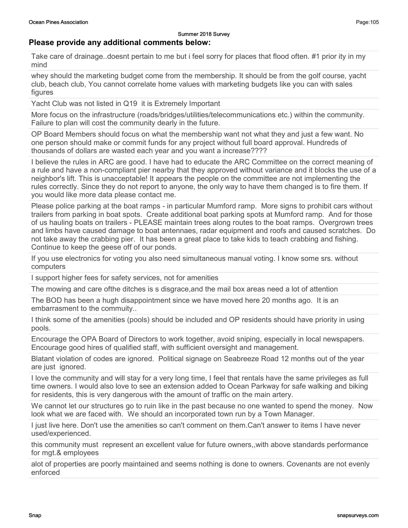### Please provide any additional comments below:

Take care of drainage..doesnt pertain to me but i feel sorry for places that flood often. #1 prior ity in my mind

whey should the marketing budget come from the membership. It should be from the golf course, yacht club, beach club, You cannot correlate home values with marketing budgets like you can with sales figures

Yacht Club was not listed in Q19 it is Extremely Important

More focus on the infrastructure (roads/bridges/utilities/telecommunications etc.) within the community. Failure to plan will cost the community dearly in the future.

OP Board Members should focus on what the membership want not what they and just a few want. No one person should make or commit funds for any project without full board approval. Hundreds of thousands of dollars are wasted each year and you want a increase????

I believe the rules in ARC are good. I have had to educate the ARC Committee on the correct meaning of a rule and have a non-compliant pier nearby that they approved without variance and it blocks the use of a neighbor's lift. This is unacceptable! It appears the people on the committee are not implementing the rules correctly. Since they do not report to anyone, the only way to have them changed is to fire them. If you would like more data please contact me.

Please police parking at the boat ramps - in particular Mumford ramp. More signs to prohibit cars without trailers from parking in boat spots. Create additional boat parking spots at Mumford ramp. And for those of us hauling boats on trailers - PLEASE maintain trees along routes to the boat ramps. Overgrown trees and limbs have caused damage to boat antennaes, radar equipment and roofs and caused scratches. Do not take away the crabbing pier. It has been a great place to take kids to teach crabbing and fishing. Continue to keep the geese off of our ponds.

If you use electronics for voting you also need simultaneous manual voting. I know some srs. without computers

I support higher fees for safety services, not for amenities

The mowing and care ofthe ditches is s disgrace,and the mail box areas need a lot of attention

The BOD has been a hugh disappointment since we have moved here 20 months ago. It is an embarrasment to the commuity..

I think some of the amenities (pools) should be included and OP residents should have priority in using pools.

Encourage the OPA Board of Directors to work together, avoid sniping, especially in local newspapers. Encourage good hires of qualified staff, with sufficient oversight and management.

Blatant violation of codes are ignored. Political signage on Seabreeze Road 12 months out of the year are just ignored.

I love the community and will stay for a very long time, I feel that rentals have the same privileges as full time owners. I would also love to see an extension added to Ocean Parkway for safe walking and biking for residents, this is very dangerous with the amount of traffic on the main artery.

We cannot let our structures go to ruin like in the past because no one wanted to spend the money. Now look what we are faced with. We should an incorporated town run by a Town Manager.

I just live here. Don't use the amenities so can't comment on them.Can't answer to items I have never used/experienced.

this community must represent an excellent value for future owners,,with above standards performance for mgt.& employees

alot of properties are poorly maintained and seems nothing is done to owners. Covenants are not evenly enforced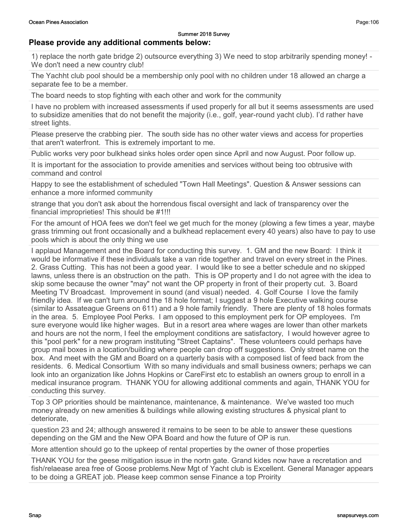### Please provide any additional comments below:

1) replace the north gate bridge 2) outsource everything 3) We need to stop arbitrarily spending money! - We don't need a new country club!

The Yachht club pool should be a membership only pool with no children under 18 allowed an charge a separate fee to be a member.

The board needs to stop fighting with each other and work for the community

I have no problem with increased assessments if used properly for all but it seems assessments are used to subsidize amenities that do not benefit the majority (i.e., golf, year-round yacht club). I'd rather have street lights.

Please preserve the crabbing pier. The south side has no other water views and access for properties that aren't waterfront. This is extremely important to me.

Public works very poor bulkhead sinks holes order open since April and now August. Poor follow up.

It is important for the association to provide amenities and services without being too obtrusive with command and control

Happy to see the establishment of scheduled "Town Hall Meetings". Question & Answer sessions can enhance a more informed community

strange that you don't ask about the horrendous fiscal oversight and lack of transparency over the financial improprieties! This should be #1!!!

For the amount of HOA fees we don't feel we get much for the money (plowing a few times a year, maybe grass trimming out front occasionally and a bulkhead replacement every 40 years) also have to pay to use pools which is about the only thing we use

I applaud Management and the Board for conducting this survey. 1. GM and the new Board: I think it would be informative if these individuals take a van ride together and travel on every street in the Pines. 2. Grass Cutting. This has not been a good year. I would like to see a better schedule and no skipped lawns, unless there is an obstruction on the path. This is OP property and I do not agree with the idea to skip some because the owner "may" not want the OP property in front of their property cut. 3. Board Meeting TV Broadcast. Improvement in sound (and visual) needed. 4. Golf Course I love the family friendly idea. If we can't turn around the 18 hole format; I suggest a 9 hole Executive walking course (similar to Assateague Greens on 611) and a 9 hole family friendly. There are plenty of 18 holes formats in the area. 5. Employee Pool Perks. I am opposed to this employment perk for OP employees. I'm sure everyone would like higher wages. But in a resort area where wages are lower than other markets and hours are not the norm, I feel the employment conditions are satisfactory, I would however agree to this "pool perk" for a new program instituting "Street Captains". These volunteers could perhaps have group mail boxes in a location/building where people can drop off suggestions. Only street name on the box. And meet with the GM and Board on a quarterly basis with a composed list of feed back from the residents. 6. Medical Consortium With so many individuals and small business owners; perhaps we can look into an organization like Johns Hopkins or CareFirst etc to establish an owners group to enroll in a medical insurance program. THANK YOU for allowing additional comments and again, THANK YOU for conducting this survey.

Top 3 OP priorities should be maintenance, maintenance, & maintenance. We've wasted too much money already on new amenities & buildings while allowing existing structures & physical plant to deteriorate,

question 23 and 24; although answered it remains to be seen to be able to answer these questions depending on the GM and the New OPA Board and how the future of OP is run.

More attention should go to the upkeep of rental properties by the owner of those properties

THANK YOU for the geese mitigation issue in the nortn gate. Grand kides now have a recretation and fish/relaease area free of Goose problems.New Mgt of Yacht club is Excellent. General Manager appears to be doing a GREAT job. Please keep common sense Finance a top Proirity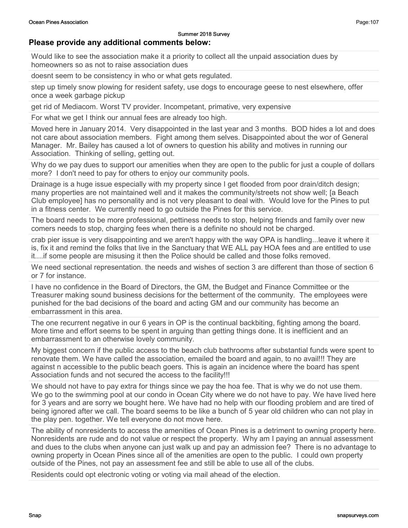#### Please provide any additional comments below:

Would like to see the association make it a priority to collect all the unpaid association dues by homeowners so as not to raise association dues

doesnt seem to be consistency in who or what gets regulated.

step up timely snow plowing for resident safety, use dogs to encourage geese to nest elsewhere, offer once a week garbage pickup

get rid of Mediacom. Worst TV provider. Incompetant, primative, very expensive

For what we get I think our annual fees are already too high.

Moved here in January 2014. Very disappointed in the last year and 3 months. BOD hides a lot and does not care about association members. Fight among them selves. Disappointed about the wor of General Manager. Mr. Bailey has caused a lot of owners to question his ability and motives in running our Association. Thinking of selling, getting out.

Why do we pay dues to support our amenities when they are open to the public for just a couple of dollars more? I don't need to pay for others to enjoy our community pools.

Drainage is a huge issue especially with my property since I get flooded from poor drain/ditch design; many properties are not maintained well and it makes the community/streets not show well; [a Beach Club employee] has no personality and is not very pleasant to deal with. Would love for the Pines to put in a fitness center. We currently need to go outside the Pines for this service.

The board needs to be more professional, pettiness needs to stop, helping friends and family over new comers needs to stop, charging fees when there is a definite no should not be charged.

crab pier issue is very disappointing and we aren't happy with the way OPA is handling...leave it where it is, fix it and remind the folks that live in the Sanctuary that WE ALL pay HOA fees and are entitled to use it....if some people are misusing it then the Police should be called and those folks removed.

We need sectional representation. the needs and wishes of section 3 are different than those of section 6 or 7 for instance.

I have no confidence in the Board of Directors, the GM, the Budget and Finance Committee or the Treasurer making sound business decisions for the betterment of the community. The employees were punished for the bad decisions of the board and acting GM and our community has become an embarrassment in this area.

The one recurrent negative in our 6 years in OP is the continual backbiting, fighting among the board. More time and effort seems to be spent in arguing than getting things done. It is inefficient and an embarrassment to an otherwise lovely community.

My biggest concern if the public access to the beach club bathrooms after substantial funds were spent to renovate them. We have called the association, emailed the board and again, to no avail!!! They are against n accessible to the public beach goers. This is again an incidence where the board has spent Association funds and not secured the access to the facility!!!

We should not have to pay extra for things since we pay the hoa fee. That is why we do not use them. We go to the swimming pool at our condo in Ocean City where we do not have to pay. We have lived here for 3 years and are sorry we bought here. We have had no help with our flooding problem and are tired of being ignored after we call. The board seems to be like a bunch of 5 year old children who can not play in the play pen. together. We tell everyone do not move here.

The ability of nonresidents to access the amenities of Ocean Pines is a detriment to owning property here. Nonresidents are rude and do not value or respect the property. Why am I paying an annual assessment and dues to the clubs when anyone can just walk up and pay an admission fee? There is no advantage to owning property in Ocean Pines since all of the amenities are open to the public. I could own property outside of the Pines, not pay an assessment fee and still be able to use all of the clubs.

Residents could opt electronic voting or voting via mail ahead of the election.

Page:107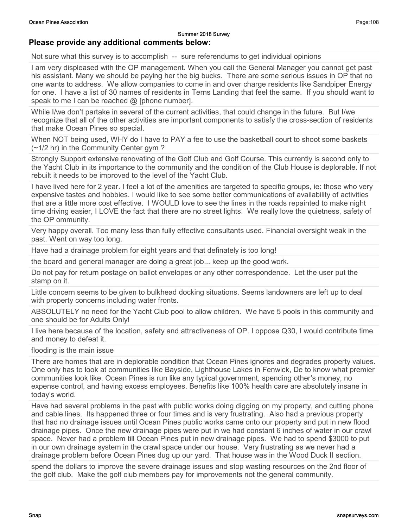#### Summer 2018 Survey Please provide any additional comments below:

Not sure what this survey is to accomplish -- sure referendums to get individual opinions

I am very displeased with the OP management. When you call the General Manager you cannot get past his assistant. Many we should be paying her the big bucks. There are some serious issues in OP that no one wants to address. We allow companies to come in and over charge residents like Sandpiper Energy for one. I have a list of 30 names of residents in Terns Landing that feel the same. If you should want to speak to me I can be reached  $@$  [phone number].

While I/we don't partake in several of the current activities, that could change in the future. But I/we recognize that all of the other activities are important components to satisfy the cross-section of residents that make Ocean Pines so special.

When NOT being used, WHY do I have to PAY a fee to use the basketball court to shoot some baskets (~1/2 hr) in the Community Center gym ?

Strongly Support extensive renovating of the Golf Club and Golf Course. This currently is second only to the Yacht Club in its importance to the community and the condition of the Club House is deplorable. If not rebuilt it needs to be improved to the level of the Yacht Club.

I have lived here for 2 year. I feel a lot of the amenities are targeted to specific groups, ie: those who very expensive tastes and hobbies. I would like to see some better communications of availability of activities that are a little more cost effective. I WOULD love to see the lines in the roads repainted to make night time driving easier, I LOVE the fact that there are no street lights. We really love the quietness, safety of the OP ommunity.

Very happy overall. Too many less than fully effective consultants used. Financial oversight weak in the past. Went on way too long.

Have had a drainage problem for eight years and that definately is too long!

the board and general manager are doing a great job... keep up the good work.

Do not pay for return postage on ballot envelopes or any other correspondence. Let the user put the stamp on it.

Little concern seems to be given to bulkhead docking situations. Seems landowners are left up to deal with property concerns including water fronts.

ABSOLUTELY no need for the Yacht Club pool to allow children. We have 5 pools in this community and one should be for Adults Only!

I live here because of the location, safety and attractiveness of OP. I oppose Q30, I would contribute time and money to defeat it.

flooding is the main issue

There are homes that are in deplorable condition that Ocean Pines ignores and degrades property values. One only has to look at communities like Bayside, Lighthouse Lakes in Fenwick, De to know what premier communities look like. Ocean Pines is run like any typical government, spending other's money, no expense control, and having excess employees. Benefits like 100% health care are absolutely insane in today's world.

Have had several problems in the past with public works doing digging on my property, and cutting phone and cable lines. Its happened three or four times and is very frustrating. Also had a previous property that had no drainage issues until Ocean Pines public works came onto our property and put in new flood drainage pipes. Once the new drainage pipes were put in we had constant 6 inches of water in our crawl space. Never had a problem till Ocean Pines put in new drainage pipes. We had to spend \$3000 to put in our own drainage system in the crawl space under our house. Very frustrating as we never had a drainage problem before Ocean Pines dug up our yard. That house was in the Wood Duck II section.

spend the dollars to improve the severe drainage issues and stop wasting resources on the 2nd floor of the golf club. Make the golf club members pay for improvements not the general community.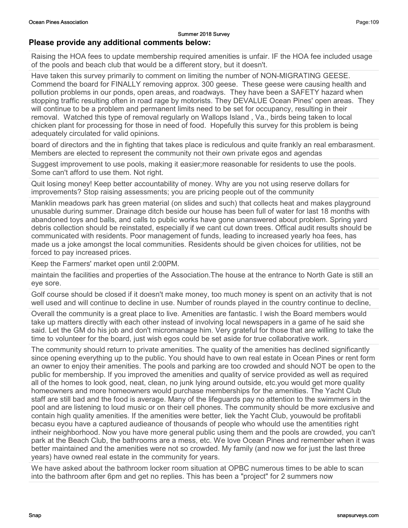#### Please provide any additional comments below:

Raising the HOA fees to update membership required amenities is unfair. IF the HOA fee included usage of the pools and beach club that would be a different story, but it doesn't.

Have taken this survey primarily to comment on limiting the number of NON-MIGRATING GEESE. Commend the board for FINALLY removing approx. 300 geese. These geese were causing health and pollution problems in our ponds, open areas, and roadways. They have been a SAFETY hazard when stopping traffic resulting often in road rage by motorists. They DEVALUE Ocean Pines' open areas. They will continue to be a problem and permanent limits need to be set for occupancy, resulting in their removal. Watched this type of removal regularly on Wallops Island , Va., birds being taken to local chicken plant for processing for those in need of food. Hopefully this survey for this problem is being adequately circulated for valid opinions.

board of directors and the in fighting that takes place is rediculous and quite frankly an real embarasment. Members are elected to represent the community not their own private egos and agendas

Suggest improvement to use pools, making it easier;more reasonable for residents to use the pools. Some can't afford to use them. Not right.

Quit losing money! Keep better accountability of money. Why are you not using reserve dollars for improvements? Stop raising assessments; you are pricing people out of the community

Manklin meadows park has green material (on slides and such) that collects heat and makes playground unusable during summer. Drainage ditch beside our house has been full of water for last 18 months with abandoned toys and balls, and calls to public works have gone unanswered about problem. Spring yard debris collection should be reinstated, especially if we cant cut down trees. Offical audit results should be communicated with residents. Poor management of funds, leading to increased yearly hoa fees, has made us a joke amongst the local communities. Residents should be given choices for utilities, not be forced to pay increased prices.

Keep the Farmers' market open until 2:00PM.

maintain the facilities and properties of the Association.The house at the entrance to North Gate is still an eye sore.

Golf course should be closed if it doesn't make money, too much money is spent on an activity that is not well used and will continue to decline in use. Number of rounds played in the country continue to decline,

Overall the community is a great place to live. Amenities are fantastic. I wish the Board members would take up matters directly with each other instead of involving local newspapers in a game of he said she said. Let the GM do his job and don't micromanage him. Very grateful for those that are willing to take the time to volunteer for the board, just wish egos could be set aside for true collaborative work.

The community should return to private amenities. The quality of the amenities has declined significantly since opening everything up to the public. You should have to own real estate in Ocean Pines or rent form an owner to enjoy their amenities. The pools and parking are too crowded and should NOT be open to the public for membership. If you improved the amenities and quality of service provided as well as required all of the homes to look good, neat, clean, no junk lying around outside, etc.you would get more quality homeowners and more homeowners would purchase memberships for the amenities. The Yacht Club staff are still bad and the food is average. Many of the lifeguards pay no attention to the swimmers in the pool and are listening to loud music or on their cell phones. The community should be more exclusive and contain high quality amenities. If the amenities were better, liek the Yacht Club, youwould be profitabli becasu eyou have a captured audieance of thousands of people who whould use the amentities right intheir neighborhood. Now you have more general public using them and the pools are crowded, you can't park at the Beach Club, the bathrooms are a mess, etc. We love Ocean Pines and remember when it was better maintained and the amenities were not so crowded. My family (and now we for just the last three years) have owned real estate in the community for years.

We have asked about the bathroom locker room situation at OPBC numerous times to be able to scan into the bathroom after 6pm and get no replies. This has been a "project" for 2 summers now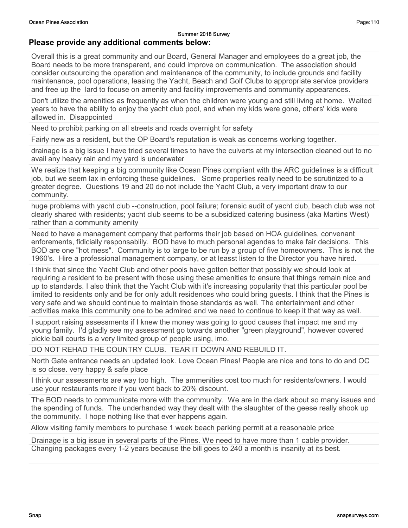#### Please provide any additional comments below:

Overall this is a great community and our Board, General Manager and employees do a great job, the Board needs to be more transparent, and could improve on communication. The association should consider outsourcing the operation and maintenance of the community, to include grounds and facility maintenance, pool operations, leasing the Yacht, Beach and Golf Clubs to appropriate service providers and free up the lard to focuse on amenity and facility improvements and community appearances.

Don't utilize the amenities as frequently as when the children were young and still living at home. Waited years to have the ability to enjoy the yacht club pool, and when my kids were gone, others' kids were allowed in. Disappointed

Need to prohibit parking on all streets and roads overnight for safety

Fairly new as a resident, but the OP Board's reputation is weak as concerns working together.

drainage is a big issue I have tried several times to have the culverts at my intersection cleaned out to no avail any heavy rain and my yard is underwater

We realize that keeping a big community like Ocean Pines compliant with the ARC quidelines is a difficult job, but we seem lax in enforcing these guidelines. Some properties really need to be scrutinized to a greater degree. Questions 19 and 20 do not include the Yacht Club, a very important draw to our community.

huge problems with yacht club --construction, pool failure; forensic audit of yacht club, beach club was not clearly shared with residents; yacht club seems to be a subsidized catering business (aka Martins West) rather than a community amenity

Need to have a management company that performs their job based on HOA guidelines, convenant enforements, fidicially responsablily. BOD have to much personal agendas to make fair decisions. This BOD are one "hot mess". Community is to large to be run by a group of five homeowners. This is not the 1960's. Hire a professional management company, or at leasst listen to the Director you have hired.

I think that since the Yacht Club and other pools have gotten better that possibly we should look at requiring a resident to be present with those using these amenities to ensure that things remain nice and up to standards. I also think that the Yacht Club with it's increasing popularity that this particular pool be limited to residents only and be for only adult residences who could bring guests. I think that the Pines is very safe and we should continue to maintain those standards as well. The entertainment and other activities make this community one to be admired and we need to continue to keep it that way as well.

I support raising assessments if I knew the money was going to good causes that impact me and my young family. I'd gladly see my assessment go towards another "green playground", however covered pickle ball courts is a very limited group of people using, imo.

DO NOT REHAD THE COUNTRY CLUB. TEAR IT DOWN AND REBUILD IT.

North Gate entrance needs an updated look. Love Ocean Pines! People are nice and tons to do and OC is so close. very happy & safe place

I think our assessments are way too high. The ammenities cost too much for residents/owners. I would use your restaurants more if you went back to 20% discount.

The BOD needs to communicate more with the community. We are in the dark about so many issues and the spending of funds. The underhanded way they dealt with the slaughter of the geese really shook up the community. I hope nothing like that ever happens again.

Allow visiting family members to purchase 1 week beach parking permit at a reasonable price

Drainage is a big issue in several parts of the Pines. We need to have more than 1 cable provider. Changing packages every 1-2 years because the bill goes to 240 a month is insanity at its best.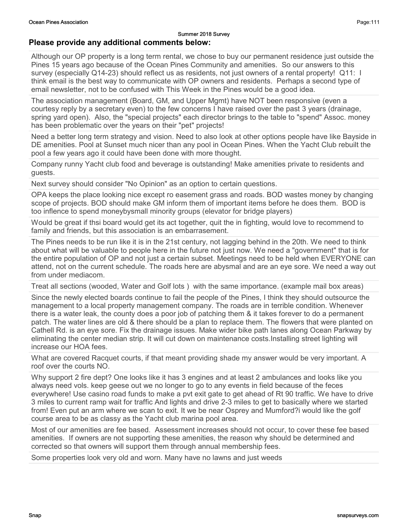Although our OP property is a long term rental, we chose to buy our permanent residence just outside the Pines 15 years ago because of the Ocean Pines Community and amenities. So our answers to this survey (especially Q14-23) should reflect us as residents, not just owners of a rental property! Q11: I think email is the best way to communicate with OP owners and residents. Perhaps a second type of email newsletter, not to be confused with This Week in the Pines would be a good idea.

The association management (Board, GM, and Upper Mgmt) have NOT been responsive (even a courtesy reply by a secretary even) to the few concerns I have raised over the past 3 years (drainage, spring yard open). Also, the "special projects" each director brings to the table to "spend" Assoc. money has been problematic over the years on their "pet" projects!

Need a better long term strategy and vision. Need to also look at other options people have like Bayside in DE amenities. Pool at Sunset much nicer than any pool in Ocean Pines. When the Yacht Club rebuilt the pool a few years ago it could have been done with more thought.

Company runny Yacht club food and beverage is outstanding! Make amenities private to residents and guests.

Next survey should consider "No Opinion" as an option to certain questions.

OPA keeps the place looking nice except ro easement grass and roads. BOD wastes money by changing scope of projects. BOD should make GM inform them of important items before he does them. BOD is too inflence to spend moneybysmall minority groups (elevator for bridge players)

Would be great if thsi board would get its act together, quit the in fighting, would love to recommend to family and friends, but this association is an embarrasement.

The Pines needs to be run like it is in the 21st century, not lagging behind in the 20th. We need to think about what will be valuable to people here in the future not just now. We need a "government" that is for the entire population of OP and not just a certain subset. Meetings need to be held when EVERYONE can attend, not on the current schedule. The roads here are abysmal and are an eye sore. We need a way out from under mediacom.

Treat all sections (wooded, Water and Golf lots ) with the same importance. (example mail box areas)

Since the newly elected boards continue to fail the people of the Pines, I think they should outsource the management to a local property management company. The roads are in terrible condition. Whenever there is a water leak, the county does a poor job of patching them & it takes forever to do a permanent patch. The water lines are old & there should be a plan to replace them. The flowers that were planted on Cathell Rd. is an eye sore. Fix the drainage issues. Make wider bike path lanes along Ocean Parkway by eliminating the center median strip. It will cut down on maintenance costs.Installing street lighting will increase our HOA fees.

What are covered Racquet courts, if that meant providing shade my answer would be very important. A roof over the courts NO.

Why support 2 fire dept? One looks like it has 3 engines and at least 2 ambulances and looks like you always need vols. keep geese out we no longer to go to any events in field because of the feces everywhere! Use casino road funds to make a pvt exit gate to get ahead of Rt 90 traffic. We have to drive 3 miles to current ramp wait for traffic And lights and drive 2-3 miles to get to basically where we started from! Even put an arm where we scan to exit. It we be near Osprey and Mumford?i would like the golf course area to be as classy as the Yacht club marina pool area.

Most of our amenities are fee based. Assessment increases should not occur, to cover these fee based amenities. If owners are not supporting these amenities, the reason why should be determined and corrected so that owners will support them through annual membership fees.

Some properties look very old and worn. Many have no lawns and just weeds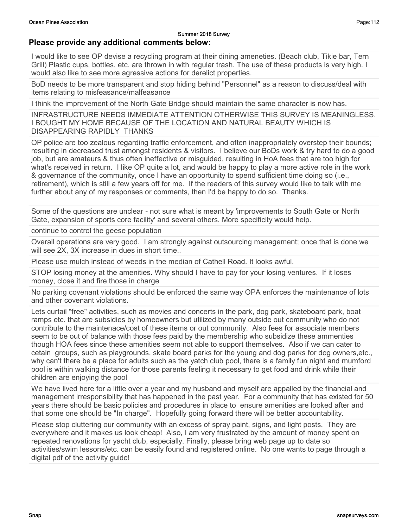#### Please provide any additional comments below:

I would like to see OP devise a recycling program at their dining ameneties. (Beach club, Tikie bar, Tern Grill) Plastic cups, bottles, etc. are thrown in with regular trash. The use of these products is very high. I would also like to see more agressive actions for derelict properties.

BoD needs to be more transparent and stop hiding behind "Personnel" as a reason to discuss/deal with items relating to misfeasance/malfeasance

I think the improvement of the North Gate Bridge should maintain the same character is now has.

INFRASTRUCTURE NEEDS IMMEDIATE ATTENTION OTHERWISE THIS SURVEY IS MEANINGLESS. I BOUGHT MY HOME BECAUSE OF THE LOCATION AND NATURAL BEAUTY WHICH IS DISAPPEARING RAPIDLY THANKS

OP police are too zealous regarding traffic enforcement, and often inappropriately overstep their bounds; resulting in decreased trust amongst residents & visitors. I believe our BoDs work & try hard to do a good job, but are amateurs & thus often ineffective or misguided, resulting in HoA fees that are too high for what's received in return. I like OP quite a lot, and would be happy to play a more active role in the work & governance of the community, once I have an opportunity to spend sufficient time doing so (i.e., retirement), which is still a few years off for me. If the readers of this survey would like to talk with me further about any of my responses or comments, then I'd be happy to do so. Thanks.

Some of the questions are unclear - not sure what is meant by 'improvements to South Gate or North Gate, expansion of sports core facility' and several others. More specificity would help.

continue to control the geese population

Overall operations are very good. I am strongly against outsourcing management; once that is done we will see 2X, 3X increase in dues in short time..

Please use mulch instead of weeds in the median of Cathell Road. It looks awful.

STOP losing money at the amenities. Why should I have to pay for your losing ventures. If it loses money, close it and fire those in charge

No parking covenant violations should be enforced the same way OPA enforces the maintenance of lots and other covenant violations.

Lets curtail "free" activities, such as movies and concerts in the park, dog park, skateboard park, boat ramps etc. that are subsidies by homeowners but utilized by many outside out community who do not contribute to the maintenace/cost of these items or out community. Also fees for associate members seem to be out of balance with those fees paid by the membership who subsidize these ammenties though HOA fees since these amenities seem not able to support themselves. Also if we can cater to cetain groups, such as playgrounds, skate board parks for the young and dog parks for dog owners,etc., why can't there be a place for adults such as the yatch club pool, there is a family fun night and mumford pool is within walking distance for those parents feeling it necessary to get food and drink while their children are enjoying the pool

We have lived here for a little over a year and my husband and myself are appalled by the financial and management irresponsibility that has happened in the past year. For a community that has existed for 50 years there should be basic policies and procedures in place to ensure amenities are looked after and that some one should be "In charge". Hopefully going forward there will be better accountability.

Please stop cluttering our community with an excess of spray paint, signs, and light posts. They are everywhere and it makes us look cheap! Also, I am very frustrated by the amount of money spent on repeated renovations for yacht club, especially. Finally, please bring web page up to date so activities/swim lessons/etc. can be easily found and registered online. No one wants to page through a digital pdf of the activity guide!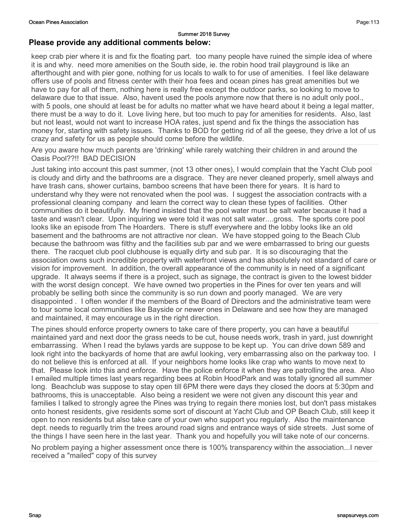#### Summer 2018 Survey Please provide any additional comments below:

keep crab pier where it is and fix the floating part. too many people have ruined the simple idea of where it is and why. need more amenities on the South side, ie. the robin hood trail playground is like an afterthought and with pier gone, nothing for us locals to walk to for use of amenities. I feel like delaware offers use of pools and fitness center with their hoa fees and ocean pines has great amenities but we have to pay for all of them, nothing here is really free except the outdoor parks, so looking to move to delaware due to that issue. Also, havent used the pools anymore now that there is no adult only pool., with 5 pools, one should at least be for adults no matter what we have heard about it being a legal matter, there must be a way to do it. Love living here, but too much to pay for amenities for residents. Also, last but not least, would not want to increase HOA rates, just spend and fix the things the association has money for, starting with safety issues. Thanks to BOD for getting rid of all the geese, they drive a lot of us crazy and safety for us as people should come before the wildlife.

Are you aware how much parents are 'drinking' while rarely watching their children in and around the Oasis Pool??!! BAD DECISION

Just taking into account this past summer, (not 13 other ones), I would complain that the Yacht Club pool is cloudy and dirty and the bathrooms are a disgrace. They are never cleaned properly, smell always and have trash cans, shower curtains, bamboo screens that have been there for years. It is hard to understand why they were not renovated when the pool was. I suggest the association contracts with a professional cleaning company and learn the correct way to clean these types of facilities. Other communities do it beautifully. My friend insisted that the pool water must be salt water because it had a taste and wasn't clear. Upon inquiring we were told it was not salt water....gross. The sports core pool looks like an episode from The Hoarders. There is stuff everywhere and the lobby looks like an old basement and the bathrooms are not attractive nor clean. We have stopped going to the Beach Club because the bathroom was filthy and the facilities sub par and we were embarrassed to bring our guests there. The racquet club pool clubhouse is equally dirty and sub par. It is so discouraging that the association owns such incredible property with waterfront views and has absolutely not standard of care or vision for improvement. In addition, the overall appearance of the community is in need of a significant upgrade. It always seems if there is a project, such as signage, the contract is given to the lowest bidder with the worst design concept. We have owned two properties in the Pines for over ten years and will probably be selling both since the community is so run down and poorly managed. We are very disappointed . I often wonder if the members of the Board of Directors and the administrative team were to tour some local communities like Bayside or newer ones in Delaware and see how they are managed and maintained, it may encourage us in the right direction.

The pines should enforce property owners to take care of there property, you can have a beautiful maintained yard and next door the grass needs to be cut, house needs work, trash in yard, just downright embarrassing. When I read the bylaws yards are suppose to be kept up. You can drive down 589 and look right into the backyards of home that are awful looking, very embarrassing also on the parkway too. I do not believe this is enforced at all. If your neighbors home looks like crap who wants to move next to that. Please look into this and enforce. Have the police enforce it when they are patrolling the area. Also I emailed multiple times last years regarding bees at Robin HoodPark and was totally ignored all summer long. Beachclub was suppose to stay open till 6PM there were days they closed the doors at 5:30pm and bathrooms, this is unacceptable. Also being a resident we were not given any discount this year and families I talked to strongly agree the Pines was trying to regain there monies lost, but don't pass mistakes onto honest residents, give residents some sort of discount at Yacht Club and OP Beach Club, still keep it open to non residents but also take care of your own who support you regularly. Also the maintenance dept. needs to reguarlly trim the trees around road signs and entrance ways of side streets. Just some of the things I have seen here in the last year. Thank you and hopefully you will take note of our concerns.

No problem paying a higher assessment once there is 100% transparency within the association...I never received a "mailed" copy of this survey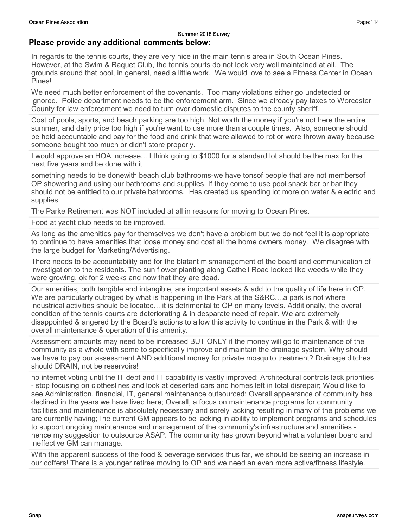### Please provide any additional comments below:

In regards to the tennis courts, they are very nice in the main tennis area in South Ocean Pines. However, at the Swim & Raquet Club, the tennis courts do not look very well maintained at all. The grounds around that pool, in general, need a little work. We would love to see a Fitness Center in Ocean Pines!

We need much better enforcement of the covenants. Too many violations either go undetected or ignored. Police department needs to be the enforcement arm. Since we already pay taxes to Worcester County for law enforcement we need to turn over domestic disputes to the county sheriff.

Cost of pools, sports, and beach parking are too high. Not worth the money if you're not here the entire summer, and daily price too high if you're want to use more than a couple times. Also, someone should be held accountable and pay for the food and drink that were allowed to rot or were thrown away because someone bought too much or didn't store properly.

I would approve an HOA increase... I think going to \$1000 for a standard lot should be the max for the next five years and be done with it

something needs to be donewith beach club bathrooms-we have tonsof people that are not membersof OP showering and using our bathrooms and supplies. If they come to use pool snack bar or bar they should not be entitled to our private bathrooms. Has created us spending lot more on water & electric and supplies

The Parke Retirement was NOT included at all in reasons for moving to Ocean Pines.

Food at yacht club needs to be improved.

As long as the amenities pay for themselves we don't have a problem but we do not feel it is appropriate to continue to have amenities that loose money and cost all the home owners money. We disagree with the large budget for Marketing/Advertising.

There needs to be accountability and for the blatant mismanagement of the board and communication of investigation to the residents. The sun flower planting along Cathell Road looked like weeds while they were growing, ok for 2 weeks and now that they are dead.

Our amenities, both tangible and intangible, are important assets & add to the quality of life here in OP. We are particularly outraged by what is happening in the Park at the S&RC....a park is not where industrical activities should be located... it is detrimental to OP on many levels. Additionally, the overall condition of the tennis courts are deteriorating & in desparate need of repair. We are extremely disappointed & angered by the Board's actions to allow this activity to continue in the Park & with the overall maintenance & operation of this amenity.

Assessment amounts may need to be increased BUT ONLY if the money will go to maintenance of the community as a whole with some to specifically improve and maintain the drainage system. Why should we have to pay our assessment AND additional money for private mosquito treatment? Drainage ditches should DRAIN, not be reservoirs!

no internet voting until the IT dept and IT capability is vastly improved; Architectural controls lack priorities - stop focusing on clotheslines and look at deserted cars and homes left in total disrepair; Would like to see Administration, financial, IT, general maintenance outsourced; Overall appearance of community has declined in the years we have lived here; Overall, a focus on maintenance programs for community facilities and maintenance is absolutely necessary and sorely lacking resulting in many of the problems we are currently having;The current GM appears to be lacking in ability to implement programs and schedules to support ongoing maintenance and management of the community's infrastructure and amenities hence my suggestion to outsource ASAP. The community has grown beyond what a volunteer board and ineffective GM can manage.

With the apparent success of the food & beverage services thus far, we should be seeing an increase in our coffers! There is a younger retiree moving to OP and we need an even more active/fitness lifestyle.